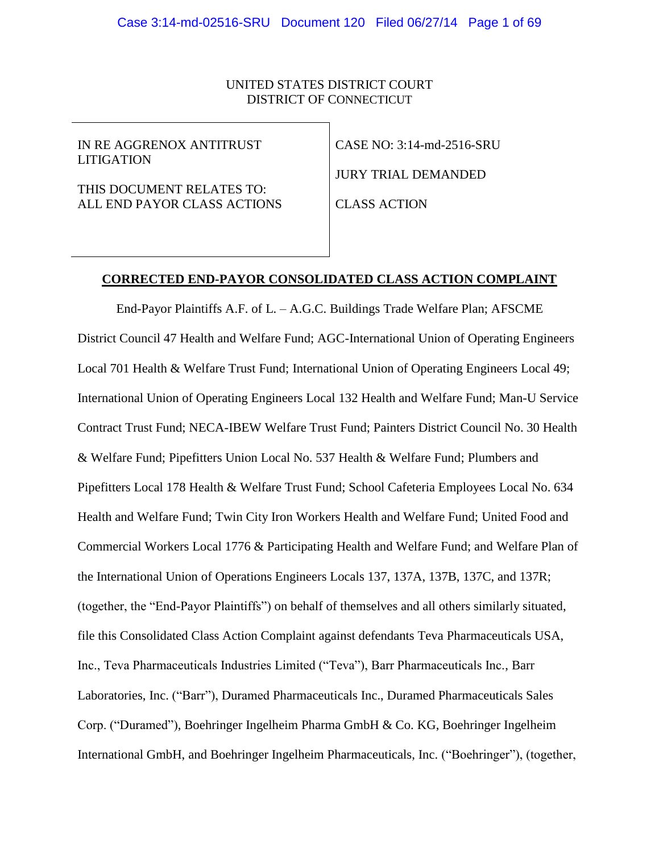# UNITED STATES DISTRICT COURT DISTRICT OF CONNECTICUT

IN RE AGGRENOX ANTITRUST LITIGATION

THIS DOCUMENT RELATES TO: ALL END PAYOR CLASS ACTIONS

CASE NO: 3:14-md-2516-SRU JURY TRIAL DEMANDED

CLASS ACTION

## **CORRECTED END-PAYOR CONSOLIDATED CLASS ACTION COMPLAINT**

End-Payor Plaintiffs A.F. of L. – A.G.C. Buildings Trade Welfare Plan; AFSCME District Council 47 Health and Welfare Fund; AGC-International Union of Operating Engineers Local 701 Health & Welfare Trust Fund; International Union of Operating Engineers Local 49; International Union of Operating Engineers Local 132 Health and Welfare Fund; Man-U Service Contract Trust Fund; NECA-IBEW Welfare Trust Fund; Painters District Council No. 30 Health & Welfare Fund; Pipefitters Union Local No. 537 Health & Welfare Fund; Plumbers and Pipefitters Local 178 Health & Welfare Trust Fund; School Cafeteria Employees Local No. 634 Health and Welfare Fund; Twin City Iron Workers Health and Welfare Fund; United Food and Commercial Workers Local 1776 & Participating Health and Welfare Fund; and Welfare Plan of the International Union of Operations Engineers Locals 137, 137A, 137B, 137C, and 137R; (together, the "End-Payor Plaintiffs") on behalf of themselves and all others similarly situated, file this Consolidated Class Action Complaint against defendants Teva Pharmaceuticals USA, Inc., Teva Pharmaceuticals Industries Limited ("Teva"), Barr Pharmaceuticals Inc., Barr Laboratories, Inc. ("Barr"), Duramed Pharmaceuticals Inc., Duramed Pharmaceuticals Sales Corp. ("Duramed"), Boehringer Ingelheim Pharma GmbH & Co. KG, Boehringer Ingelheim International GmbH, and Boehringer Ingelheim Pharmaceuticals, Inc. ("Boehringer"), (together,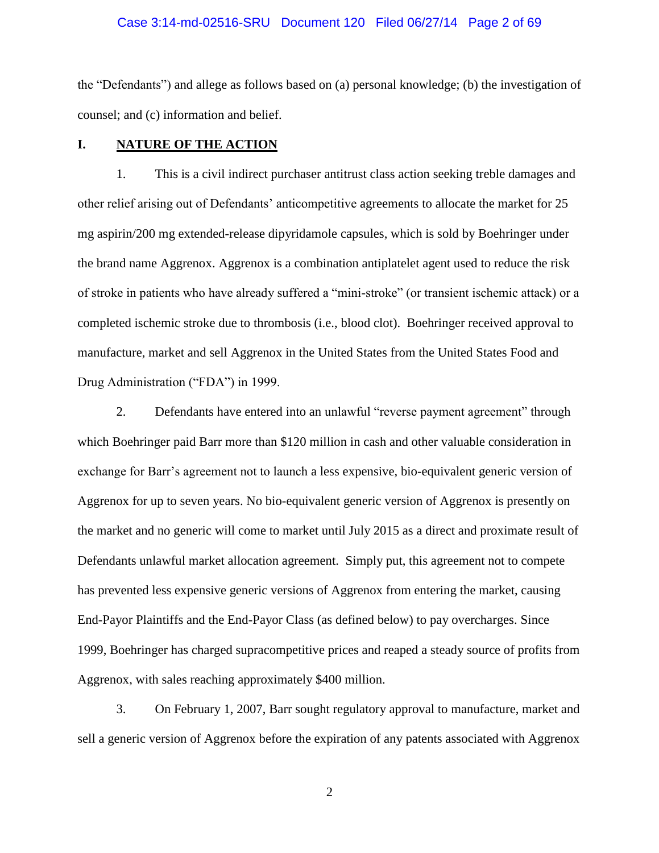## Case 3:14-md-02516-SRU Document 120 Filed 06/27/14 Page 2 of 69

the "Defendants") and allege as follows based on (a) personal knowledge; (b) the investigation of counsel; and (c) information and belief.

# **I. NATURE OF THE ACTION**

1. This is a civil indirect purchaser antitrust class action seeking treble damages and other relief arising out of Defendants' anticompetitive agreements to allocate the market for 25 mg aspirin/200 mg extended-release dipyridamole capsules, which is sold by Boehringer under the brand name Aggrenox. Aggrenox is a combination antiplatelet agent used to reduce the risk of stroke in patients who have already suffered a "mini-stroke" (or transient ischemic attack) or a completed ischemic stroke due to thrombosis (i.e., blood clot). Boehringer received approval to manufacture, market and sell Aggrenox in the United States from the United States Food and Drug Administration ("FDA") in 1999.

2. Defendants have entered into an unlawful "reverse payment agreement" through which Boehringer paid Barr more than \$120 million in cash and other valuable consideration in exchange for Barr's agreement not to launch a less expensive, bio-equivalent generic version of Aggrenox for up to seven years. No bio-equivalent generic version of Aggrenox is presently on the market and no generic will come to market until July 2015 as a direct and proximate result of Defendants unlawful market allocation agreement. Simply put, this agreement not to compete has prevented less expensive generic versions of Aggrenox from entering the market, causing End-Payor Plaintiffs and the End-Payor Class (as defined below) to pay overcharges. Since 1999, Boehringer has charged supracompetitive prices and reaped a steady source of profits from Aggrenox, with sales reaching approximately \$400 million.

3. On February 1, 2007, Barr sought regulatory approval to manufacture, market and sell a generic version of Aggrenox before the expiration of any patents associated with Aggrenox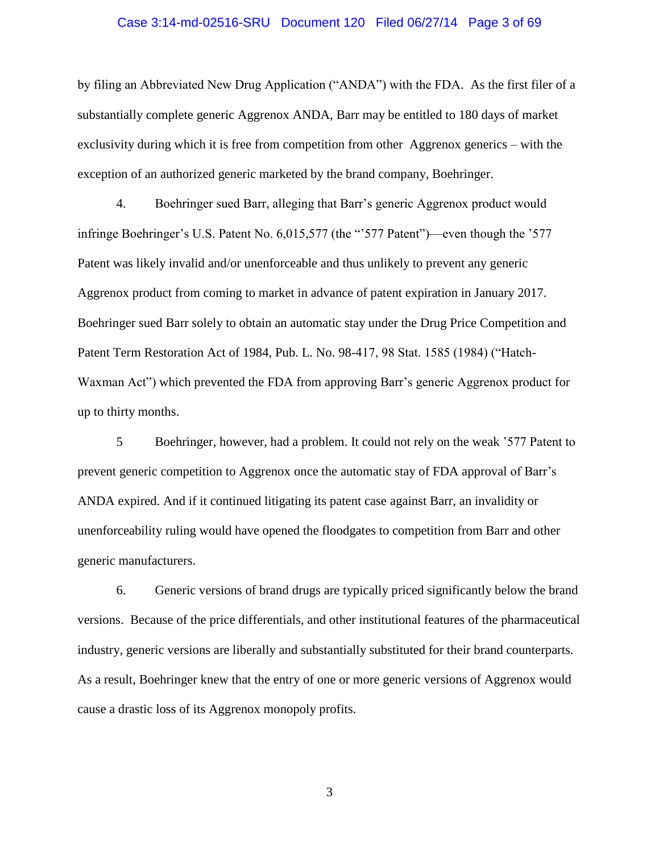## Case 3:14-md-02516-SRU Document 120 Filed 06/27/14 Page 3 of 69

by filing an Abbreviated New Drug Application ("ANDA") with the FDA. As the first filer of a substantially complete generic Aggrenox ANDA, Barr may be entitled to 180 days of market exclusivity during which it is free from competition from other Aggrenox generics – with the exception of an authorized generic marketed by the brand company, Boehringer.

4. Boehringer sued Barr, alleging that Barr's generic Aggrenox product would infringe Boehringer's U.S. Patent No. 6,015,577 (the "'577 Patent")—even though the '577 Patent was likely invalid and/or unenforceable and thus unlikely to prevent any generic Aggrenox product from coming to market in advance of patent expiration in January 2017. Boehringer sued Barr solely to obtain an automatic stay under the Drug Price Competition and Patent Term Restoration Act of 1984, Pub. L. No. 98-417, 98 Stat. 1585 (1984) ("Hatch-Waxman Act") which prevented the FDA from approving Barr's generic Aggrenox product for up to thirty months.

5 Boehringer, however, had a problem. It could not rely on the weak '577 Patent to prevent generic competition to Aggrenox once the automatic stay of FDA approval of Barr's ANDA expired. And if it continued litigating its patent case against Barr, an invalidity or unenforceability ruling would have opened the floodgates to competition from Barr and other generic manufacturers.

6. Generic versions of brand drugs are typically priced significantly below the brand versions. Because of the price differentials, and other institutional features of the pharmaceutical industry, generic versions are liberally and substantially substituted for their brand counterparts. As a result, Boehringer knew that the entry of one or more generic versions of Aggrenox would cause a drastic loss of its Aggrenox monopoly profits.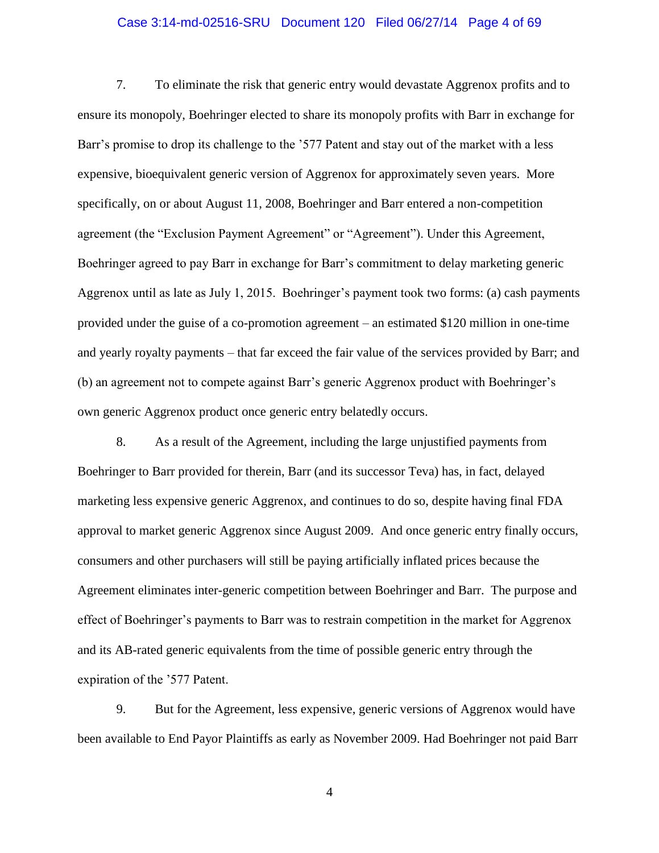# Case 3:14-md-02516-SRU Document 120 Filed 06/27/14 Page 4 of 69

7. To eliminate the risk that generic entry would devastate Aggrenox profits and to ensure its monopoly, Boehringer elected to share its monopoly profits with Barr in exchange for Barr's promise to drop its challenge to the '577 Patent and stay out of the market with a less expensive, bioequivalent generic version of Aggrenox for approximately seven years. More specifically, on or about August 11, 2008, Boehringer and Barr entered a non-competition agreement (the "Exclusion Payment Agreement" or "Agreement"). Under this Agreement, Boehringer agreed to pay Barr in exchange for Barr's commitment to delay marketing generic Aggrenox until as late as July 1, 2015. Boehringer's payment took two forms: (a) cash payments provided under the guise of a co-promotion agreement – an estimated \$120 million in one-time and yearly royalty payments – that far exceed the fair value of the services provided by Barr; and (b) an agreement not to compete against Barr's generic Aggrenox product with Boehringer's own generic Aggrenox product once generic entry belatedly occurs.

8. As a result of the Agreement, including the large unjustified payments from Boehringer to Barr provided for therein, Barr (and its successor Teva) has, in fact, delayed marketing less expensive generic Aggrenox, and continues to do so, despite having final FDA approval to market generic Aggrenox since August 2009. And once generic entry finally occurs, consumers and other purchasers will still be paying artificially inflated prices because the Agreement eliminates inter-generic competition between Boehringer and Barr. The purpose and effect of Boehringer's payments to Barr was to restrain competition in the market for Aggrenox and its AB-rated generic equivalents from the time of possible generic entry through the expiration of the '577 Patent.

9. But for the Agreement, less expensive, generic versions of Aggrenox would have been available to End Payor Plaintiffs as early as November 2009. Had Boehringer not paid Barr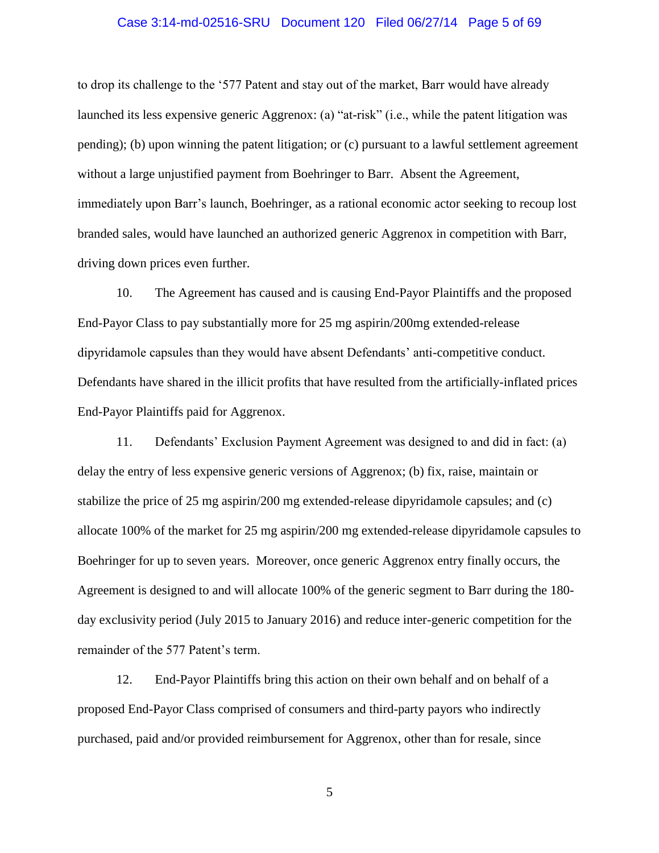## Case 3:14-md-02516-SRU Document 120 Filed 06/27/14 Page 5 of 69

to drop its challenge to the '577 Patent and stay out of the market, Barr would have already launched its less expensive generic Aggrenox: (a) "at-risk" (i.e., while the patent litigation was pending); (b) upon winning the patent litigation; or (c) pursuant to a lawful settlement agreement without a large unjustified payment from Boehringer to Barr. Absent the Agreement, immediately upon Barr's launch, Boehringer, as a rational economic actor seeking to recoup lost branded sales, would have launched an authorized generic Aggrenox in competition with Barr, driving down prices even further.

10. The Agreement has caused and is causing End-Payor Plaintiffs and the proposed End-Payor Class to pay substantially more for 25 mg aspirin/200mg extended-release dipyridamole capsules than they would have absent Defendants' anti-competitive conduct. Defendants have shared in the illicit profits that have resulted from the artificially-inflated prices End-Payor Plaintiffs paid for Aggrenox.

11. Defendants' Exclusion Payment Agreement was designed to and did in fact: (a) delay the entry of less expensive generic versions of Aggrenox; (b) fix, raise, maintain or stabilize the price of 25 mg aspirin/200 mg extended-release dipyridamole capsules; and (c) allocate 100% of the market for 25 mg aspirin/200 mg extended-release dipyridamole capsules to Boehringer for up to seven years. Moreover, once generic Aggrenox entry finally occurs, the Agreement is designed to and will allocate 100% of the generic segment to Barr during the 180 day exclusivity period (July 2015 to January 2016) and reduce inter-generic competition for the remainder of the 577 Patent's term.

12. End-Payor Plaintiffs bring this action on their own behalf and on behalf of a proposed End-Payor Class comprised of consumers and third-party payors who indirectly purchased, paid and/or provided reimbursement for Aggrenox, other than for resale, since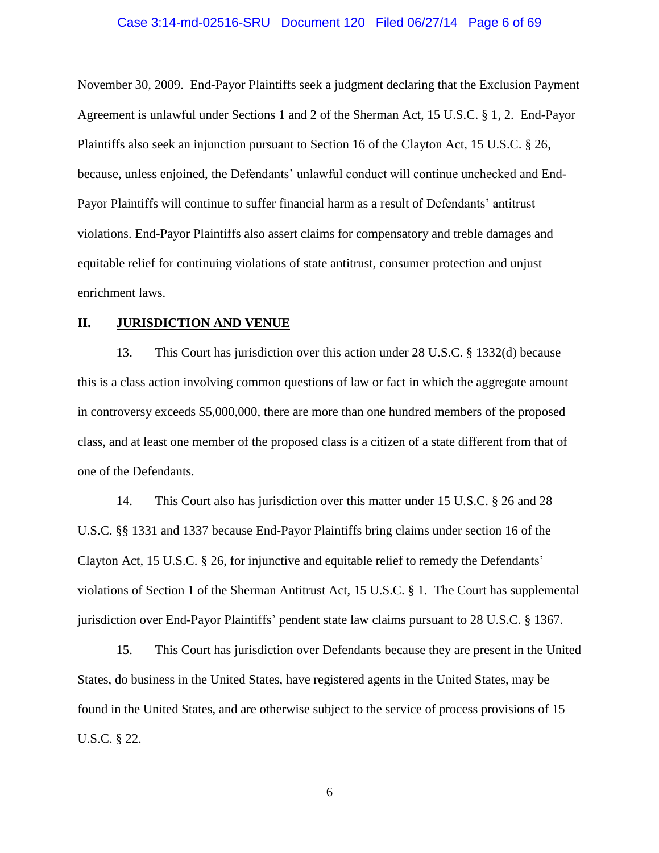## Case 3:14-md-02516-SRU Document 120 Filed 06/27/14 Page 6 of 69

November 30, 2009. End-Payor Plaintiffs seek a judgment declaring that the Exclusion Payment Agreement is unlawful under Sections 1 and 2 of the Sherman Act, 15 U.S.C. § 1, 2. End-Payor Plaintiffs also seek an injunction pursuant to Section 16 of the Clayton Act, 15 U.S.C. § 26, because, unless enjoined, the Defendants' unlawful conduct will continue unchecked and End-Payor Plaintiffs will continue to suffer financial harm as a result of Defendants' antitrust violations. End-Payor Plaintiffs also assert claims for compensatory and treble damages and equitable relief for continuing violations of state antitrust, consumer protection and unjust enrichment laws.

# **II. JURISDICTION AND VENUE**

13. This Court has jurisdiction over this action under 28 U.S.C. § 1332(d) because this is a class action involving common questions of law or fact in which the aggregate amount in controversy exceeds \$5,000,000, there are more than one hundred members of the proposed class, and at least one member of the proposed class is a citizen of a state different from that of one of the Defendants.

14. This Court also has jurisdiction over this matter under 15 U.S.C. § 26 and 28 U.S.C. §§ 1331 and 1337 because End-Payor Plaintiffs bring claims under section 16 of the Clayton Act, 15 U.S.C. § 26, for injunctive and equitable relief to remedy the Defendants' violations of Section 1 of the Sherman Antitrust Act, 15 U.S.C. § 1. The Court has supplemental jurisdiction over End-Payor Plaintiffs' pendent state law claims pursuant to 28 U.S.C. § 1367.

15. This Court has jurisdiction over Defendants because they are present in the United States, do business in the United States, have registered agents in the United States, may be found in the United States, and are otherwise subject to the service of process provisions of 15 U.S.C. § 22.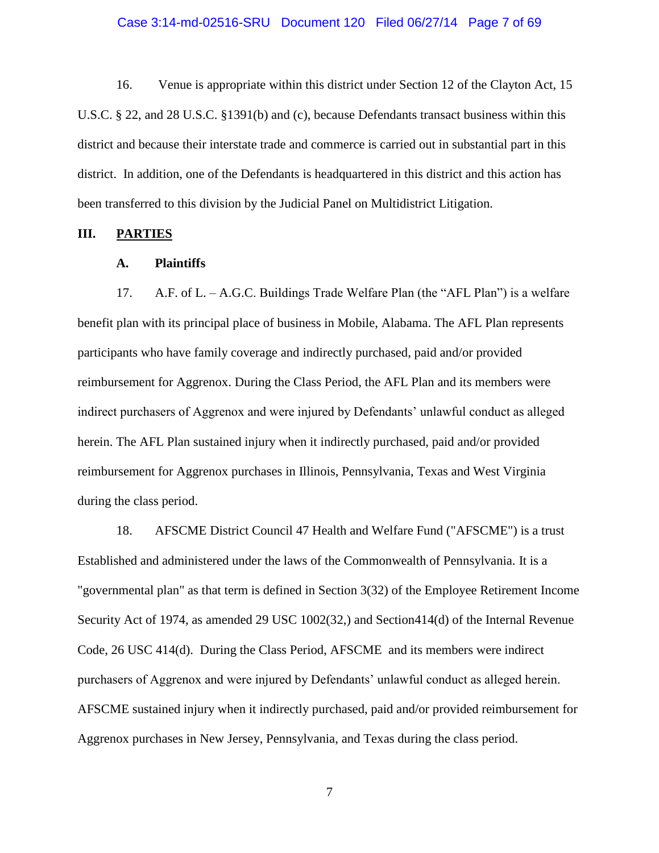## Case 3:14-md-02516-SRU Document 120 Filed 06/27/14 Page 7 of 69

16. Venue is appropriate within this district under Section 12 of the Clayton Act, 15 U.S.C. § 22, and 28 U.S.C. §1391(b) and (c), because Defendants transact business within this district and because their interstate trade and commerce is carried out in substantial part in this district. In addition, one of the Defendants is headquartered in this district and this action has been transferred to this division by the Judicial Panel on Multidistrict Litigation.

## **III. PARTIES**

## **A. Plaintiffs**

17. A.F. of L. – A.G.C. Buildings Trade Welfare Plan (the "AFL Plan") is a welfare benefit plan with its principal place of business in Mobile, Alabama. The AFL Plan represents participants who have family coverage and indirectly purchased, paid and/or provided reimbursement for Aggrenox. During the Class Period, the AFL Plan and its members were indirect purchasers of Aggrenox and were injured by Defendants' unlawful conduct as alleged herein. The AFL Plan sustained injury when it indirectly purchased, paid and/or provided reimbursement for Aggrenox purchases in Illinois, Pennsylvania, Texas and West Virginia during the class period.

18. AFSCME District Council 47 Health and Welfare Fund ("AFSCME") is a trust Established and administered under the laws of the Commonwealth of Pennsylvania. It is a "governmental plan" as that term is defined in Section 3(32) of the Employee Retirement Income Security Act of 1974, as amended 29 USC 1002(32,) and Section414(d) of the Internal Revenue Code, 26 USC 414(d). During the Class Period, AFSCME and its members were indirect purchasers of Aggrenox and were injured by Defendants' unlawful conduct as alleged herein. AFSCME sustained injury when it indirectly purchased, paid and/or provided reimbursement for Aggrenox purchases in New Jersey, Pennsylvania, and Texas during the class period.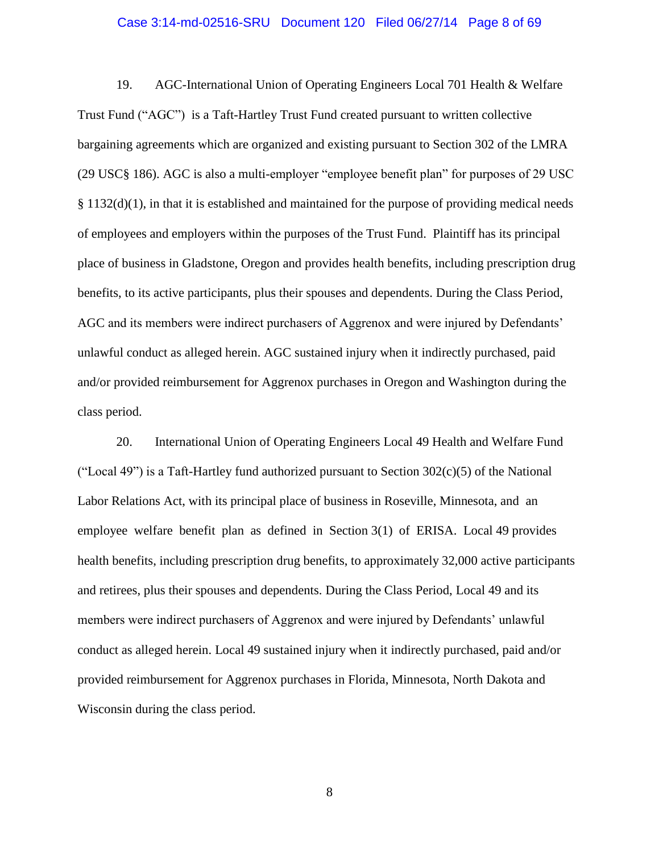#### Case 3:14-md-02516-SRU Document 120 Filed 06/27/14 Page 8 of 69

19. AGC-International Union of Operating Engineers Local 701 Health & Welfare Trust Fund ("AGC") is a Taft-Hartley Trust Fund created pursuant to written collective bargaining agreements which are organized and existing pursuant to Section 302 of the LMRA (29 USC§ 186). AGC is also a multi-employer "employee benefit plan" for purposes of 29 USC § 1132(d)(1), in that it is established and maintained for the purpose of providing medical needs of employees and employers within the purposes of the Trust Fund. Plaintiff has its principal place of business in Gladstone, Oregon and provides health benefits, including prescription drug benefits, to its active participants, plus their spouses and dependents. During the Class Period, AGC and its members were indirect purchasers of Aggrenox and were injured by Defendants' unlawful conduct as alleged herein. AGC sustained injury when it indirectly purchased, paid and/or provided reimbursement for Aggrenox purchases in Oregon and Washington during the class period.

20. International Union of Operating Engineers Local 49 Health and Welfare Fund ("Local 49") is a Taft-Hartley fund authorized pursuant to Section  $302(c)(5)$  of the National Labor Relations Act, with its principal place of business in Roseville, Minnesota, and an employee welfare benefit plan as defined in Section 3(1) of ERISA. Local 49 provides health benefits, including prescription drug benefits, to approximately 32,000 active participants and retirees, plus their spouses and dependents. During the Class Period, Local 49 and its members were indirect purchasers of Aggrenox and were injured by Defendants' unlawful conduct as alleged herein. Local 49 sustained injury when it indirectly purchased, paid and/or provided reimbursement for Aggrenox purchases in Florida, Minnesota, North Dakota and Wisconsin during the class period.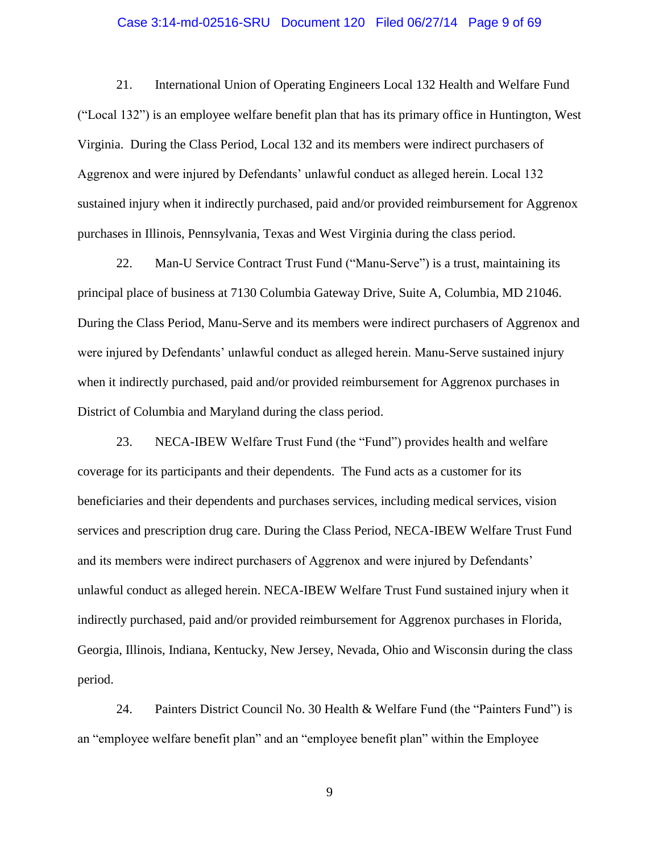## Case 3:14-md-02516-SRU Document 120 Filed 06/27/14 Page 9 of 69

21. International Union of Operating Engineers Local 132 Health and Welfare Fund ("Local 132") is an employee welfare benefit plan that has its primary office in Huntington, West Virginia. During the Class Period, Local 132 and its members were indirect purchasers of Aggrenox and were injured by Defendants' unlawful conduct as alleged herein. Local 132 sustained injury when it indirectly purchased, paid and/or provided reimbursement for Aggrenox purchases in Illinois, Pennsylvania, Texas and West Virginia during the class period.

22. Man-U Service Contract Trust Fund ("Manu-Serve") is a trust, maintaining its principal place of business at 7130 Columbia Gateway Drive, Suite A, Columbia, MD 21046. During the Class Period, Manu-Serve and its members were indirect purchasers of Aggrenox and were injured by Defendants' unlawful conduct as alleged herein. Manu-Serve sustained injury when it indirectly purchased, paid and/or provided reimbursement for Aggrenox purchases in District of Columbia and Maryland during the class period.

23. NECA-IBEW Welfare Trust Fund (the "Fund") provides health and welfare coverage for its participants and their dependents. The Fund acts as a customer for its beneficiaries and their dependents and purchases services, including medical services, vision services and prescription drug care. During the Class Period, NECA-IBEW Welfare Trust Fund and its members were indirect purchasers of Aggrenox and were injured by Defendants' unlawful conduct as alleged herein. NECA-IBEW Welfare Trust Fund sustained injury when it indirectly purchased, paid and/or provided reimbursement for Aggrenox purchases in Florida, Georgia, Illinois, Indiana, Kentucky, New Jersey, Nevada, Ohio and Wisconsin during the class period.

24. Painters District Council No. 30 Health & Welfare Fund (the "Painters Fund") is an "employee welfare benefit plan" and an "employee benefit plan" within the Employee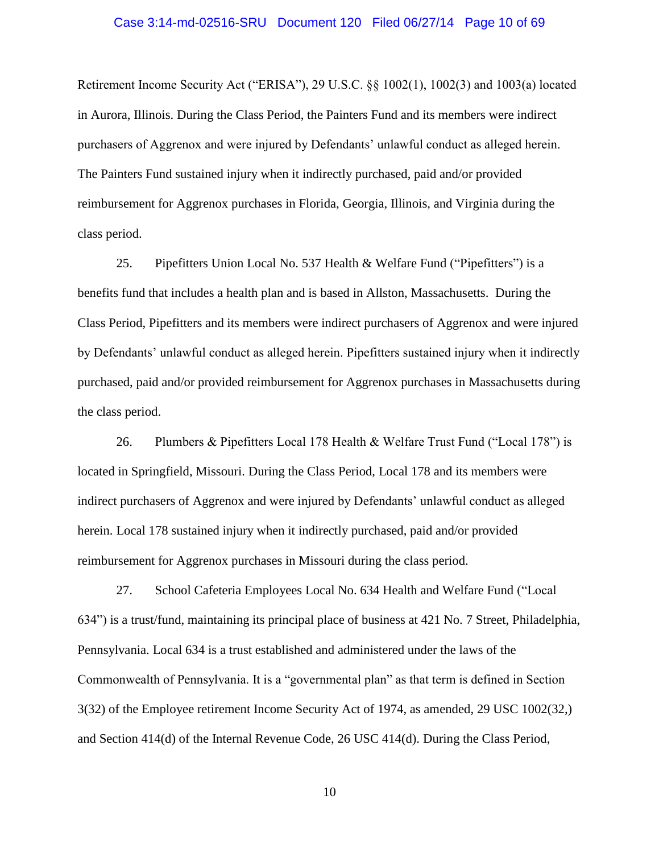## Case 3:14-md-02516-SRU Document 120 Filed 06/27/14 Page 10 of 69

Retirement Income Security Act ("ERISA"), 29 U.S.C. §§ 1002(1), 1002(3) and 1003(a) located in Aurora, Illinois. During the Class Period, the Painters Fund and its members were indirect purchasers of Aggrenox and were injured by Defendants' unlawful conduct as alleged herein. The Painters Fund sustained injury when it indirectly purchased, paid and/or provided reimbursement for Aggrenox purchases in Florida, Georgia, Illinois, and Virginia during the class period.

25. Pipefitters Union Local No. 537 Health & Welfare Fund ("Pipefitters") is a benefits fund that includes a health plan and is based in Allston, Massachusetts. During the Class Period, Pipefitters and its members were indirect purchasers of Aggrenox and were injured by Defendants' unlawful conduct as alleged herein. Pipefitters sustained injury when it indirectly purchased, paid and/or provided reimbursement for Aggrenox purchases in Massachusetts during the class period.

26. Plumbers & Pipefitters Local 178 Health & Welfare Trust Fund ("Local 178") is located in Springfield, Missouri. During the Class Period, Local 178 and its members were indirect purchasers of Aggrenox and were injured by Defendants' unlawful conduct as alleged herein. Local 178 sustained injury when it indirectly purchased, paid and/or provided reimbursement for Aggrenox purchases in Missouri during the class period.

27. School Cafeteria Employees Local No. 634 Health and Welfare Fund ("Local 634") is a trust/fund, maintaining its principal place of business at 421 No. 7 Street, Philadelphia, Pennsylvania. Local 634 is a trust established and administered under the laws of the Commonwealth of Pennsylvania. It is a "governmental plan" as that term is defined in Section 3(32) of the Employee retirement Income Security Act of 1974, as amended, 29 USC 1002(32,) and Section 414(d) of the Internal Revenue Code, 26 USC 414(d). During the Class Period,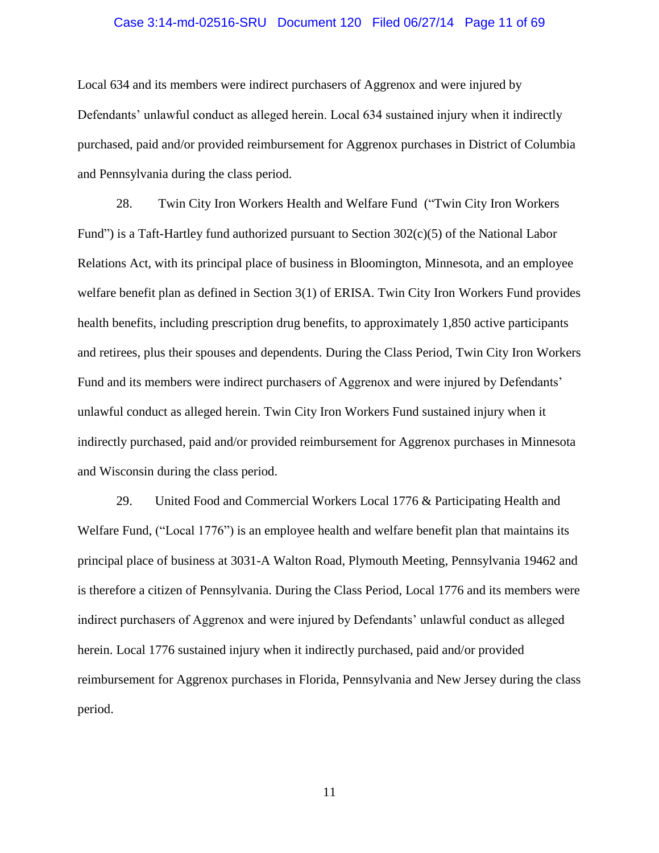## Case 3:14-md-02516-SRU Document 120 Filed 06/27/14 Page 11 of 69

Local 634 and its members were indirect purchasers of Aggrenox and were injured by Defendants' unlawful conduct as alleged herein. Local 634 sustained injury when it indirectly purchased, paid and/or provided reimbursement for Aggrenox purchases in District of Columbia and Pennsylvania during the class period.

28. Twin City Iron Workers Health and Welfare Fund ("Twin City Iron Workers Fund") is a Taft-Hartley fund authorized pursuant to Section 302(c)(5) of the National Labor Relations Act, with its principal place of business in Bloomington, Minnesota, and an employee welfare benefit plan as defined in Section 3(1) of ERISA. Twin City Iron Workers Fund provides health benefits, including prescription drug benefits, to approximately 1,850 active participants and retirees, plus their spouses and dependents. During the Class Period, Twin City Iron Workers Fund and its members were indirect purchasers of Aggrenox and were injured by Defendants' unlawful conduct as alleged herein. Twin City Iron Workers Fund sustained injury when it indirectly purchased, paid and/or provided reimbursement for Aggrenox purchases in Minnesota and Wisconsin during the class period.

29. United Food and Commercial Workers Local 1776 & Participating Health and Welfare Fund, ("Local 1776") is an employee health and welfare benefit plan that maintains its principal place of business at 3031-A Walton Road, Plymouth Meeting, Pennsylvania 19462 and is therefore a citizen of Pennsylvania. During the Class Period, Local 1776 and its members were indirect purchasers of Aggrenox and were injured by Defendants' unlawful conduct as alleged herein. Local 1776 sustained injury when it indirectly purchased, paid and/or provided reimbursement for Aggrenox purchases in Florida, Pennsylvania and New Jersey during the class period.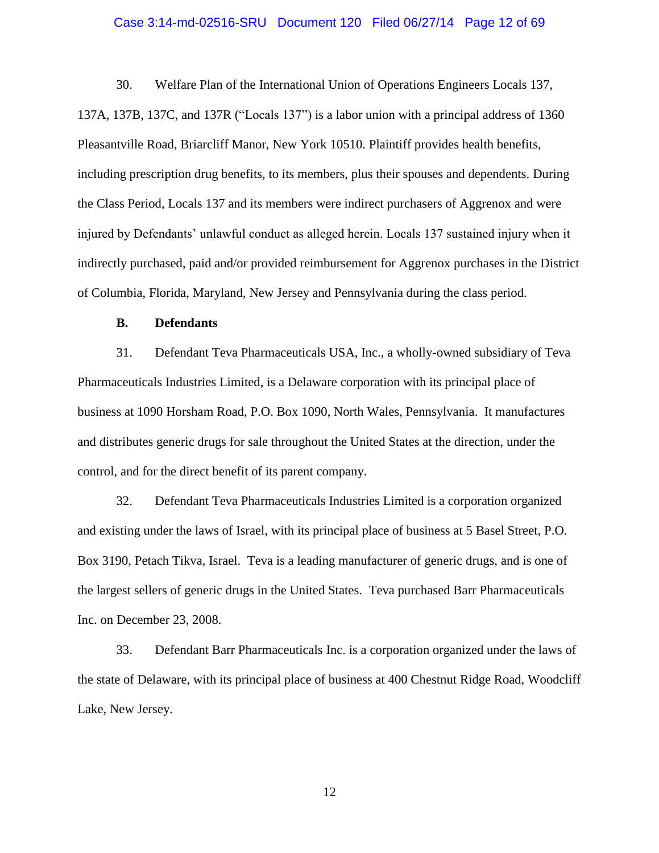## Case 3:14-md-02516-SRU Document 120 Filed 06/27/14 Page 12 of 69

30. Welfare Plan of the International Union of Operations Engineers Locals 137, 137A, 137B, 137C, and 137R ("Locals 137") is a labor union with a principal address of 1360 Pleasantville Road, Briarcliff Manor, New York 10510. Plaintiff provides health benefits, including prescription drug benefits, to its members, plus their spouses and dependents. During the Class Period, Locals 137 and its members were indirect purchasers of Aggrenox and were injured by Defendants' unlawful conduct as alleged herein. Locals 137 sustained injury when it indirectly purchased, paid and/or provided reimbursement for Aggrenox purchases in the District of Columbia, Florida, Maryland, New Jersey and Pennsylvania during the class period.

# **B. Defendants**

31. Defendant Teva Pharmaceuticals USA, Inc., a wholly-owned subsidiary of Teva Pharmaceuticals Industries Limited, is a Delaware corporation with its principal place of business at 1090 Horsham Road, P.O. Box 1090, North Wales, Pennsylvania. It manufactures and distributes generic drugs for sale throughout the United States at the direction, under the control, and for the direct benefit of its parent company.

32. Defendant Teva Pharmaceuticals Industries Limited is a corporation organized and existing under the laws of Israel, with its principal place of business at 5 Basel Street, P.O. Box 3190, Petach Tikva, Israel. Teva is a leading manufacturer of generic drugs, and is one of the largest sellers of generic drugs in the United States. Teva purchased Barr Pharmaceuticals Inc. on December 23, 2008.

33. Defendant Barr Pharmaceuticals Inc. is a corporation organized under the laws of the state of Delaware, with its principal place of business at 400 Chestnut Ridge Road, Woodcliff Lake, New Jersey.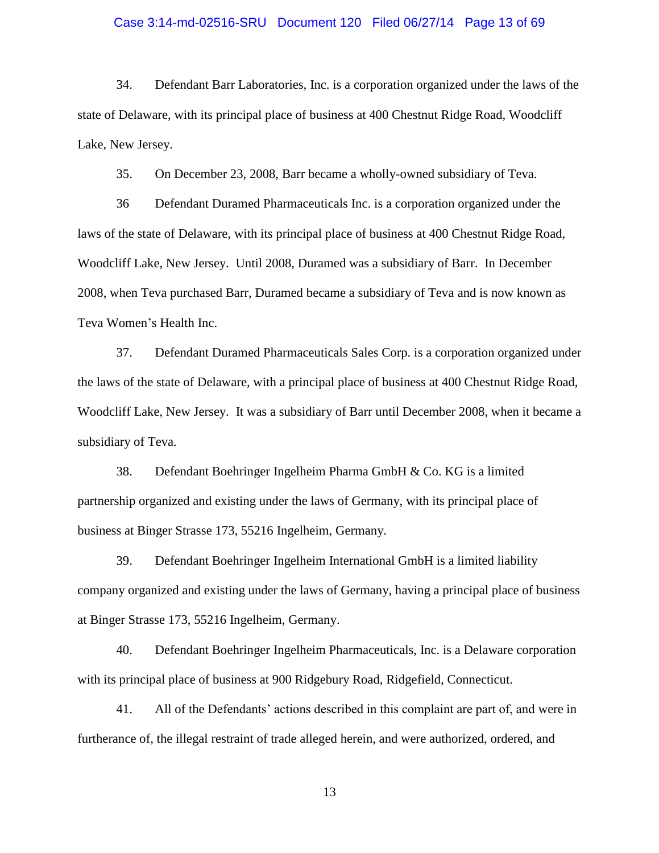## Case 3:14-md-02516-SRU Document 120 Filed 06/27/14 Page 13 of 69

34. Defendant Barr Laboratories, Inc. is a corporation organized under the laws of the state of Delaware, with its principal place of business at 400 Chestnut Ridge Road, Woodcliff Lake, New Jersey.

35. On December 23, 2008, Barr became a wholly-owned subsidiary of Teva.

36 Defendant Duramed Pharmaceuticals Inc. is a corporation organized under the laws of the state of Delaware, with its principal place of business at 400 Chestnut Ridge Road, Woodcliff Lake, New Jersey. Until 2008, Duramed was a subsidiary of Barr. In December 2008, when Teva purchased Barr, Duramed became a subsidiary of Teva and is now known as Teva Women's Health Inc.

37. Defendant Duramed Pharmaceuticals Sales Corp. is a corporation organized under the laws of the state of Delaware, with a principal place of business at 400 Chestnut Ridge Road, Woodcliff Lake, New Jersey. It was a subsidiary of Barr until December 2008, when it became a subsidiary of Teva.

38. Defendant Boehringer Ingelheim Pharma GmbH & Co. KG is a limited partnership organized and existing under the laws of Germany, with its principal place of business at Binger Strasse 173, 55216 Ingelheim, Germany.

39. Defendant Boehringer Ingelheim International GmbH is a limited liability company organized and existing under the laws of Germany, having a principal place of business at Binger Strasse 173, 55216 Ingelheim, Germany.

40. Defendant Boehringer Ingelheim Pharmaceuticals, Inc. is a Delaware corporation with its principal place of business at 900 Ridgebury Road, Ridgefield, Connecticut.

41. All of the Defendants' actions described in this complaint are part of, and were in furtherance of, the illegal restraint of trade alleged herein, and were authorized, ordered, and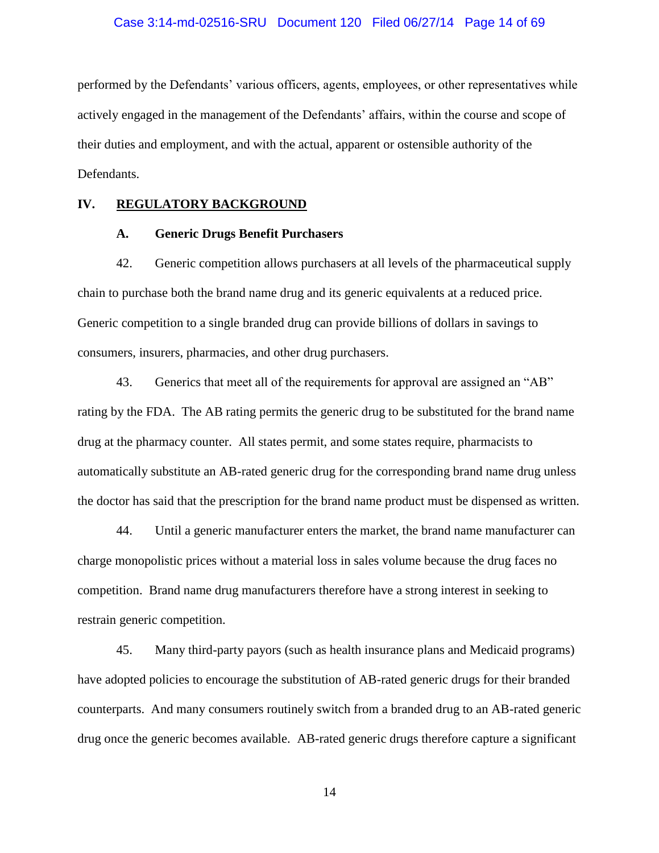## Case 3:14-md-02516-SRU Document 120 Filed 06/27/14 Page 14 of 69

performed by the Defendants' various officers, agents, employees, or other representatives while actively engaged in the management of the Defendants' affairs, within the course and scope of their duties and employment, and with the actual, apparent or ostensible authority of the Defendants.

# **IV. REGULATORY BACKGROUND**

## **A. Generic Drugs Benefit Purchasers**

42. Generic competition allows purchasers at all levels of the pharmaceutical supply chain to purchase both the brand name drug and its generic equivalents at a reduced price. Generic competition to a single branded drug can provide billions of dollars in savings to consumers, insurers, pharmacies, and other drug purchasers.

43. Generics that meet all of the requirements for approval are assigned an "AB" rating by the FDA. The AB rating permits the generic drug to be substituted for the brand name drug at the pharmacy counter. All states permit, and some states require, pharmacists to automatically substitute an AB-rated generic drug for the corresponding brand name drug unless the doctor has said that the prescription for the brand name product must be dispensed as written.

44. Until a generic manufacturer enters the market, the brand name manufacturer can charge monopolistic prices without a material loss in sales volume because the drug faces no competition. Brand name drug manufacturers therefore have a strong interest in seeking to restrain generic competition.

45. Many third-party payors (such as health insurance plans and Medicaid programs) have adopted policies to encourage the substitution of AB-rated generic drugs for their branded counterparts. And many consumers routinely switch from a branded drug to an AB-rated generic drug once the generic becomes available. AB-rated generic drugs therefore capture a significant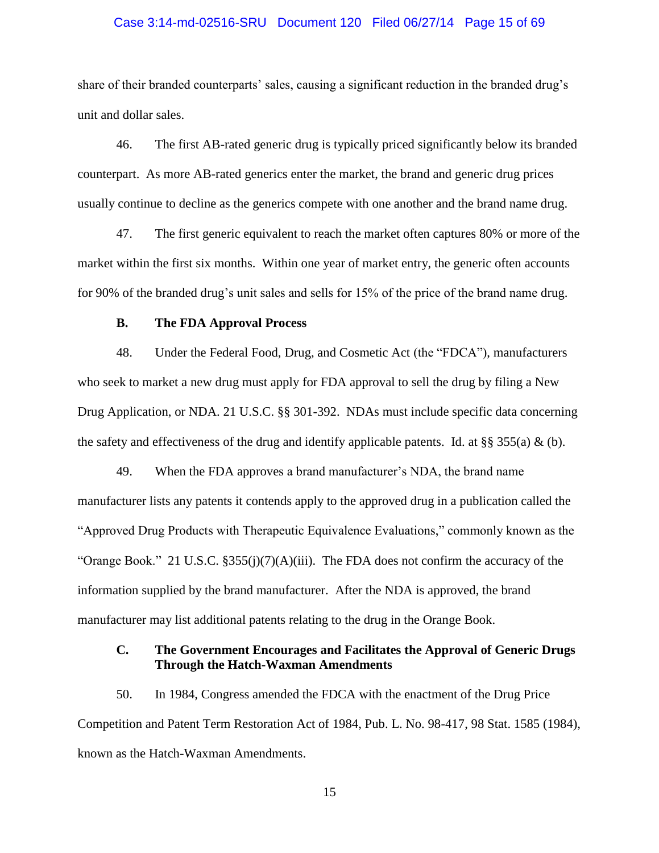## Case 3:14-md-02516-SRU Document 120 Filed 06/27/14 Page 15 of 69

share of their branded counterparts' sales, causing a significant reduction in the branded drug's unit and dollar sales.

46. The first AB-rated generic drug is typically priced significantly below its branded counterpart. As more AB-rated generics enter the market, the brand and generic drug prices usually continue to decline as the generics compete with one another and the brand name drug.

47. The first generic equivalent to reach the market often captures 80% or more of the market within the first six months. Within one year of market entry, the generic often accounts for 90% of the branded drug's unit sales and sells for 15% of the price of the brand name drug.

# **B. The FDA Approval Process**

48. Under the Federal Food, Drug, and Cosmetic Act (the "FDCA"), manufacturers who seek to market a new drug must apply for FDA approval to sell the drug by filing a New Drug Application, or NDA. 21 U.S.C. §§ 301-392. NDAs must include specific data concerning the safety and effectiveness of the drug and identify applicable patents. Id. at §§ 355(a) & (b).

49. When the FDA approves a brand manufacturer's NDA, the brand name manufacturer lists any patents it contends apply to the approved drug in a publication called the "Approved Drug Products with Therapeutic Equivalence Evaluations," commonly known as the "Orange Book." 21 U.S.C.  $\S 355(j)(7)(A)(iii)$ . The FDA does not confirm the accuracy of the information supplied by the brand manufacturer. After the NDA is approved, the brand manufacturer may list additional patents relating to the drug in the Orange Book.

# **C. The Government Encourages and Facilitates the Approval of Generic Drugs Through the Hatch-Waxman Amendments**

50. In 1984, Congress amended the FDCA with the enactment of the Drug Price Competition and Patent Term Restoration Act of 1984, Pub. L. No. 98-417, 98 Stat. 1585 (1984), known as the Hatch-Waxman Amendments.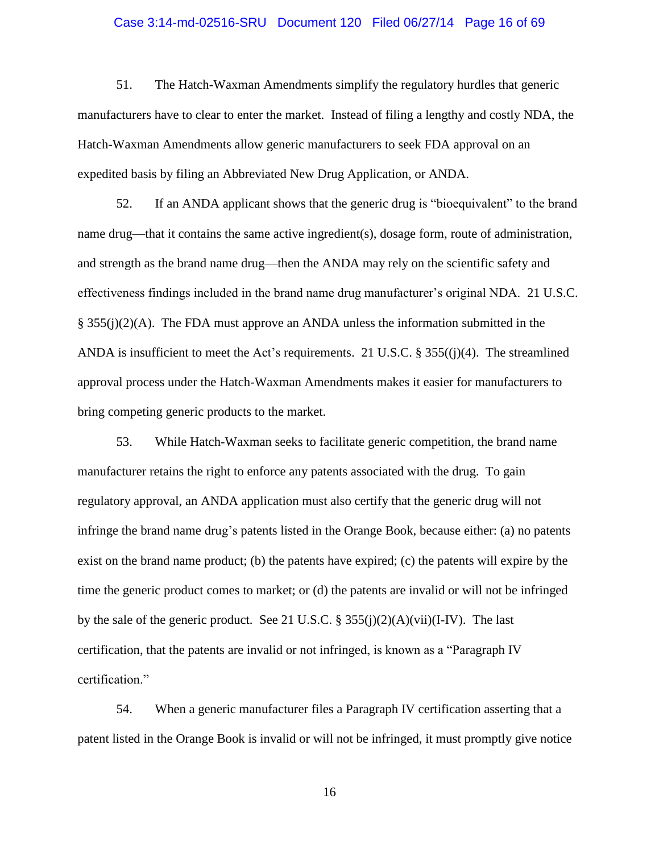## Case 3:14-md-02516-SRU Document 120 Filed 06/27/14 Page 16 of 69

51. The Hatch-Waxman Amendments simplify the regulatory hurdles that generic manufacturers have to clear to enter the market. Instead of filing a lengthy and costly NDA, the Hatch-Waxman Amendments allow generic manufacturers to seek FDA approval on an expedited basis by filing an Abbreviated New Drug Application, or ANDA.

52. If an ANDA applicant shows that the generic drug is "bioequivalent" to the brand name drug—that it contains the same active ingredient(s), dosage form, route of administration, and strength as the brand name drug—then the ANDA may rely on the scientific safety and effectiveness findings included in the brand name drug manufacturer's original NDA. 21 U.S.C. § 355(j)(2)(A). The FDA must approve an ANDA unless the information submitted in the ANDA is insufficient to meet the Act's requirements. 21 U.S.C. § 355((j)(4). The streamlined approval process under the Hatch-Waxman Amendments makes it easier for manufacturers to bring competing generic products to the market.

53. While Hatch-Waxman seeks to facilitate generic competition, the brand name manufacturer retains the right to enforce any patents associated with the drug. To gain regulatory approval, an ANDA application must also certify that the generic drug will not infringe the brand name drug's patents listed in the Orange Book, because either: (a) no patents exist on the brand name product; (b) the patents have expired; (c) the patents will expire by the time the generic product comes to market; or (d) the patents are invalid or will not be infringed by the sale of the generic product. See 21 U.S.C. § 355(j)(2)(A)(vii)(I-IV). The last certification, that the patents are invalid or not infringed, is known as a "Paragraph IV certification."

54. When a generic manufacturer files a Paragraph IV certification asserting that a patent listed in the Orange Book is invalid or will not be infringed, it must promptly give notice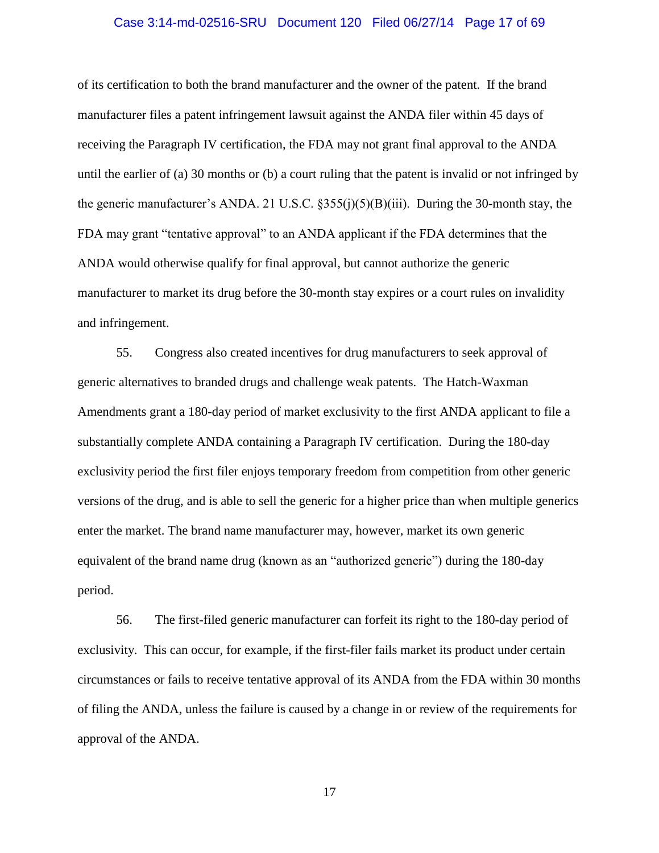## Case 3:14-md-02516-SRU Document 120 Filed 06/27/14 Page 17 of 69

of its certification to both the brand manufacturer and the owner of the patent. If the brand manufacturer files a patent infringement lawsuit against the ANDA filer within 45 days of receiving the Paragraph IV certification, the FDA may not grant final approval to the ANDA until the earlier of (a) 30 months or (b) a court ruling that the patent is invalid or not infringed by the generic manufacturer's ANDA. 21 U.S.C.  $\S 355(i)(5)(B)(iii)$ . During the 30-month stay, the FDA may grant "tentative approval" to an ANDA applicant if the FDA determines that the ANDA would otherwise qualify for final approval, but cannot authorize the generic manufacturer to market its drug before the 30-month stay expires or a court rules on invalidity and infringement.

55. Congress also created incentives for drug manufacturers to seek approval of generic alternatives to branded drugs and challenge weak patents. The Hatch-Waxman Amendments grant a 180-day period of market exclusivity to the first ANDA applicant to file a substantially complete ANDA containing a Paragraph IV certification. During the 180-day exclusivity period the first filer enjoys temporary freedom from competition from other generic versions of the drug, and is able to sell the generic for a higher price than when multiple generics enter the market. The brand name manufacturer may, however, market its own generic equivalent of the brand name drug (known as an "authorized generic") during the 180-day period.

56. The first-filed generic manufacturer can forfeit its right to the 180-day period of exclusivity. This can occur, for example, if the first-filer fails market its product under certain circumstances or fails to receive tentative approval of its ANDA from the FDA within 30 months of filing the ANDA, unless the failure is caused by a change in or review of the requirements for approval of the ANDA.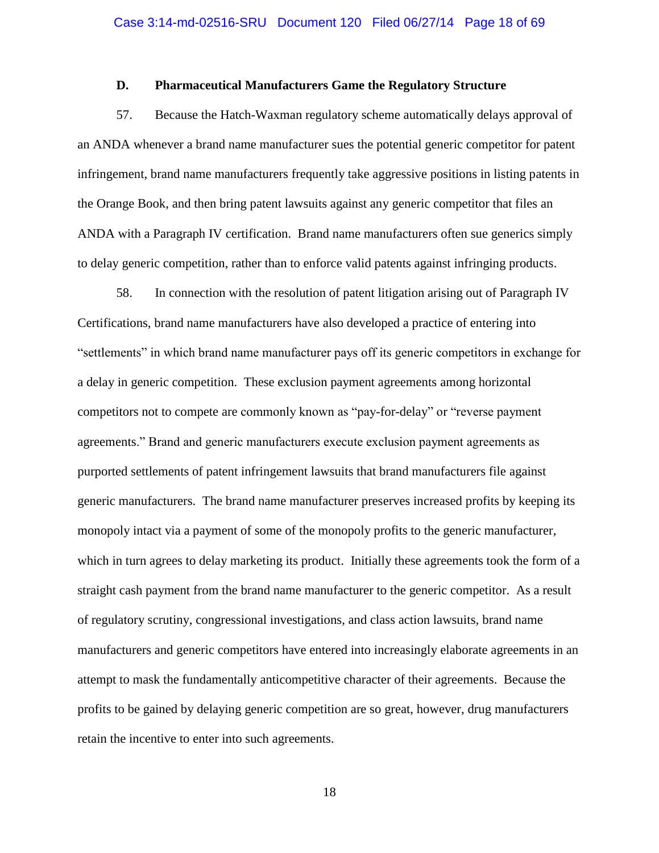# **D. Pharmaceutical Manufacturers Game the Regulatory Structure**

57. Because the Hatch-Waxman regulatory scheme automatically delays approval of an ANDA whenever a brand name manufacturer sues the potential generic competitor for patent infringement, brand name manufacturers frequently take aggressive positions in listing patents in the Orange Book, and then bring patent lawsuits against any generic competitor that files an ANDA with a Paragraph IV certification. Brand name manufacturers often sue generics simply to delay generic competition, rather than to enforce valid patents against infringing products.

58. In connection with the resolution of patent litigation arising out of Paragraph IV Certifications, brand name manufacturers have also developed a practice of entering into "settlements" in which brand name manufacturer pays off its generic competitors in exchange for a delay in generic competition. These exclusion payment agreements among horizontal competitors not to compete are commonly known as "pay-for-delay" or "reverse payment agreements." Brand and generic manufacturers execute exclusion payment agreements as purported settlements of patent infringement lawsuits that brand manufacturers file against generic manufacturers. The brand name manufacturer preserves increased profits by keeping its monopoly intact via a payment of some of the monopoly profits to the generic manufacturer, which in turn agrees to delay marketing its product. Initially these agreements took the form of a straight cash payment from the brand name manufacturer to the generic competitor. As a result of regulatory scrutiny, congressional investigations, and class action lawsuits, brand name manufacturers and generic competitors have entered into increasingly elaborate agreements in an attempt to mask the fundamentally anticompetitive character of their agreements. Because the profits to be gained by delaying generic competition are so great, however, drug manufacturers retain the incentive to enter into such agreements.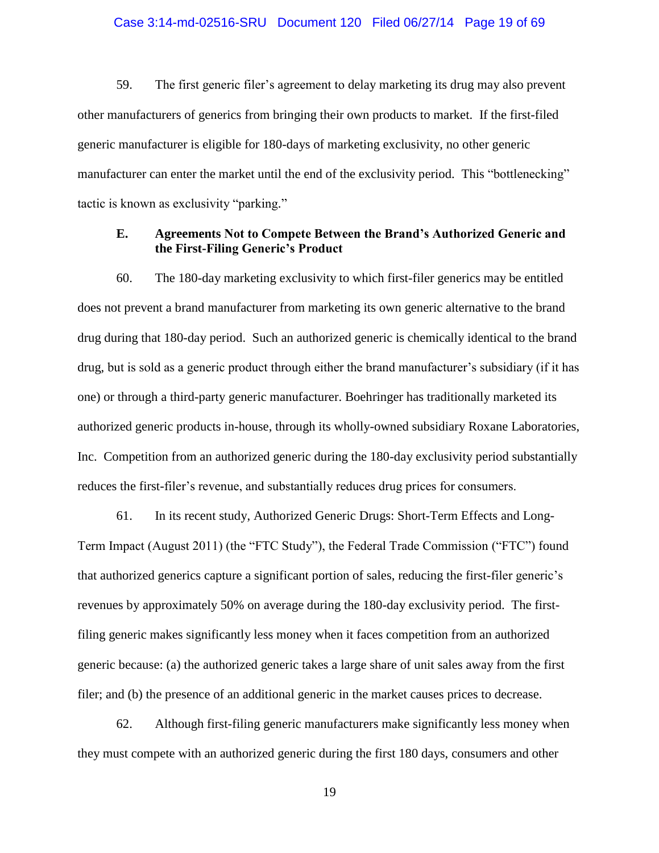## Case 3:14-md-02516-SRU Document 120 Filed 06/27/14 Page 19 of 69

59. The first generic filer's agreement to delay marketing its drug may also prevent other manufacturers of generics from bringing their own products to market. If the first-filed generic manufacturer is eligible for 180-days of marketing exclusivity, no other generic manufacturer can enter the market until the end of the exclusivity period. This "bottlenecking" tactic is known as exclusivity "parking."

# **E. Agreements Not to Compete Between the Brand's Authorized Generic and the First-Filing Generic's Product**

60. The 180-day marketing exclusivity to which first-filer generics may be entitled does not prevent a brand manufacturer from marketing its own generic alternative to the brand drug during that 180-day period. Such an authorized generic is chemically identical to the brand drug, but is sold as a generic product through either the brand manufacturer's subsidiary (if it has one) or through a third-party generic manufacturer. Boehringer has traditionally marketed its authorized generic products in-house, through its wholly-owned subsidiary Roxane Laboratories, Inc. Competition from an authorized generic during the 180-day exclusivity period substantially reduces the first-filer's revenue, and substantially reduces drug prices for consumers.

61. In its recent study, Authorized Generic Drugs: Short-Term Effects and Long-Term Impact (August 2011) (the "FTC Study"), the Federal Trade Commission ("FTC") found that authorized generics capture a significant portion of sales, reducing the first-filer generic's revenues by approximately 50% on average during the 180-day exclusivity period. The firstfiling generic makes significantly less money when it faces competition from an authorized generic because: (a) the authorized generic takes a large share of unit sales away from the first filer; and (b) the presence of an additional generic in the market causes prices to decrease.

62. Although first-filing generic manufacturers make significantly less money when they must compete with an authorized generic during the first 180 days, consumers and other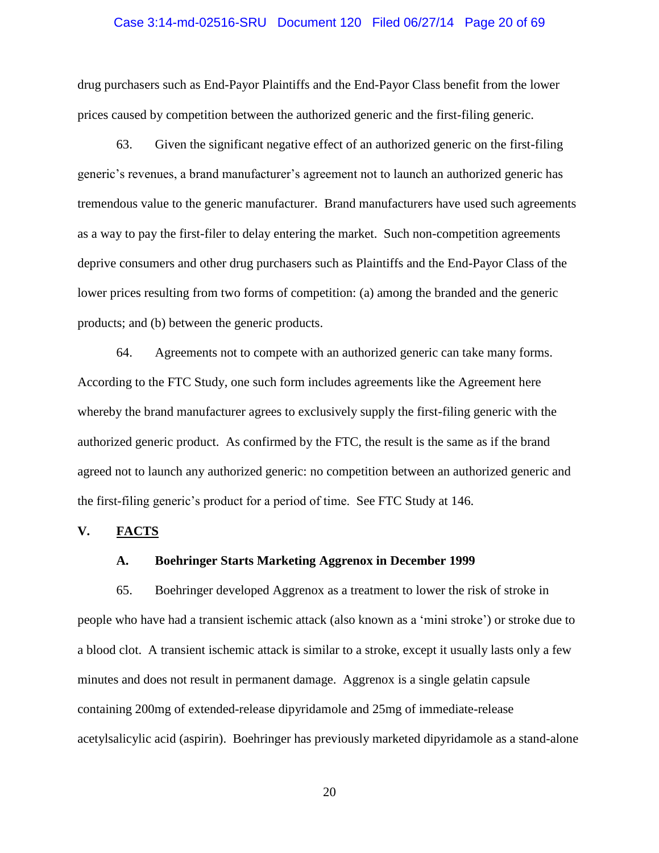## Case 3:14-md-02516-SRU Document 120 Filed 06/27/14 Page 20 of 69

drug purchasers such as End-Payor Plaintiffs and the End-Payor Class benefit from the lower prices caused by competition between the authorized generic and the first-filing generic.

63. Given the significant negative effect of an authorized generic on the first-filing generic's revenues, a brand manufacturer's agreement not to launch an authorized generic has tremendous value to the generic manufacturer. Brand manufacturers have used such agreements as a way to pay the first-filer to delay entering the market. Such non-competition agreements deprive consumers and other drug purchasers such as Plaintiffs and the End-Payor Class of the lower prices resulting from two forms of competition: (a) among the branded and the generic products; and (b) between the generic products.

64. Agreements not to compete with an authorized generic can take many forms. According to the FTC Study, one such form includes agreements like the Agreement here whereby the brand manufacturer agrees to exclusively supply the first-filing generic with the authorized generic product. As confirmed by the FTC, the result is the same as if the brand agreed not to launch any authorized generic: no competition between an authorized generic and the first-filing generic's product for a period of time. See FTC Study at 146.

# **V. FACTS**

## **A. Boehringer Starts Marketing Aggrenox in December 1999**

65. Boehringer developed Aggrenox as a treatment to lower the risk of stroke in people who have had a transient ischemic attack (also known as a 'mini stroke') or stroke due to a blood clot. A transient ischemic attack is similar to a stroke, except it usually lasts only a few minutes and does not result in permanent damage. Aggrenox is a single gelatin capsule containing 200mg of extended-release dipyridamole and 25mg of immediate-release acetylsalicylic acid (aspirin). Boehringer has previously marketed dipyridamole as a stand-alone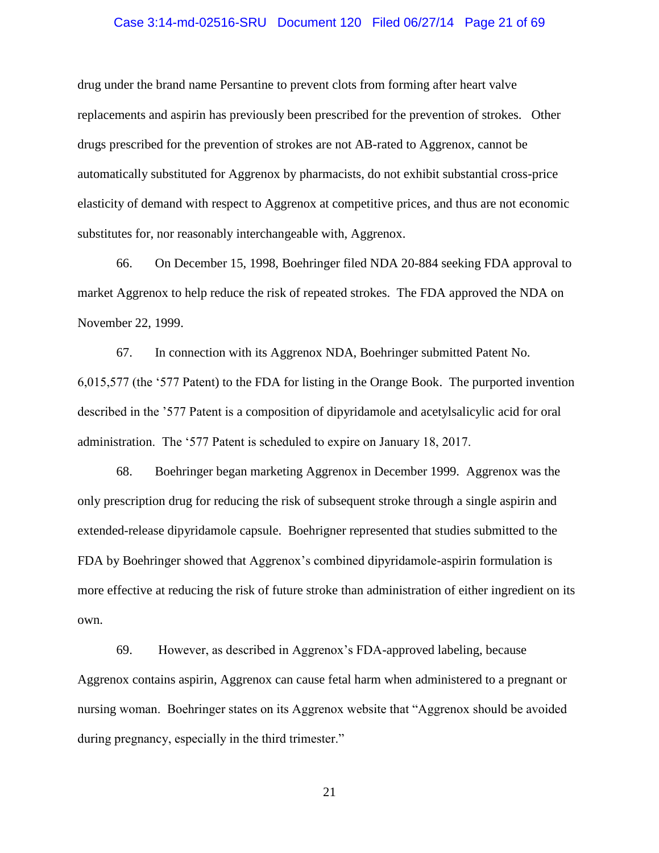## Case 3:14-md-02516-SRU Document 120 Filed 06/27/14 Page 21 of 69

drug under the brand name Persantine to prevent clots from forming after heart valve replacements and aspirin has previously been prescribed for the prevention of strokes. Other drugs prescribed for the prevention of strokes are not AB-rated to Aggrenox, cannot be automatically substituted for Aggrenox by pharmacists, do not exhibit substantial cross-price elasticity of demand with respect to Aggrenox at competitive prices, and thus are not economic substitutes for, nor reasonably interchangeable with, Aggrenox.

66. On December 15, 1998, Boehringer filed NDA 20-884 seeking FDA approval to market Aggrenox to help reduce the risk of repeated strokes. The FDA approved the NDA on November 22, 1999.

67. In connection with its Aggrenox NDA, Boehringer submitted Patent No. 6,015,577 (the '577 Patent) to the FDA for listing in the Orange Book. The purported invention described in the '577 Patent is a composition of dipyridamole and acetylsalicylic acid for oral administration. The '577 Patent is scheduled to expire on January 18, 2017.

68. Boehringer began marketing Aggrenox in December 1999. Aggrenox was the only prescription drug for reducing the risk of subsequent stroke through a single aspirin and extended-release dipyridamole capsule. Boehrigner represented that studies submitted to the FDA by Boehringer showed that Aggrenox's combined dipyridamole-aspirin formulation is more effective at reducing the risk of future stroke than administration of either ingredient on its own.

69. However, as described in Aggrenox's FDA-approved labeling, because Aggrenox contains aspirin, Aggrenox can cause fetal harm when administered to a pregnant or nursing woman. Boehringer states on its Aggrenox website that "Aggrenox should be avoided during pregnancy, especially in the third trimester."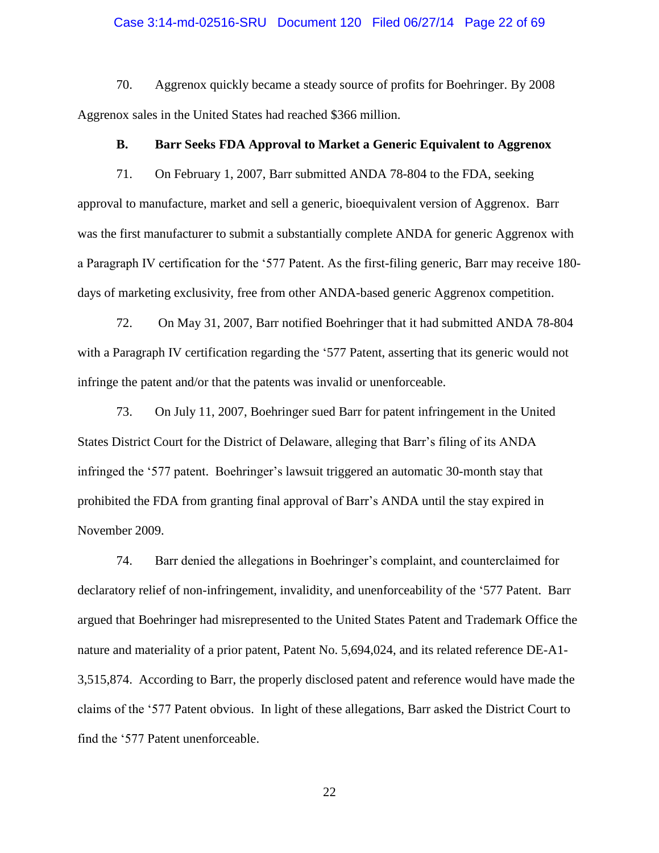## Case 3:14-md-02516-SRU Document 120 Filed 06/27/14 Page 22 of 69

70. Aggrenox quickly became a steady source of profits for Boehringer. By 2008 Aggrenox sales in the United States had reached \$366 million.

# **B. Barr Seeks FDA Approval to Market a Generic Equivalent to Aggrenox**

71. On February 1, 2007, Barr submitted ANDA 78-804 to the FDA, seeking approval to manufacture, market and sell a generic, bioequivalent version of Aggrenox. Barr was the first manufacturer to submit a substantially complete ANDA for generic Aggrenox with a Paragraph IV certification for the '577 Patent. As the first-filing generic, Barr may receive 180 days of marketing exclusivity, free from other ANDA-based generic Aggrenox competition.

72. On May 31, 2007, Barr notified Boehringer that it had submitted ANDA 78-804 with a Paragraph IV certification regarding the '577 Patent, asserting that its generic would not infringe the patent and/or that the patents was invalid or unenforceable.

73. On July 11, 2007, Boehringer sued Barr for patent infringement in the United States District Court for the District of Delaware, alleging that Barr's filing of its ANDA infringed the '577 patent. Boehringer's lawsuit triggered an automatic 30-month stay that prohibited the FDA from granting final approval of Barr's ANDA until the stay expired in November 2009.

74. Barr denied the allegations in Boehringer's complaint, and counterclaimed for declaratory relief of non-infringement, invalidity, and unenforceability of the '577 Patent. Barr argued that Boehringer had misrepresented to the United States Patent and Trademark Office the nature and materiality of a prior patent, Patent No. 5,694,024, and its related reference DE-A1- 3,515,874. According to Barr, the properly disclosed patent and reference would have made the claims of the '577 Patent obvious. In light of these allegations, Barr asked the District Court to find the '577 Patent unenforceable.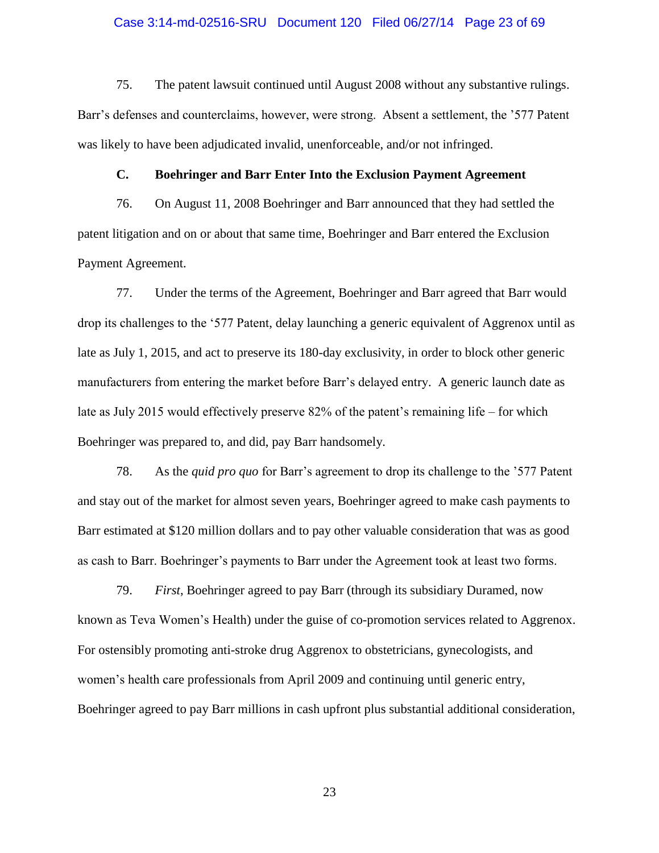## Case 3:14-md-02516-SRU Document 120 Filed 06/27/14 Page 23 of 69

75. The patent lawsuit continued until August 2008 without any substantive rulings. Barr's defenses and counterclaims, however, were strong. Absent a settlement, the '577 Patent was likely to have been adjudicated invalid, unenforceable, and/or not infringed.

## **C. Boehringer and Barr Enter Into the Exclusion Payment Agreement**

76. On August 11, 2008 Boehringer and Barr announced that they had settled the patent litigation and on or about that same time, Boehringer and Barr entered the Exclusion Payment Agreement.

77. Under the terms of the Agreement, Boehringer and Barr agreed that Barr would drop its challenges to the '577 Patent, delay launching a generic equivalent of Aggrenox until as late as July 1, 2015, and act to preserve its 180-day exclusivity, in order to block other generic manufacturers from entering the market before Barr's delayed entry. A generic launch date as late as July 2015 would effectively preserve 82% of the patent's remaining life – for which Boehringer was prepared to, and did, pay Barr handsomely.

78. As the *quid pro quo* for Barr's agreement to drop its challenge to the '577 Patent and stay out of the market for almost seven years, Boehringer agreed to make cash payments to Barr estimated at \$120 million dollars and to pay other valuable consideration that was as good as cash to Barr. Boehringer's payments to Barr under the Agreement took at least two forms.

79. *First*, Boehringer agreed to pay Barr (through its subsidiary Duramed, now known as Teva Women's Health) under the guise of co-promotion services related to Aggrenox. For ostensibly promoting anti-stroke drug Aggrenox to obstetricians, gynecologists, and women's health care professionals from April 2009 and continuing until generic entry, Boehringer agreed to pay Barr millions in cash upfront plus substantial additional consideration,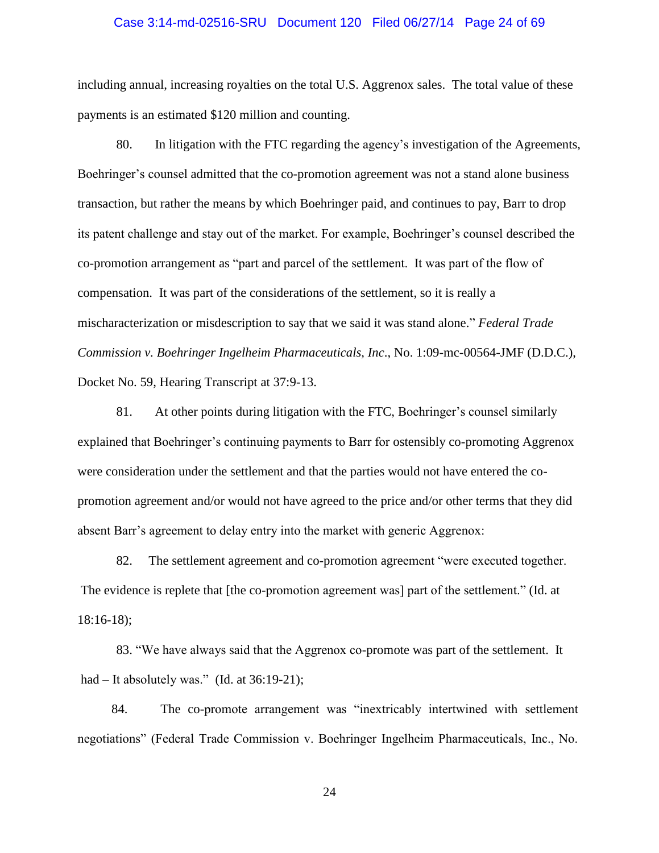## Case 3:14-md-02516-SRU Document 120 Filed 06/27/14 Page 24 of 69

including annual, increasing royalties on the total U.S. Aggrenox sales. The total value of these payments is an estimated \$120 million and counting.

80. In litigation with the FTC regarding the agency's investigation of the Agreements, Boehringer's counsel admitted that the co-promotion agreement was not a stand alone business transaction, but rather the means by which Boehringer paid, and continues to pay, Barr to drop its patent challenge and stay out of the market. For example, Boehringer's counsel described the co-promotion arrangement as "part and parcel of the settlement. It was part of the flow of compensation. It was part of the considerations of the settlement, so it is really a mischaracterization or misdescription to say that we said it was stand alone." *Federal Trade Commission v. Boehringer Ingelheim Pharmaceuticals, Inc*., No. 1:09-mc-00564-JMF (D.D.C.), Docket No. 59, Hearing Transcript at 37:9-13.

81. At other points during litigation with the FTC, Boehringer's counsel similarly explained that Boehringer's continuing payments to Barr for ostensibly co-promoting Aggrenox were consideration under the settlement and that the parties would not have entered the copromotion agreement and/or would not have agreed to the price and/or other terms that they did absent Barr's agreement to delay entry into the market with generic Aggrenox:

82. The settlement agreement and co-promotion agreement "were executed together. The evidence is replete that [the co-promotion agreement was] part of the settlement." (Id. at 18:16-18);

83. "We have always said that the Aggrenox co-promote was part of the settlement. It had – It absolutely was." (Id. at 36:19-21);

84. The co-promote arrangement was "inextricably intertwined with settlement negotiations" (Federal Trade Commission v. Boehringer Ingelheim Pharmaceuticals, Inc., No.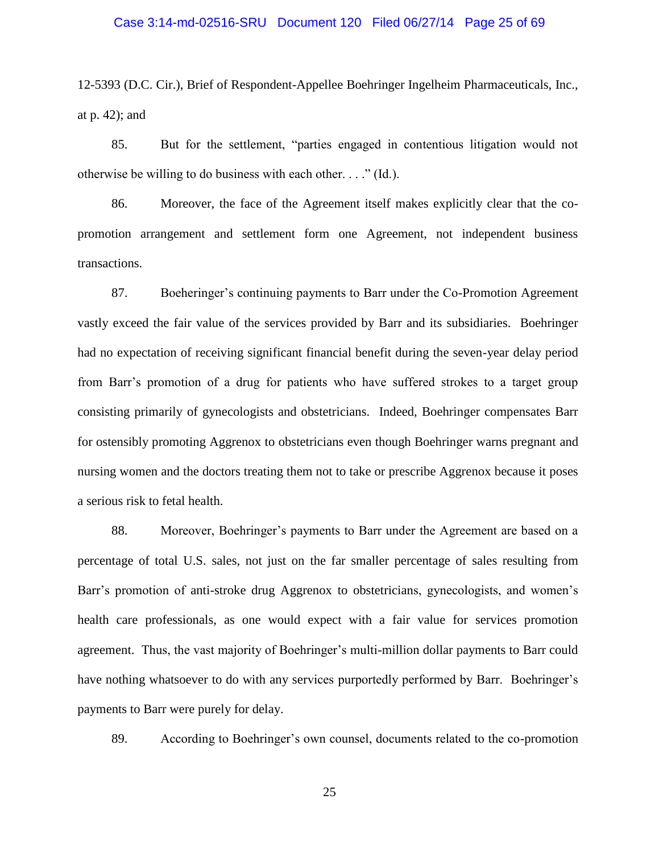## Case 3:14-md-02516-SRU Document 120 Filed 06/27/14 Page 25 of 69

12-5393 (D.C. Cir.), Brief of Respondent-Appellee Boehringer Ingelheim Pharmaceuticals, Inc., at p. 42); and

85. But for the settlement, "parties engaged in contentious litigation would not otherwise be willing to do business with each other. . . ." (Id.).

86. Moreover, the face of the Agreement itself makes explicitly clear that the copromotion arrangement and settlement form one Agreement, not independent business transactions.

87. Boeheringer's continuing payments to Barr under the Co-Promotion Agreement vastly exceed the fair value of the services provided by Barr and its subsidiaries. Boehringer had no expectation of receiving significant financial benefit during the seven-year delay period from Barr's promotion of a drug for patients who have suffered strokes to a target group consisting primarily of gynecologists and obstetricians. Indeed, Boehringer compensates Barr for ostensibly promoting Aggrenox to obstetricians even though Boehringer warns pregnant and nursing women and the doctors treating them not to take or prescribe Aggrenox because it poses a serious risk to fetal health.

88. Moreover, Boehringer's payments to Barr under the Agreement are based on a percentage of total U.S. sales, not just on the far smaller percentage of sales resulting from Barr's promotion of anti-stroke drug Aggrenox to obstetricians, gynecologists, and women's health care professionals, as one would expect with a fair value for services promotion agreement. Thus, the vast majority of Boehringer's multi-million dollar payments to Barr could have nothing whatsoever to do with any services purportedly performed by Barr. Boehringer's payments to Barr were purely for delay.

89. According to Boehringer's own counsel, documents related to the co-promotion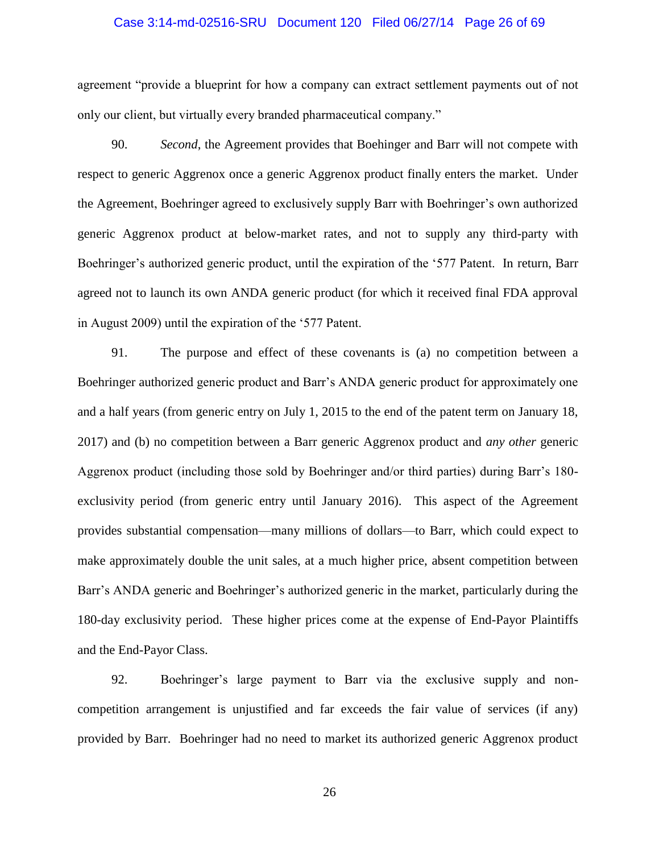## Case 3:14-md-02516-SRU Document 120 Filed 06/27/14 Page 26 of 69

agreement "provide a blueprint for how a company can extract settlement payments out of not only our client, but virtually every branded pharmaceutical company."

90. *Second*, the Agreement provides that Boehinger and Barr will not compete with respect to generic Aggrenox once a generic Aggrenox product finally enters the market. Under the Agreement, Boehringer agreed to exclusively supply Barr with Boehringer's own authorized generic Aggrenox product at below-market rates, and not to supply any third-party with Boehringer's authorized generic product, until the expiration of the '577 Patent. In return, Barr agreed not to launch its own ANDA generic product (for which it received final FDA approval in August 2009) until the expiration of the '577 Patent.

91. The purpose and effect of these covenants is (a) no competition between a Boehringer authorized generic product and Barr's ANDA generic product for approximately one and a half years (from generic entry on July 1, 2015 to the end of the patent term on January 18, 2017) and (b) no competition between a Barr generic Aggrenox product and *any other* generic Aggrenox product (including those sold by Boehringer and/or third parties) during Barr's 180 exclusivity period (from generic entry until January 2016). This aspect of the Agreement provides substantial compensation—many millions of dollars—to Barr, which could expect to make approximately double the unit sales, at a much higher price, absent competition between Barr's ANDA generic and Boehringer's authorized generic in the market, particularly during the 180-day exclusivity period. These higher prices come at the expense of End-Payor Plaintiffs and the End-Payor Class.

92. Boehringer's large payment to Barr via the exclusive supply and noncompetition arrangement is unjustified and far exceeds the fair value of services (if any) provided by Barr. Boehringer had no need to market its authorized generic Aggrenox product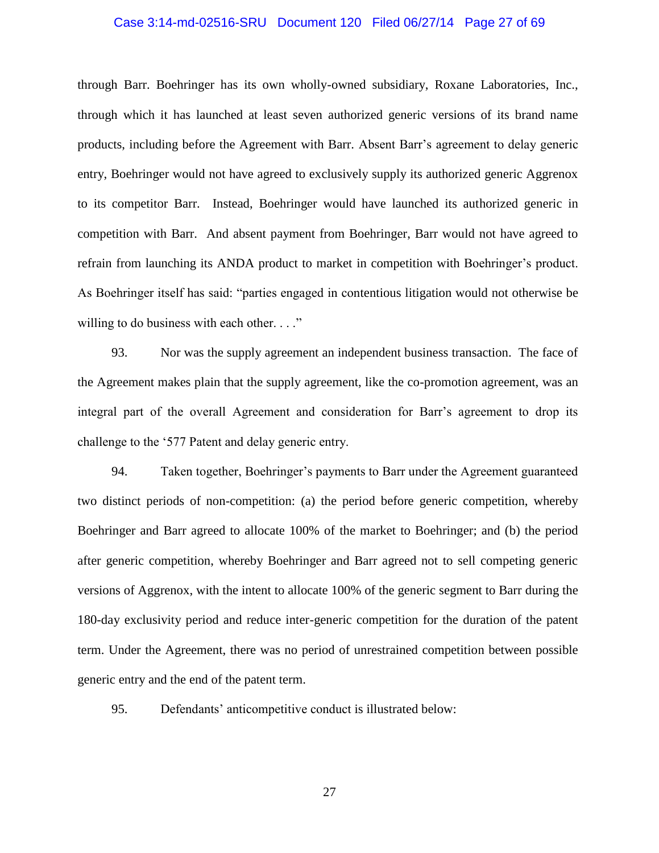## Case 3:14-md-02516-SRU Document 120 Filed 06/27/14 Page 27 of 69

through Barr. Boehringer has its own wholly-owned subsidiary, Roxane Laboratories, Inc., through which it has launched at least seven authorized generic versions of its brand name products, including before the Agreement with Barr. Absent Barr's agreement to delay generic entry, Boehringer would not have agreed to exclusively supply its authorized generic Aggrenox to its competitor Barr. Instead, Boehringer would have launched its authorized generic in competition with Barr. And absent payment from Boehringer, Barr would not have agreed to refrain from launching its ANDA product to market in competition with Boehringer's product. As Boehringer itself has said: "parties engaged in contentious litigation would not otherwise be willing to do business with each other. . . ."

93. Nor was the supply agreement an independent business transaction. The face of the Agreement makes plain that the supply agreement, like the co-promotion agreement, was an integral part of the overall Agreement and consideration for Barr's agreement to drop its challenge to the '577 Patent and delay generic entry.

94. Taken together, Boehringer's payments to Barr under the Agreement guaranteed two distinct periods of non-competition: (a) the period before generic competition, whereby Boehringer and Barr agreed to allocate 100% of the market to Boehringer; and (b) the period after generic competition, whereby Boehringer and Barr agreed not to sell competing generic versions of Aggrenox, with the intent to allocate 100% of the generic segment to Barr during the 180-day exclusivity period and reduce inter-generic competition for the duration of the patent term. Under the Agreement, there was no period of unrestrained competition between possible generic entry and the end of the patent term.

95. Defendants' anticompetitive conduct is illustrated below: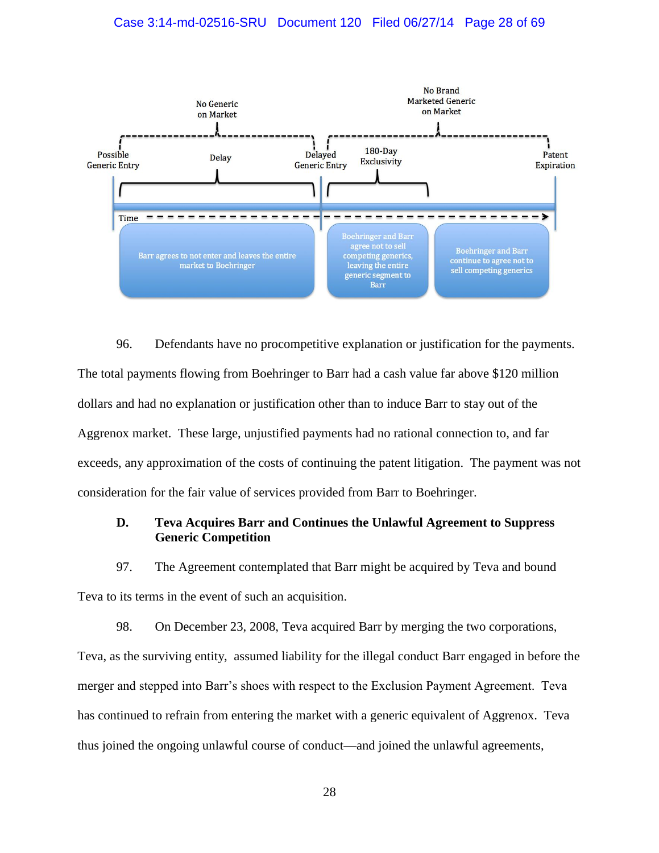# Case 3:14-md-02516-SRU Document 120 Filed 06/27/14 Page 28 of 69



96. Defendants have no procompetitive explanation or justification for the payments. The total payments flowing from Boehringer to Barr had a cash value far above \$120 million dollars and had no explanation or justification other than to induce Barr to stay out of the Aggrenox market. These large, unjustified payments had no rational connection to, and far exceeds, any approximation of the costs of continuing the patent litigation. The payment was not consideration for the fair value of services provided from Barr to Boehringer.

# **D. Teva Acquires Barr and Continues the Unlawful Agreement to Suppress Generic Competition**

97. The Agreement contemplated that Barr might be acquired by Teva and bound Teva to its terms in the event of such an acquisition.

98. On December 23, 2008, Teva acquired Barr by merging the two corporations, Teva, as the surviving entity, assumed liability for the illegal conduct Barr engaged in before the merger and stepped into Barr's shoes with respect to the Exclusion Payment Agreement. Teva has continued to refrain from entering the market with a generic equivalent of Aggrenox. Teva thus joined the ongoing unlawful course of conduct—and joined the unlawful agreements,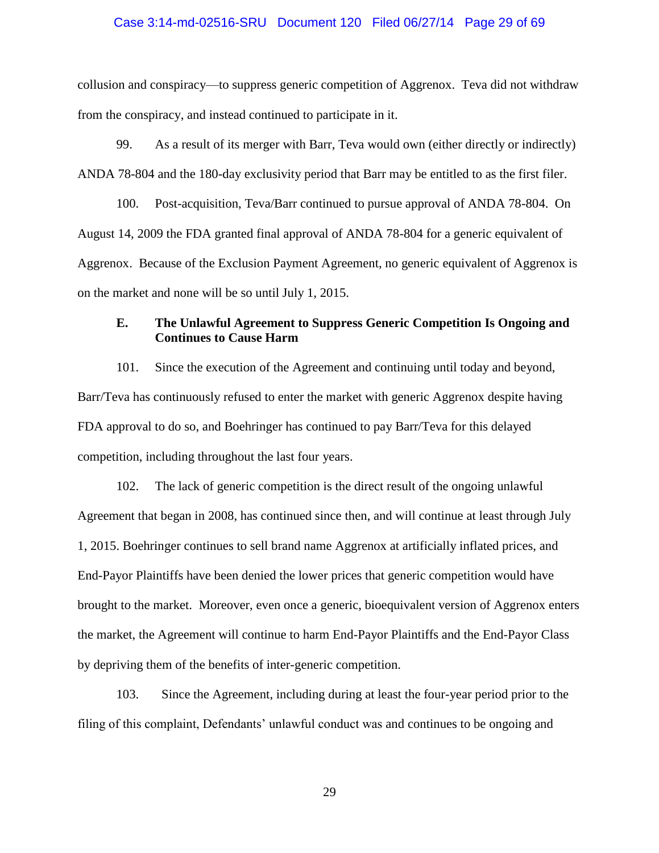## Case 3:14-md-02516-SRU Document 120 Filed 06/27/14 Page 29 of 69

collusion and conspiracy—to suppress generic competition of Aggrenox. Teva did not withdraw from the conspiracy, and instead continued to participate in it.

99. As a result of its merger with Barr, Teva would own (either directly or indirectly) ANDA 78-804 and the 180-day exclusivity period that Barr may be entitled to as the first filer.

100. Post-acquisition, Teva/Barr continued to pursue approval of ANDA 78-804. On August 14, 2009 the FDA granted final approval of ANDA 78-804 for a generic equivalent of Aggrenox. Because of the Exclusion Payment Agreement, no generic equivalent of Aggrenox is on the market and none will be so until July 1, 2015.

# **E. The Unlawful Agreement to Suppress Generic Competition Is Ongoing and Continues to Cause Harm**

101. Since the execution of the Agreement and continuing until today and beyond, Barr/Teva has continuously refused to enter the market with generic Aggrenox despite having FDA approval to do so, and Boehringer has continued to pay Barr/Teva for this delayed competition, including throughout the last four years.

102. The lack of generic competition is the direct result of the ongoing unlawful Agreement that began in 2008, has continued since then, and will continue at least through July 1, 2015. Boehringer continues to sell brand name Aggrenox at artificially inflated prices, and End-Payor Plaintiffs have been denied the lower prices that generic competition would have brought to the market. Moreover, even once a generic, bioequivalent version of Aggrenox enters the market, the Agreement will continue to harm End-Payor Plaintiffs and the End-Payor Class by depriving them of the benefits of inter-generic competition.

103. Since the Agreement, including during at least the four-year period prior to the filing of this complaint, Defendants' unlawful conduct was and continues to be ongoing and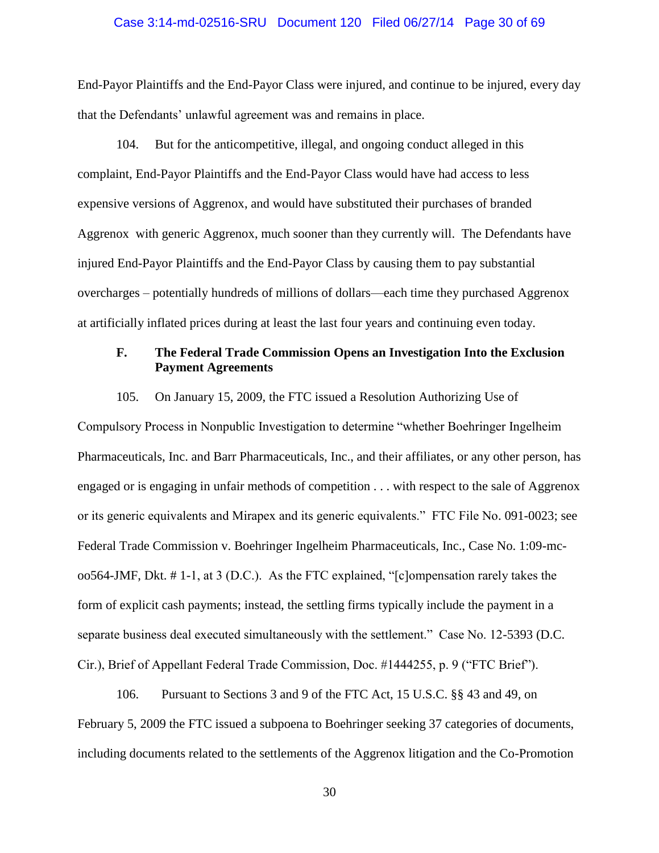## Case 3:14-md-02516-SRU Document 120 Filed 06/27/14 Page 30 of 69

End-Payor Plaintiffs and the End-Payor Class were injured, and continue to be injured, every day that the Defendants' unlawful agreement was and remains in place.

104. But for the anticompetitive, illegal, and ongoing conduct alleged in this complaint, End-Payor Plaintiffs and the End-Payor Class would have had access to less expensive versions of Aggrenox, and would have substituted their purchases of branded Aggrenox with generic Aggrenox, much sooner than they currently will. The Defendants have injured End-Payor Plaintiffs and the End-Payor Class by causing them to pay substantial overcharges – potentially hundreds of millions of dollars—each time they purchased Aggrenox at artificially inflated prices during at least the last four years and continuing even today.

# **F. The Federal Trade Commission Opens an Investigation Into the Exclusion Payment Agreements**

105. On January 15, 2009, the FTC issued a Resolution Authorizing Use of

Compulsory Process in Nonpublic Investigation to determine "whether Boehringer Ingelheim Pharmaceuticals, Inc. and Barr Pharmaceuticals, Inc., and their affiliates, or any other person, has engaged or is engaging in unfair methods of competition . . . with respect to the sale of Aggrenox or its generic equivalents and Mirapex and its generic equivalents." FTC File No. 091-0023; see Federal Trade Commission v. Boehringer Ingelheim Pharmaceuticals, Inc., Case No. 1:09-mcoo564-JMF, Dkt. # 1-1, at 3 (D.C.). As the FTC explained, "[c]ompensation rarely takes the form of explicit cash payments; instead, the settling firms typically include the payment in a separate business deal executed simultaneously with the settlement." Case No. 12-5393 (D.C. Cir.), Brief of Appellant Federal Trade Commission, Doc. #1444255, p. 9 ("FTC Brief").

106. Pursuant to Sections 3 and 9 of the FTC Act, 15 U.S.C. §§ 43 and 49, on February 5, 2009 the FTC issued a subpoena to Boehringer seeking 37 categories of documents, including documents related to the settlements of the Aggrenox litigation and the Co-Promotion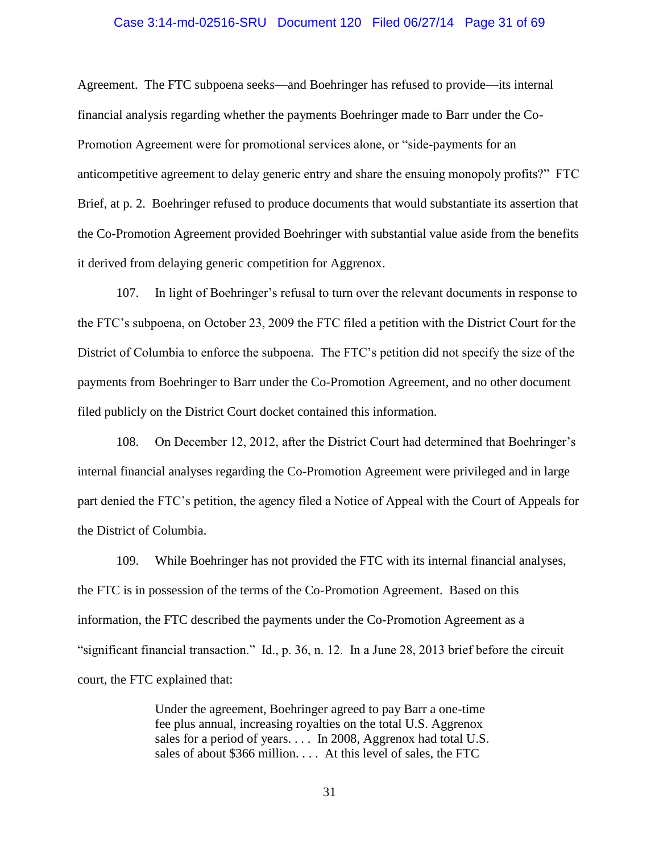## Case 3:14-md-02516-SRU Document 120 Filed 06/27/14 Page 31 of 69

Agreement. The FTC subpoena seeks—and Boehringer has refused to provide—its internal financial analysis regarding whether the payments Boehringer made to Barr under the Co-Promotion Agreement were for promotional services alone, or "side-payments for an anticompetitive agreement to delay generic entry and share the ensuing monopoly profits?" FTC Brief, at p. 2. Boehringer refused to produce documents that would substantiate its assertion that the Co-Promotion Agreement provided Boehringer with substantial value aside from the benefits it derived from delaying generic competition for Aggrenox.

107. In light of Boehringer's refusal to turn over the relevant documents in response to the FTC's subpoena, on October 23, 2009 the FTC filed a petition with the District Court for the District of Columbia to enforce the subpoena. The FTC's petition did not specify the size of the payments from Boehringer to Barr under the Co-Promotion Agreement, and no other document filed publicly on the District Court docket contained this information.

108. On December 12, 2012, after the District Court had determined that Boehringer's internal financial analyses regarding the Co-Promotion Agreement were privileged and in large part denied the FTC's petition, the agency filed a Notice of Appeal with the Court of Appeals for the District of Columbia.

109. While Boehringer has not provided the FTC with its internal financial analyses, the FTC is in possession of the terms of the Co-Promotion Agreement. Based on this information, the FTC described the payments under the Co-Promotion Agreement as a "significant financial transaction." Id., p. 36, n. 12. In a June 28, 2013 brief before the circuit court, the FTC explained that:

> Under the agreement, Boehringer agreed to pay Barr a one-time fee plus annual, increasing royalties on the total U.S. Aggrenox sales for a period of years. . . . In 2008, Aggrenox had total U.S. sales of about \$366 million. . . . At this level of sales, the FTC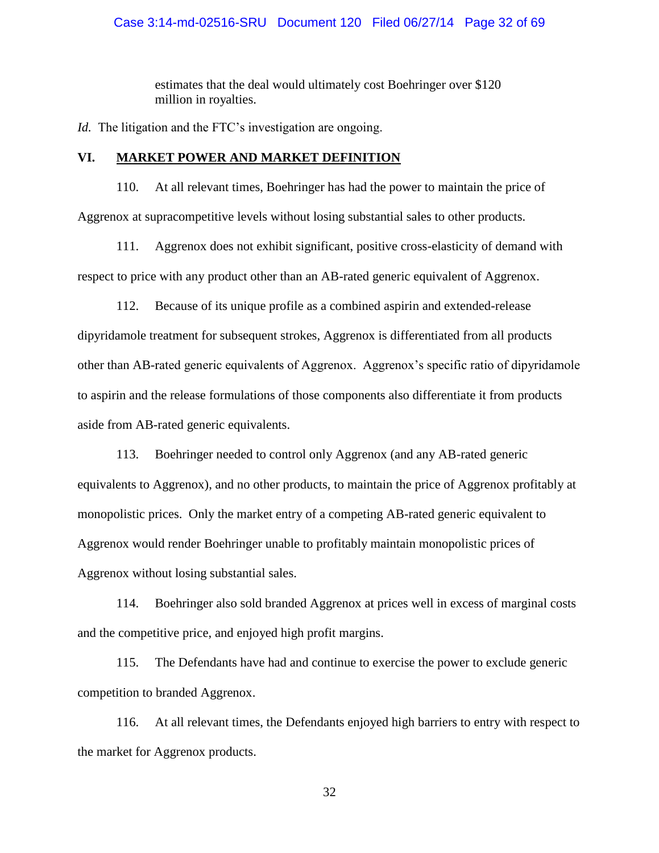# Case 3:14-md-02516-SRU Document 120 Filed 06/27/14 Page 32 of 69

estimates that the deal would ultimately cost Boehringer over \$120 million in royalties.

*Id.* The litigation and the FTC's investigation are ongoing.

# **VI. MARKET POWER AND MARKET DEFINITION**

110. At all relevant times, Boehringer has had the power to maintain the price of Aggrenox at supracompetitive levels without losing substantial sales to other products.

111. Aggrenox does not exhibit significant, positive cross-elasticity of demand with respect to price with any product other than an AB-rated generic equivalent of Aggrenox.

112. Because of its unique profile as a combined aspirin and extended-release dipyridamole treatment for subsequent strokes, Aggrenox is differentiated from all products other than AB-rated generic equivalents of Aggrenox. Aggrenox's specific ratio of dipyridamole to aspirin and the release formulations of those components also differentiate it from products aside from AB-rated generic equivalents.

113. Boehringer needed to control only Aggrenox (and any AB-rated generic equivalents to Aggrenox), and no other products, to maintain the price of Aggrenox profitably at monopolistic prices. Only the market entry of a competing AB-rated generic equivalent to Aggrenox would render Boehringer unable to profitably maintain monopolistic prices of Aggrenox without losing substantial sales.

114. Boehringer also sold branded Aggrenox at prices well in excess of marginal costs and the competitive price, and enjoyed high profit margins.

115. The Defendants have had and continue to exercise the power to exclude generic competition to branded Aggrenox.

116. At all relevant times, the Defendants enjoyed high barriers to entry with respect to the market for Aggrenox products.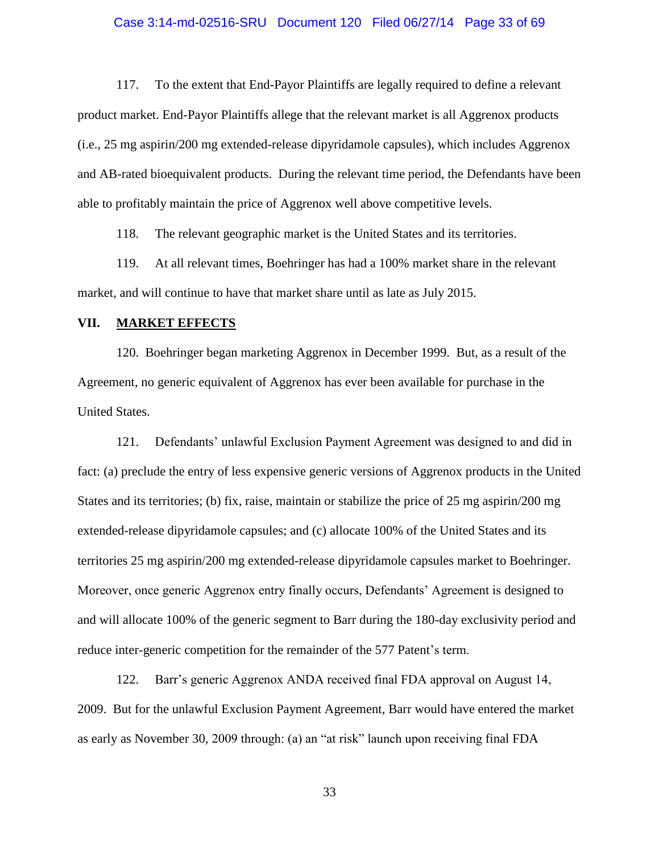## Case 3:14-md-02516-SRU Document 120 Filed 06/27/14 Page 33 of 69

117. To the extent that End-Payor Plaintiffs are legally required to define a relevant product market. End-Payor Plaintiffs allege that the relevant market is all Aggrenox products (i.e., 25 mg aspirin/200 mg extended-release dipyridamole capsules), which includes Aggrenox and AB-rated bioequivalent products. During the relevant time period, the Defendants have been able to profitably maintain the price of Aggrenox well above competitive levels.

118. The relevant geographic market is the United States and its territories.

119. At all relevant times, Boehringer has had a 100% market share in the relevant market, and will continue to have that market share until as late as July 2015.

# **VII. MARKET EFFECTS**

120. Boehringer began marketing Aggrenox in December 1999. But, as a result of the Agreement, no generic equivalent of Aggrenox has ever been available for purchase in the United States.

121. Defendants' unlawful Exclusion Payment Agreement was designed to and did in fact: (a) preclude the entry of less expensive generic versions of Aggrenox products in the United States and its territories; (b) fix, raise, maintain or stabilize the price of 25 mg aspirin/200 mg extended-release dipyridamole capsules; and (c) allocate 100% of the United States and its territories 25 mg aspirin/200 mg extended-release dipyridamole capsules market to Boehringer. Moreover, once generic Aggrenox entry finally occurs, Defendants' Agreement is designed to and will allocate 100% of the generic segment to Barr during the 180-day exclusivity period and reduce inter-generic competition for the remainder of the 577 Patent's term.

122. Barr's generic Aggrenox ANDA received final FDA approval on August 14, 2009. But for the unlawful Exclusion Payment Agreement, Barr would have entered the market as early as November 30, 2009 through: (a) an "at risk" launch upon receiving final FDA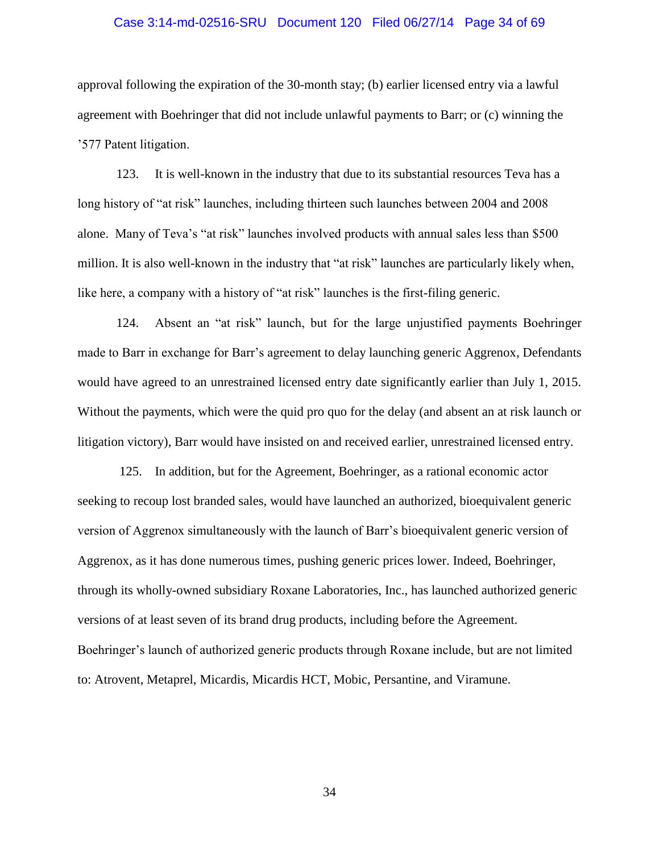## Case 3:14-md-02516-SRU Document 120 Filed 06/27/14 Page 34 of 69

approval following the expiration of the 30-month stay; (b) earlier licensed entry via a lawful agreement with Boehringer that did not include unlawful payments to Barr; or (c) winning the '577 Patent litigation.

123. It is well-known in the industry that due to its substantial resources Teva has a long history of "at risk" launches, including thirteen such launches between 2004 and 2008 alone. Many of Teva's "at risk" launches involved products with annual sales less than \$500 million. It is also well-known in the industry that "at risk" launches are particularly likely when, like here, a company with a history of "at risk" launches is the first-filing generic.

124. Absent an "at risk" launch, but for the large unjustified payments Boehringer made to Barr in exchange for Barr's agreement to delay launching generic Aggrenox, Defendants would have agreed to an unrestrained licensed entry date significantly earlier than July 1, 2015. Without the payments, which were the quid pro quo for the delay (and absent an at risk launch or litigation victory), Barr would have insisted on and received earlier, unrestrained licensed entry.

125. In addition, but for the Agreement, Boehringer, as a rational economic actor seeking to recoup lost branded sales, would have launched an authorized, bioequivalent generic version of Aggrenox simultaneously with the launch of Barr's bioequivalent generic version of Aggrenox, as it has done numerous times, pushing generic prices lower. Indeed, Boehringer, through its wholly-owned subsidiary Roxane Laboratories, Inc., has launched authorized generic versions of at least seven of its brand drug products, including before the Agreement. Boehringer's launch of authorized generic products through Roxane include, but are not limited to: Atrovent, Metaprel, Micardis, Micardis HCT, Mobic, Persantine, and Viramune.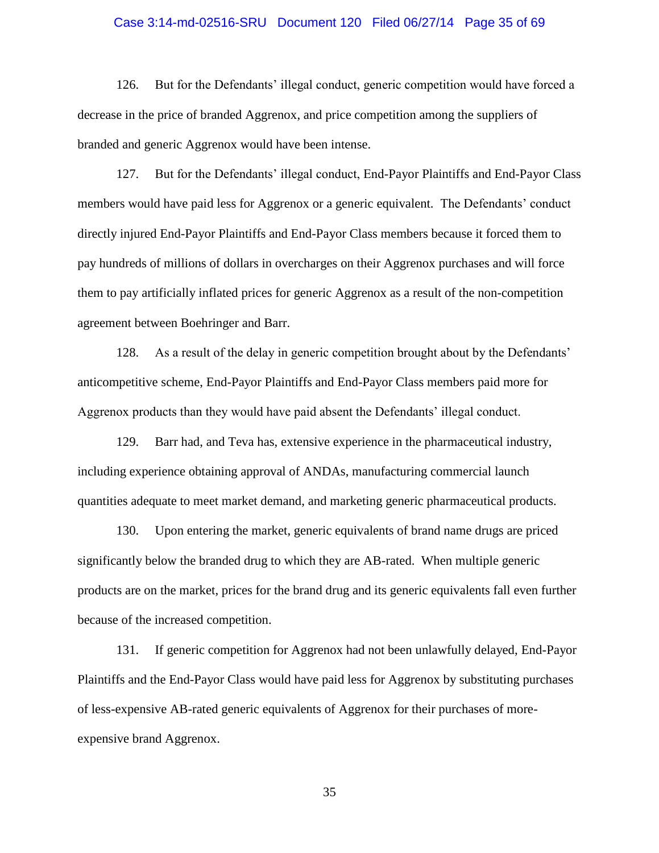## Case 3:14-md-02516-SRU Document 120 Filed 06/27/14 Page 35 of 69

126. But for the Defendants' illegal conduct, generic competition would have forced a decrease in the price of branded Aggrenox, and price competition among the suppliers of branded and generic Aggrenox would have been intense.

127. But for the Defendants' illegal conduct, End-Payor Plaintiffs and End-Payor Class members would have paid less for Aggrenox or a generic equivalent. The Defendants' conduct directly injured End-Payor Plaintiffs and End-Payor Class members because it forced them to pay hundreds of millions of dollars in overcharges on their Aggrenox purchases and will force them to pay artificially inflated prices for generic Aggrenox as a result of the non-competition agreement between Boehringer and Barr.

128. As a result of the delay in generic competition brought about by the Defendants' anticompetitive scheme, End-Payor Plaintiffs and End-Payor Class members paid more for Aggrenox products than they would have paid absent the Defendants' illegal conduct.

129. Barr had, and Teva has, extensive experience in the pharmaceutical industry, including experience obtaining approval of ANDAs, manufacturing commercial launch quantities adequate to meet market demand, and marketing generic pharmaceutical products.

130. Upon entering the market, generic equivalents of brand name drugs are priced significantly below the branded drug to which they are AB-rated. When multiple generic products are on the market, prices for the brand drug and its generic equivalents fall even further because of the increased competition.

131. If generic competition for Aggrenox had not been unlawfully delayed, End-Payor Plaintiffs and the End-Payor Class would have paid less for Aggrenox by substituting purchases of less-expensive AB-rated generic equivalents of Aggrenox for their purchases of moreexpensive brand Aggrenox.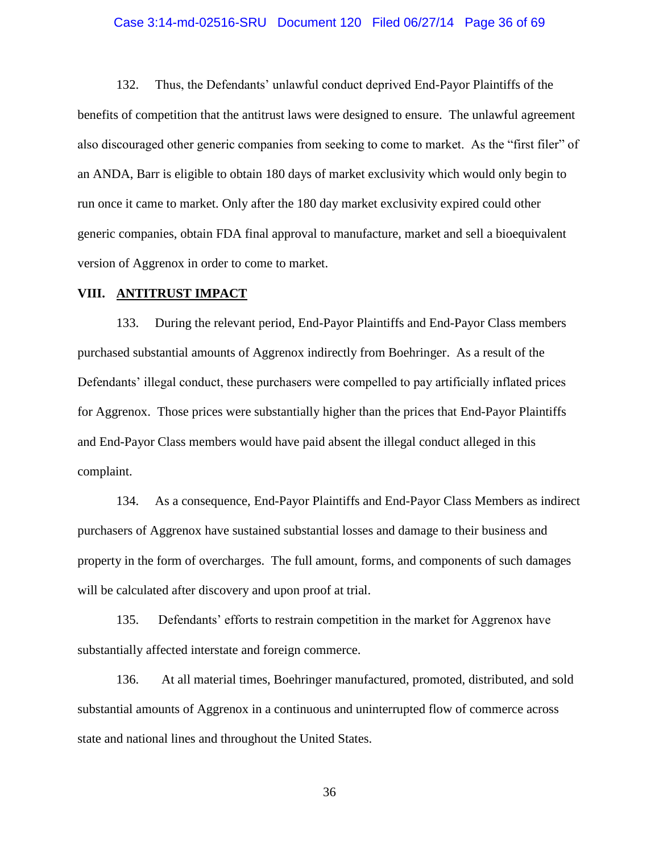## Case 3:14-md-02516-SRU Document 120 Filed 06/27/14 Page 36 of 69

132. Thus, the Defendants' unlawful conduct deprived End-Payor Plaintiffs of the benefits of competition that the antitrust laws were designed to ensure. The unlawful agreement also discouraged other generic companies from seeking to come to market. As the "first filer" of an ANDA, Barr is eligible to obtain 180 days of market exclusivity which would only begin to run once it came to market. Only after the 180 day market exclusivity expired could other generic companies, obtain FDA final approval to manufacture, market and sell a bioequivalent version of Aggrenox in order to come to market.

## **VIII. ANTITRUST IMPACT**

133. During the relevant period, End-Payor Plaintiffs and End-Payor Class members purchased substantial amounts of Aggrenox indirectly from Boehringer. As a result of the Defendants' illegal conduct, these purchasers were compelled to pay artificially inflated prices for Aggrenox. Those prices were substantially higher than the prices that End-Payor Plaintiffs and End-Payor Class members would have paid absent the illegal conduct alleged in this complaint.

134. As a consequence, End-Payor Plaintiffs and End-Payor Class Members as indirect purchasers of Aggrenox have sustained substantial losses and damage to their business and property in the form of overcharges. The full amount, forms, and components of such damages will be calculated after discovery and upon proof at trial.

135. Defendants' efforts to restrain competition in the market for Aggrenox have substantially affected interstate and foreign commerce.

136. At all material times, Boehringer manufactured, promoted, distributed, and sold substantial amounts of Aggrenox in a continuous and uninterrupted flow of commerce across state and national lines and throughout the United States.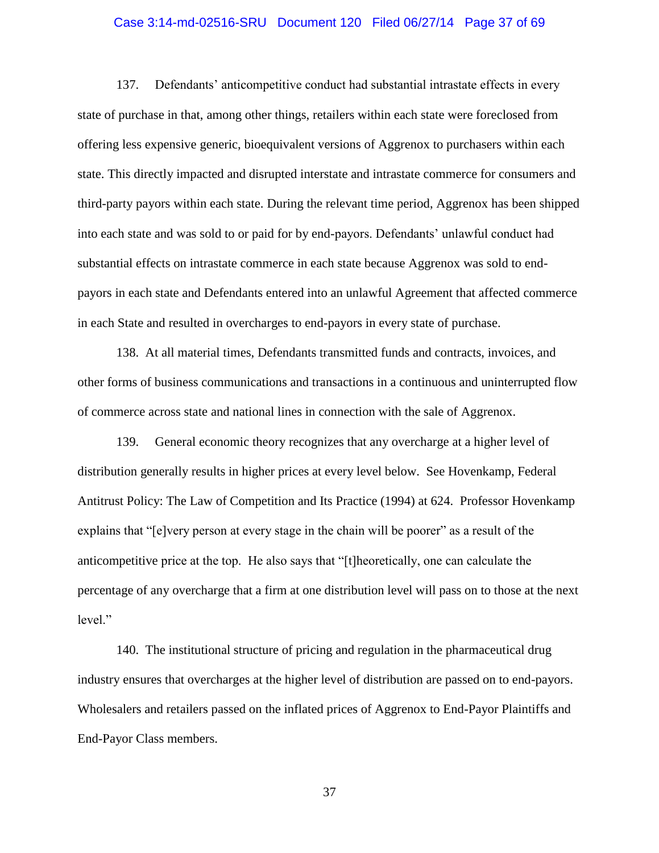## Case 3:14-md-02516-SRU Document 120 Filed 06/27/14 Page 37 of 69

137. Defendants' anticompetitive conduct had substantial intrastate effects in every state of purchase in that, among other things, retailers within each state were foreclosed from offering less expensive generic, bioequivalent versions of Aggrenox to purchasers within each state. This directly impacted and disrupted interstate and intrastate commerce for consumers and third-party payors within each state. During the relevant time period, Aggrenox has been shipped into each state and was sold to or paid for by end-payors. Defendants' unlawful conduct had substantial effects on intrastate commerce in each state because Aggrenox was sold to endpayors in each state and Defendants entered into an unlawful Agreement that affected commerce in each State and resulted in overcharges to end-payors in every state of purchase.

138. At all material times, Defendants transmitted funds and contracts, invoices, and other forms of business communications and transactions in a continuous and uninterrupted flow of commerce across state and national lines in connection with the sale of Aggrenox.

139. General economic theory recognizes that any overcharge at a higher level of distribution generally results in higher prices at every level below. See Hovenkamp, Federal Antitrust Policy: The Law of Competition and Its Practice (1994) at 624. Professor Hovenkamp explains that "[e]very person at every stage in the chain will be poorer" as a result of the anticompetitive price at the top. He also says that "[t]heoretically, one can calculate the percentage of any overcharge that a firm at one distribution level will pass on to those at the next level."

140. The institutional structure of pricing and regulation in the pharmaceutical drug industry ensures that overcharges at the higher level of distribution are passed on to end-payors. Wholesalers and retailers passed on the inflated prices of Aggrenox to End-Payor Plaintiffs and End-Payor Class members.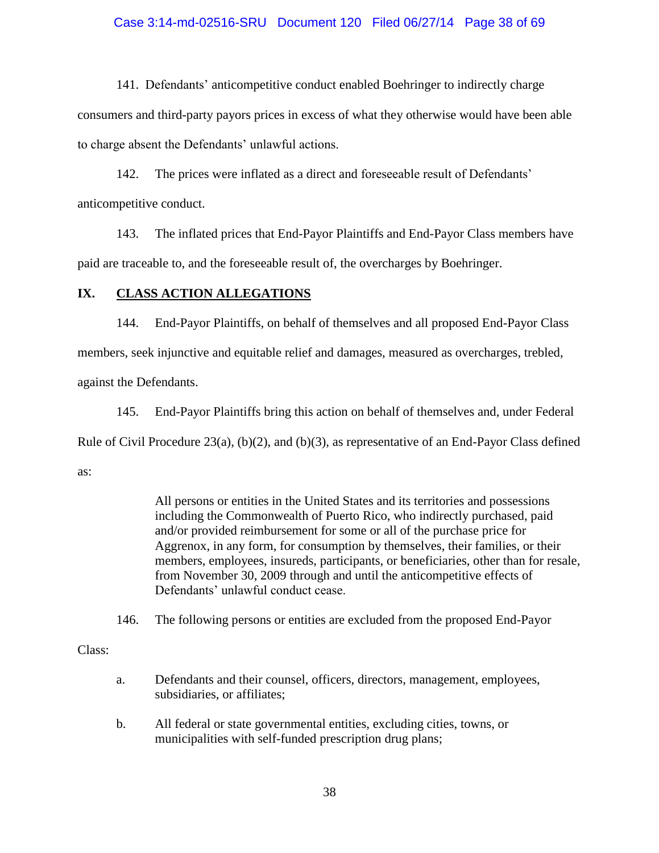# Case 3:14-md-02516-SRU Document 120 Filed 06/27/14 Page 38 of 69

141. Defendants' anticompetitive conduct enabled Boehringer to indirectly charge consumers and third-party payors prices in excess of what they otherwise would have been able to charge absent the Defendants' unlawful actions.

142. The prices were inflated as a direct and foreseeable result of Defendants' anticompetitive conduct.

143. The inflated prices that End-Payor Plaintiffs and End-Payor Class members have paid are traceable to, and the foreseeable result of, the overcharges by Boehringer.

# **IX. CLASS ACTION ALLEGATIONS**

144. End-Payor Plaintiffs, on behalf of themselves and all proposed End-Payor Class members, seek injunctive and equitable relief and damages, measured as overcharges, trebled, against the Defendants.

145. End-Payor Plaintiffs bring this action on behalf of themselves and, under Federal Rule of Civil Procedure 23(a), (b)(2), and (b)(3), as representative of an End-Payor Class defined as:

> All persons or entities in the United States and its territories and possessions including the Commonwealth of Puerto Rico, who indirectly purchased, paid and/or provided reimbursement for some or all of the purchase price for Aggrenox, in any form, for consumption by themselves, their families, or their members, employees, insureds, participants, or beneficiaries, other than for resale, from November 30, 2009 through and until the anticompetitive effects of Defendants' unlawful conduct cease.

146. The following persons or entities are excluded from the proposed End-Payor

Class:

- a. Defendants and their counsel, officers, directors, management, employees, subsidiaries, or affiliates;
- b. All federal or state governmental entities, excluding cities, towns, or municipalities with self-funded prescription drug plans;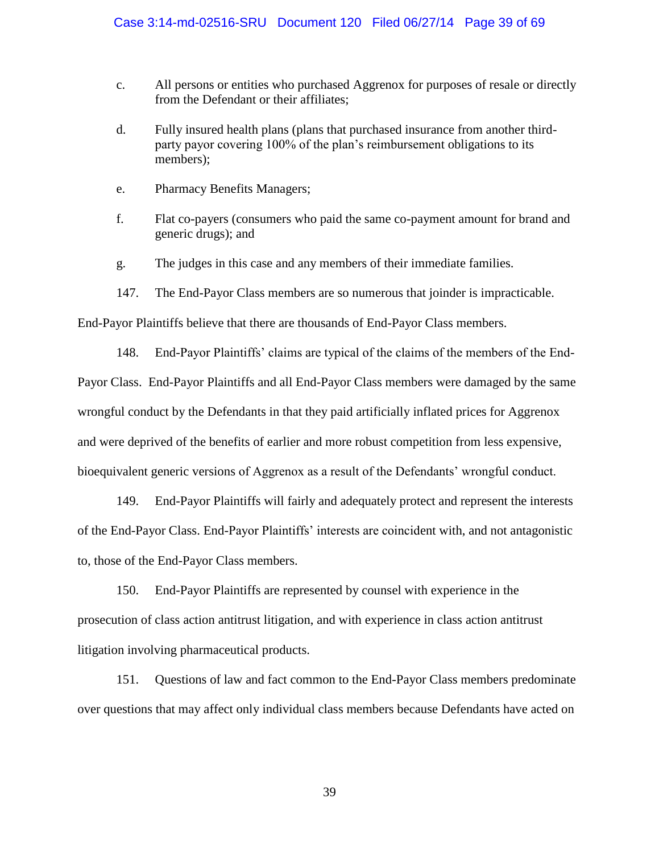- c. All persons or entities who purchased Aggrenox for purposes of resale or directly from the Defendant or their affiliates;
- d. Fully insured health plans (plans that purchased insurance from another thirdparty payor covering 100% of the plan's reimbursement obligations to its members);
- e. Pharmacy Benefits Managers;
- f. Flat co-payers (consumers who paid the same co-payment amount for brand and generic drugs); and
- g. The judges in this case and any members of their immediate families.
- 147. The End-Payor Class members are so numerous that joinder is impracticable.

End-Payor Plaintiffs believe that there are thousands of End-Payor Class members.

148. End-Payor Plaintiffs' claims are typical of the claims of the members of the End-Payor Class. End-Payor Plaintiffs and all End-Payor Class members were damaged by the same wrongful conduct by the Defendants in that they paid artificially inflated prices for Aggrenox and were deprived of the benefits of earlier and more robust competition from less expensive, bioequivalent generic versions of Aggrenox as a result of the Defendants' wrongful conduct.

149. End-Payor Plaintiffs will fairly and adequately protect and represent the interests of the End-Payor Class. End-Payor Plaintiffs' interests are coincident with, and not antagonistic to, those of the End-Payor Class members.

150. End-Payor Plaintiffs are represented by counsel with experience in the prosecution of class action antitrust litigation, and with experience in class action antitrust litigation involving pharmaceutical products.

151. Questions of law and fact common to the End-Payor Class members predominate over questions that may affect only individual class members because Defendants have acted on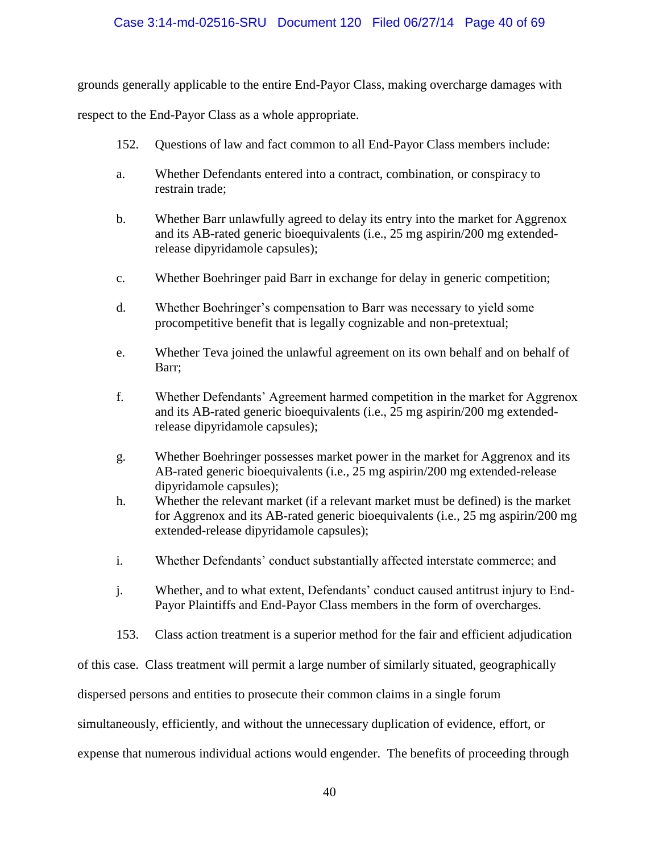# Case 3:14-md-02516-SRU Document 120 Filed 06/27/14 Page 40 of 69

grounds generally applicable to the entire End-Payor Class, making overcharge damages with

respect to the End-Payor Class as a whole appropriate.

- 152. Questions of law and fact common to all End-Payor Class members include:
- a. Whether Defendants entered into a contract, combination, or conspiracy to restrain trade;
- b. Whether Barr unlawfully agreed to delay its entry into the market for Aggrenox and its AB-rated generic bioequivalents (i.e., 25 mg aspirin/200 mg extendedrelease dipyridamole capsules);
- c. Whether Boehringer paid Barr in exchange for delay in generic competition;
- d. Whether Boehringer's compensation to Barr was necessary to yield some procompetitive benefit that is legally cognizable and non-pretextual;
- e. Whether Teva joined the unlawful agreement on its own behalf and on behalf of Barr;
- f. Whether Defendants' Agreement harmed competition in the market for Aggrenox and its AB-rated generic bioequivalents (i.e., 25 mg aspirin/200 mg extendedrelease dipyridamole capsules);
- g. Whether Boehringer possesses market power in the market for Aggrenox and its AB-rated generic bioequivalents (i.e., 25 mg aspirin/200 mg extended-release dipyridamole capsules);
- h. Whether the relevant market (if a relevant market must be defined) is the market for Aggrenox and its AB-rated generic bioequivalents (i.e., 25 mg aspirin/200 mg extended-release dipyridamole capsules);
- i. Whether Defendants' conduct substantially affected interstate commerce; and
- j. Whether, and to what extent, Defendants' conduct caused antitrust injury to End-Payor Plaintiffs and End-Payor Class members in the form of overcharges.
- 153. Class action treatment is a superior method for the fair and efficient adjudication

of this case. Class treatment will permit a large number of similarly situated, geographically

dispersed persons and entities to prosecute their common claims in a single forum

simultaneously, efficiently, and without the unnecessary duplication of evidence, effort, or

expense that numerous individual actions would engender. The benefits of proceeding through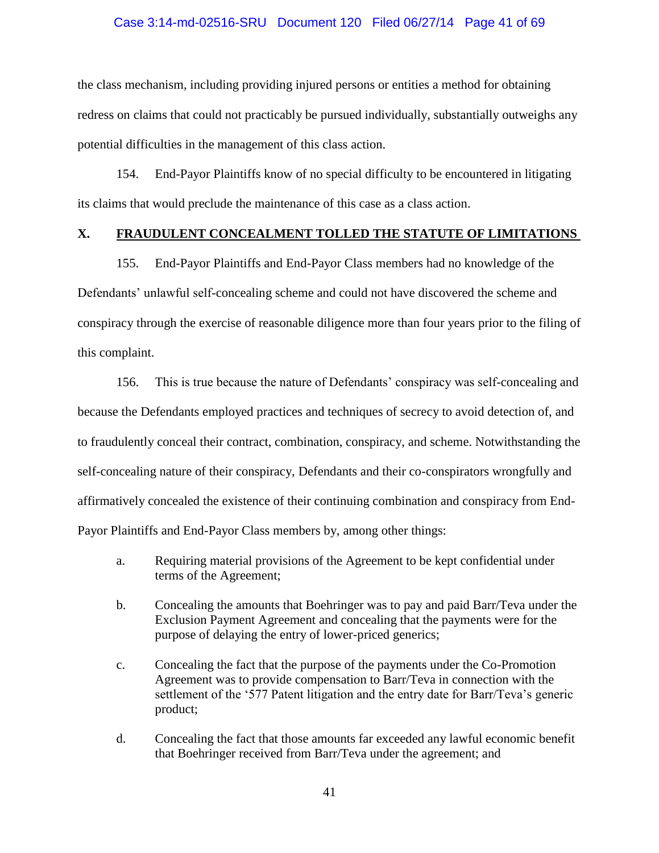# Case 3:14-md-02516-SRU Document 120 Filed 06/27/14 Page 41 of 69

the class mechanism, including providing injured persons or entities a method for obtaining redress on claims that could not practicably be pursued individually, substantially outweighs any potential difficulties in the management of this class action.

154. End-Payor Plaintiffs know of no special difficulty to be encountered in litigating its claims that would preclude the maintenance of this case as a class action.

# **X. FRAUDULENT CONCEALMENT TOLLED THE STATUTE OF LIMITATIONS**

155. End-Payor Plaintiffs and End-Payor Class members had no knowledge of the Defendants' unlawful self-concealing scheme and could not have discovered the scheme and conspiracy through the exercise of reasonable diligence more than four years prior to the filing of this complaint.

156. This is true because the nature of Defendants' conspiracy was self-concealing and because the Defendants employed practices and techniques of secrecy to avoid detection of, and to fraudulently conceal their contract, combination, conspiracy, and scheme. Notwithstanding the self-concealing nature of their conspiracy, Defendants and their co-conspirators wrongfully and affirmatively concealed the existence of their continuing combination and conspiracy from End-Payor Plaintiffs and End-Payor Class members by, among other things:

- a. Requiring material provisions of the Agreement to be kept confidential under terms of the Agreement;
- b. Concealing the amounts that Boehringer was to pay and paid Barr/Teva under the Exclusion Payment Agreement and concealing that the payments were for the purpose of delaying the entry of lower-priced generics;
- c. Concealing the fact that the purpose of the payments under the Co-Promotion Agreement was to provide compensation to Barr/Teva in connection with the settlement of the '577 Patent litigation and the entry date for Barr/Teva's generic product;
- d. Concealing the fact that those amounts far exceeded any lawful economic benefit that Boehringer received from Barr/Teva under the agreement; and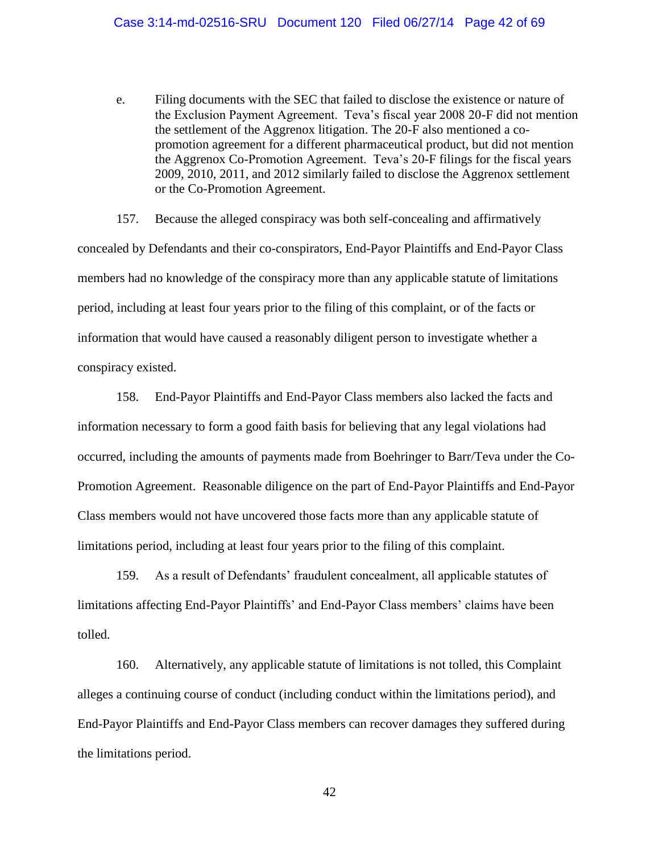e. Filing documents with the SEC that failed to disclose the existence or nature of the Exclusion Payment Agreement. Teva's fiscal year 2008 20-F did not mention the settlement of the Aggrenox litigation. The 20-F also mentioned a copromotion agreement for a different pharmaceutical product, but did not mention the Aggrenox Co-Promotion Agreement. Teva's 20-F filings for the fiscal years 2009, 2010, 2011, and 2012 similarly failed to disclose the Aggrenox settlement or the Co-Promotion Agreement.

157. Because the alleged conspiracy was both self-concealing and affirmatively concealed by Defendants and their co-conspirators, End-Payor Plaintiffs and End-Payor Class members had no knowledge of the conspiracy more than any applicable statute of limitations period, including at least four years prior to the filing of this complaint, or of the facts or information that would have caused a reasonably diligent person to investigate whether a conspiracy existed.

158. End-Payor Plaintiffs and End-Payor Class members also lacked the facts and information necessary to form a good faith basis for believing that any legal violations had occurred, including the amounts of payments made from Boehringer to Barr/Teva under the Co-Promotion Agreement. Reasonable diligence on the part of End-Payor Plaintiffs and End-Payor Class members would not have uncovered those facts more than any applicable statute of limitations period, including at least four years prior to the filing of this complaint.

159. As a result of Defendants' fraudulent concealment, all applicable statutes of limitations affecting End-Payor Plaintiffs' and End-Payor Class members' claims have been tolled.

160. Alternatively, any applicable statute of limitations is not tolled, this Complaint alleges a continuing course of conduct (including conduct within the limitations period), and End-Payor Plaintiffs and End-Payor Class members can recover damages they suffered during the limitations period.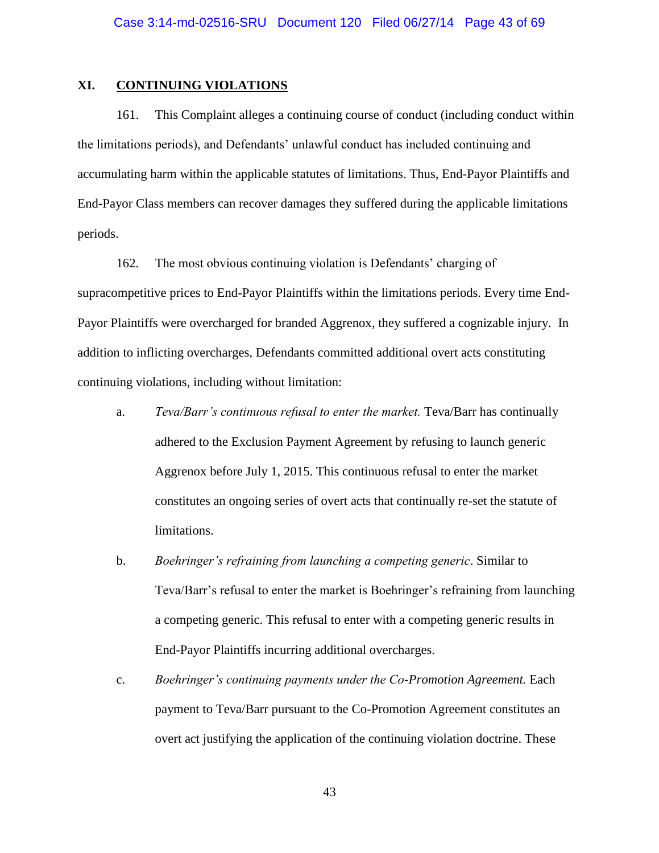# **XI. CONTINUING VIOLATIONS**

161. This Complaint alleges a continuing course of conduct (including conduct within the limitations periods), and Defendants' unlawful conduct has included continuing and accumulating harm within the applicable statutes of limitations. Thus, End-Payor Plaintiffs and End-Payor Class members can recover damages they suffered during the applicable limitations periods.

162. The most obvious continuing violation is Defendants' charging of supracompetitive prices to End-Payor Plaintiffs within the limitations periods. Every time End-Payor Plaintiffs were overcharged for branded Aggrenox, they suffered a cognizable injury. In addition to inflicting overcharges, Defendants committed additional overt acts constituting continuing violations, including without limitation:

- a. *Teva/Barr's continuous refusal to enter the market.* Teva/Barr has continually adhered to the Exclusion Payment Agreement by refusing to launch generic Aggrenox before July 1, 2015. This continuous refusal to enter the market constitutes an ongoing series of overt acts that continually re-set the statute of limitations.
- b. *Boehringer's refraining from launching a competing generic*. Similar to Teva/Barr's refusal to enter the market is Boehringer's refraining from launching a competing generic. This refusal to enter with a competing generic results in End-Payor Plaintiffs incurring additional overcharges.
- c. *Boehringer's continuing payments under the Co-Promotion Agreement.* Each payment to Teva/Barr pursuant to the Co-Promotion Agreement constitutes an overt act justifying the application of the continuing violation doctrine. These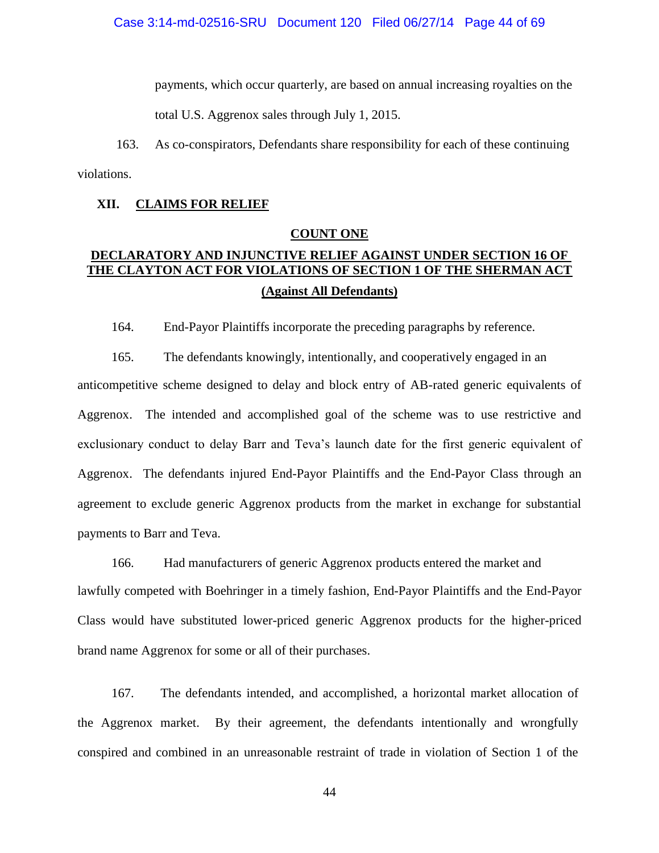payments, which occur quarterly, are based on annual increasing royalties on the

total U.S. Aggrenox sales through July 1, 2015.

163. As co-conspirators, Defendants share responsibility for each of these continuing violations.

# **XII. CLAIMS FOR RELIEF**

# **COUNT ONE**

# **DECLARATORY AND INJUNCTIVE RELIEF AGAINST UNDER SECTION 16 OF THE CLAYTON ACT FOR VIOLATIONS OF SECTION 1 OF THE SHERMAN ACT (Against All Defendants)**

164. End-Payor Plaintiffs incorporate the preceding paragraphs by reference.

165. The defendants knowingly, intentionally, and cooperatively engaged in an anticompetitive scheme designed to delay and block entry of AB-rated generic equivalents of Aggrenox. The intended and accomplished goal of the scheme was to use restrictive and exclusionary conduct to delay Barr and Teva's launch date for the first generic equivalent of Aggrenox. The defendants injured End-Payor Plaintiffs and the End-Payor Class through an agreement to exclude generic Aggrenox products from the market in exchange for substantial payments to Barr and Teva.

166. Had manufacturers of generic Aggrenox products entered the market and lawfully competed with Boehringer in a timely fashion, End-Payor Plaintiffs and the End-Payor Class would have substituted lower-priced generic Aggrenox products for the higher-priced brand name Aggrenox for some or all of their purchases.

167. The defendants intended, and accomplished, a horizontal market allocation of the Aggrenox market. By their agreement, the defendants intentionally and wrongfully conspired and combined in an unreasonable restraint of trade in violation of Section 1 of the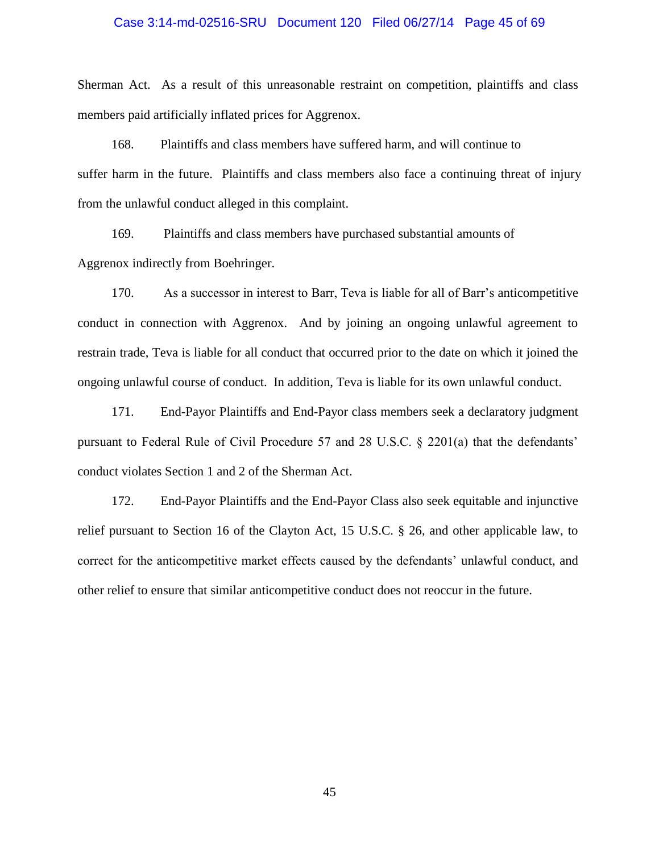## Case 3:14-md-02516-SRU Document 120 Filed 06/27/14 Page 45 of 69

Sherman Act. As a result of this unreasonable restraint on competition, plaintiffs and class members paid artificially inflated prices for Aggrenox.

168. Plaintiffs and class members have suffered harm, and will continue to suffer harm in the future. Plaintiffs and class members also face a continuing threat of injury from the unlawful conduct alleged in this complaint.

169. Plaintiffs and class members have purchased substantial amounts of Aggrenox indirectly from Boehringer.

170. As a successor in interest to Barr, Teva is liable for all of Barr's anticompetitive conduct in connection with Aggrenox. And by joining an ongoing unlawful agreement to restrain trade, Teva is liable for all conduct that occurred prior to the date on which it joined the ongoing unlawful course of conduct. In addition, Teva is liable for its own unlawful conduct.

171. End-Payor Plaintiffs and End-Payor class members seek a declaratory judgment pursuant to Federal Rule of Civil Procedure 57 and 28 U.S.C. § 2201(a) that the defendants' conduct violates Section 1 and 2 of the Sherman Act.

172. End-Payor Plaintiffs and the End-Payor Class also seek equitable and injunctive relief pursuant to Section 16 of the Clayton Act, 15 U.S.C. § 26, and other applicable law, to correct for the anticompetitive market effects caused by the defendants' unlawful conduct, and other relief to ensure that similar anticompetitive conduct does not reoccur in the future.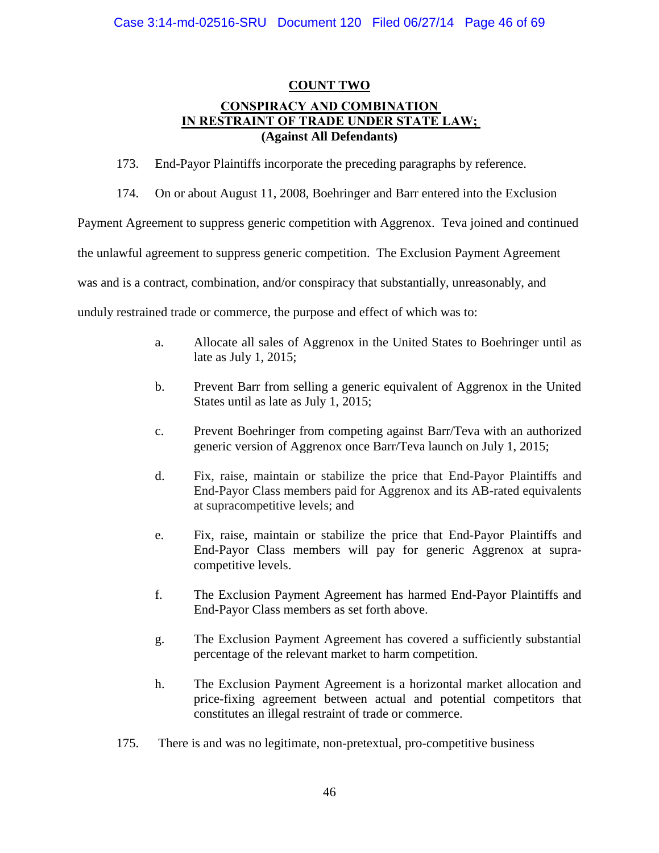# **COUNT TWO CONSPIRACY AND COMBINATION IN RESTRAINT OF TRADE UNDER STATE LAW; (Against All Defendants)**

173. End-Payor Plaintiffs incorporate the preceding paragraphs by reference.

174. On or about August 11, 2008, Boehringer and Barr entered into the Exclusion

Payment Agreement to suppress generic competition with Aggrenox. Teva joined and continued

the unlawful agreement to suppress generic competition. The Exclusion Payment Agreement

was and is a contract, combination, and/or conspiracy that substantially, unreasonably, and

unduly restrained trade or commerce, the purpose and effect of which was to:

- a. Allocate all sales of Aggrenox in the United States to Boehringer until as late as July 1, 2015;
- b. Prevent Barr from selling a generic equivalent of Aggrenox in the United States until as late as July 1, 2015;
- c. Prevent Boehringer from competing against Barr/Teva with an authorized generic version of Aggrenox once Barr/Teva launch on July 1, 2015;
- d. Fix, raise, maintain or stabilize the price that End-Payor Plaintiffs and End-Payor Class members paid for Aggrenox and its AB-rated equivalents at supracompetitive levels; and
- e. Fix, raise, maintain or stabilize the price that End-Payor Plaintiffs and End-Payor Class members will pay for generic Aggrenox at supracompetitive levels.
- f. The Exclusion Payment Agreement has harmed End-Payor Plaintiffs and End-Payor Class members as set forth above.
- g. The Exclusion Payment Agreement has covered a sufficiently substantial percentage of the relevant market to harm competition.
- h. The Exclusion Payment Agreement is a horizontal market allocation and price-fixing agreement between actual and potential competitors that constitutes an illegal restraint of trade or commerce.
- 175. There is and was no legitimate, non-pretextual, pro-competitive business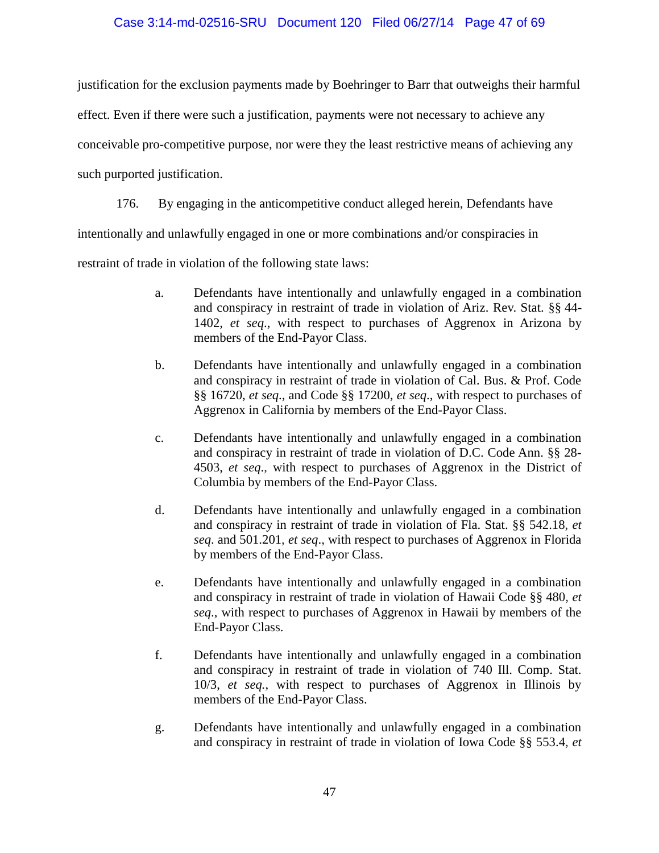# Case 3:14-md-02516-SRU Document 120 Filed 06/27/14 Page 47 of 69

justification for the exclusion payments made by Boehringer to Barr that outweighs their harmful

effect. Even if there were such a justification, payments were not necessary to achieve any

conceivable pro-competitive purpose, nor were they the least restrictive means of achieving any

such purported justification.

176. By engaging in the anticompetitive conduct alleged herein, Defendants have intentionally and unlawfully engaged in one or more combinations and/or conspiracies in

restraint of trade in violation of the following state laws:

- a. Defendants have intentionally and unlawfully engaged in a combination and conspiracy in restraint of trade in violation of Ariz. Rev. Stat. §§ 44- 1402, *et seq*., with respect to purchases of Aggrenox in Arizona by members of the End-Payor Class.
- b. Defendants have intentionally and unlawfully engaged in a combination and conspiracy in restraint of trade in violation of Cal. Bus. & Prof. Code §§ 16720, *et seq*., and Code §§ 17200, *et seq*., with respect to purchases of Aggrenox in California by members of the End-Payor Class.
- c. Defendants have intentionally and unlawfully engaged in a combination and conspiracy in restraint of trade in violation of D.C. Code Ann. §§ 28- 4503, *et seq*., with respect to purchases of Aggrenox in the District of Columbia by members of the End-Payor Class.
- d. Defendants have intentionally and unlawfully engaged in a combination and conspiracy in restraint of trade in violation of Fla. Stat. §§ 542.18, *et seq*. and 501.201, *et seq*., with respect to purchases of Aggrenox in Florida by members of the End-Payor Class.
- e. Defendants have intentionally and unlawfully engaged in a combination and conspiracy in restraint of trade in violation of Hawaii Code §§ 480, *et seq*., with respect to purchases of Aggrenox in Hawaii by members of the End-Payor Class.
- f. Defendants have intentionally and unlawfully engaged in a combination and conspiracy in restraint of trade in violation of 740 Ill. Comp. Stat. 10/3, *et seq.*, with respect to purchases of Aggrenox in Illinois by members of the End-Payor Class.
- g. Defendants have intentionally and unlawfully engaged in a combination and conspiracy in restraint of trade in violation of Iowa Code §§ 553.4, *et*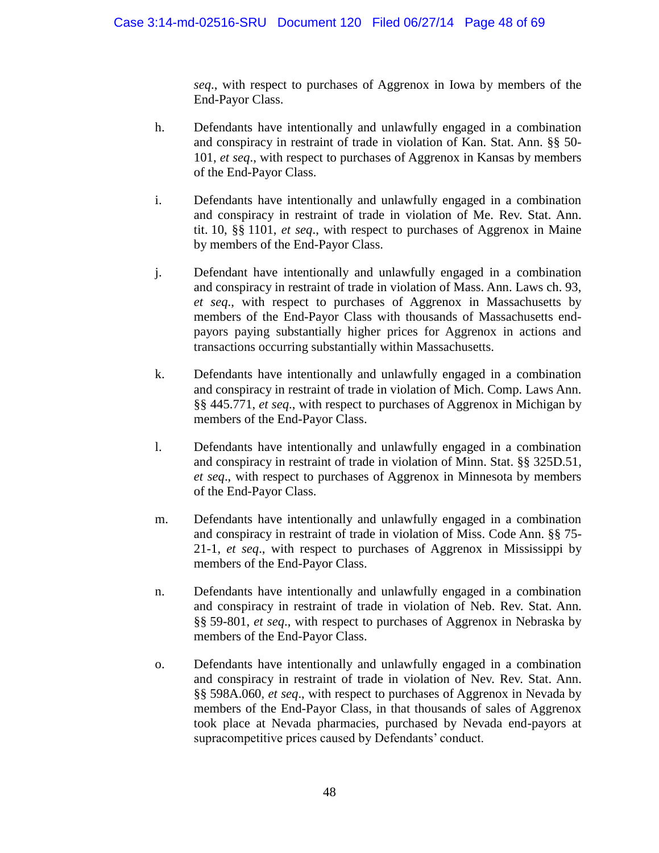*seq*., with respect to purchases of Aggrenox in Iowa by members of the End-Payor Class.

- h. Defendants have intentionally and unlawfully engaged in a combination and conspiracy in restraint of trade in violation of Kan. Stat. Ann. §§ 50- 101, *et seq*., with respect to purchases of Aggrenox in Kansas by members of the End-Payor Class.
- i. Defendants have intentionally and unlawfully engaged in a combination and conspiracy in restraint of trade in violation of Me. Rev. Stat. Ann. tit. 10, §§ 1101, *et seq*., with respect to purchases of Aggrenox in Maine by members of the End-Payor Class.
- j. Defendant have intentionally and unlawfully engaged in a combination and conspiracy in restraint of trade in violation of Mass. Ann. Laws ch. 93, *et seq*., with respect to purchases of Aggrenox in Massachusetts by members of the End-Payor Class with thousands of Massachusetts endpayors paying substantially higher prices for Aggrenox in actions and transactions occurring substantially within Massachusetts.
- k. Defendants have intentionally and unlawfully engaged in a combination and conspiracy in restraint of trade in violation of Mich. Comp. Laws Ann. §§ 445.771, *et seq*., with respect to purchases of Aggrenox in Michigan by members of the End-Payor Class.
- l. Defendants have intentionally and unlawfully engaged in a combination and conspiracy in restraint of trade in violation of Minn. Stat. §§ 325D.51, *et seq*., with respect to purchases of Aggrenox in Minnesota by members of the End-Payor Class.
- m. Defendants have intentionally and unlawfully engaged in a combination and conspiracy in restraint of trade in violation of Miss. Code Ann. §§ 75- 21-1, *et seq*., with respect to purchases of Aggrenox in Mississippi by members of the End-Payor Class.
- n. Defendants have intentionally and unlawfully engaged in a combination and conspiracy in restraint of trade in violation of Neb. Rev. Stat. Ann. §§ 59-801, *et seq*., with respect to purchases of Aggrenox in Nebraska by members of the End-Payor Class.
- o. Defendants have intentionally and unlawfully engaged in a combination and conspiracy in restraint of trade in violation of Nev. Rev. Stat. Ann. §§ 598A.060, *et seq*., with respect to purchases of Aggrenox in Nevada by members of the End-Payor Class, in that thousands of sales of Aggrenox took place at Nevada pharmacies, purchased by Nevada end-payors at supracompetitive prices caused by Defendants' conduct.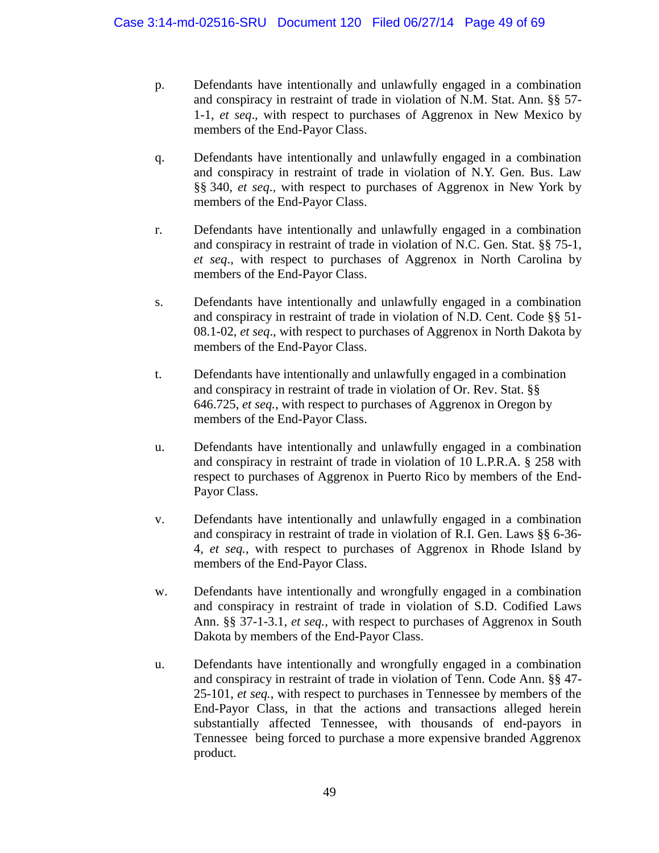- p. Defendants have intentionally and unlawfully engaged in a combination and conspiracy in restraint of trade in violation of N.M. Stat. Ann. §§ 57- 1-1, *et seq*., with respect to purchases of Aggrenox in New Mexico by members of the End-Payor Class.
- q. Defendants have intentionally and unlawfully engaged in a combination and conspiracy in restraint of trade in violation of N.Y. Gen. Bus. Law §§ 340, *et seq*., with respect to purchases of Aggrenox in New York by members of the End-Payor Class.
- r. Defendants have intentionally and unlawfully engaged in a combination and conspiracy in restraint of trade in violation of N.C. Gen. Stat. §§ 75-1, *et seq*., with respect to purchases of Aggrenox in North Carolina by members of the End-Payor Class.
- s. Defendants have intentionally and unlawfully engaged in a combination and conspiracy in restraint of trade in violation of N.D. Cent. Code §§ 51- 08.1-02, *et seq*., with respect to purchases of Aggrenox in North Dakota by members of the End-Payor Class.
- t. Defendants have intentionally and unlawfully engaged in a combination and conspiracy in restraint of trade in violation of Or. Rev. Stat. §§ 646.725, *et seq.*, with respect to purchases of Aggrenox in Oregon by members of the End-Payor Class.
- u. Defendants have intentionally and unlawfully engaged in a combination and conspiracy in restraint of trade in violation of 10 L.P.R.A. § 258 with respect to purchases of Aggrenox in Puerto Rico by members of the End-Payor Class.
- v. Defendants have intentionally and unlawfully engaged in a combination and conspiracy in restraint of trade in violation of R.I. Gen. Laws §§ 6-36- 4, *et seq.*, with respect to purchases of Aggrenox in Rhode Island by members of the End-Payor Class.
- w. Defendants have intentionally and wrongfully engaged in a combination and conspiracy in restraint of trade in violation of S.D. Codified Laws Ann. §§ 37-1-3.1, *et seq.*, with respect to purchases of Aggrenox in South Dakota by members of the End-Payor Class.
- u. Defendants have intentionally and wrongfully engaged in a combination and conspiracy in restraint of trade in violation of Tenn. Code Ann. §§ 47- 25-101, *et seq.*, with respect to purchases in Tennessee by members of the End-Payor Class, in that the actions and transactions alleged herein substantially affected Tennessee, with thousands of end-payors in Tennessee being forced to purchase a more expensive branded Aggrenox product.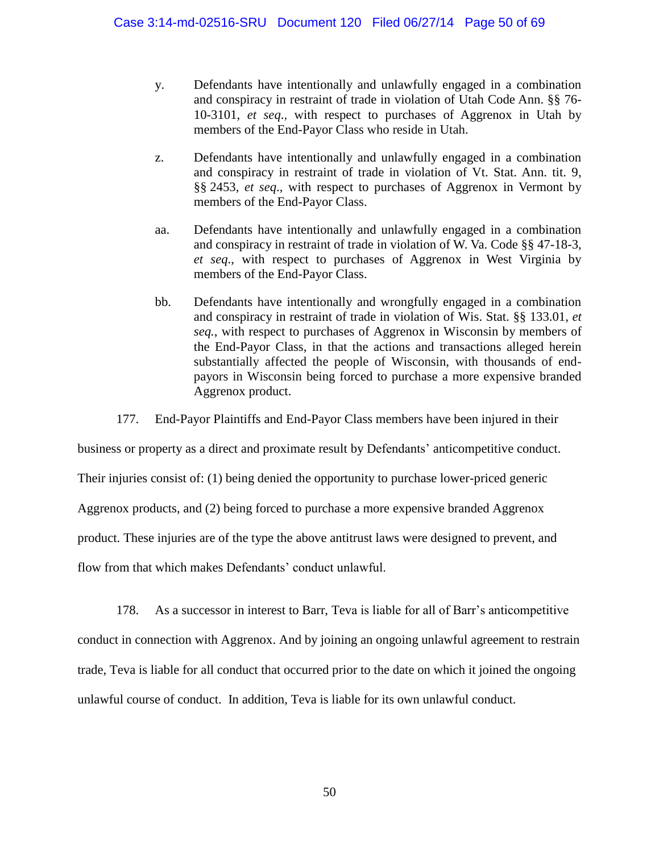- y. Defendants have intentionally and unlawfully engaged in a combination and conspiracy in restraint of trade in violation of Utah Code Ann. §§ 76- 10-3101, *et seq*., with respect to purchases of Aggrenox in Utah by members of the End-Payor Class who reside in Utah.
- z. Defendants have intentionally and unlawfully engaged in a combination and conspiracy in restraint of trade in violation of Vt. Stat. Ann. tit. 9, §§ 2453, *et seq*., with respect to purchases of Aggrenox in Vermont by members of the End-Payor Class.
- aa. Defendants have intentionally and unlawfully engaged in a combination and conspiracy in restraint of trade in violation of W. Va. Code §§ 47-18-3, *et seq*., with respect to purchases of Aggrenox in West Virginia by members of the End-Payor Class.
- bb. Defendants have intentionally and wrongfully engaged in a combination and conspiracy in restraint of trade in violation of Wis. Stat. §§ 133.01, *et seq.*, with respect to purchases of Aggrenox in Wisconsin by members of the End-Payor Class, in that the actions and transactions alleged herein substantially affected the people of Wisconsin, with thousands of endpayors in Wisconsin being forced to purchase a more expensive branded Aggrenox product.
- 177. End-Payor Plaintiffs and End-Payor Class members have been injured in their

business or property as a direct and proximate result by Defendants' anticompetitive conduct.

Their injuries consist of: (1) being denied the opportunity to purchase lower-priced generic

Aggrenox products, and (2) being forced to purchase a more expensive branded Aggrenox

product. These injuries are of the type the above antitrust laws were designed to prevent, and

flow from that which makes Defendants' conduct unlawful.

178. As a successor in interest to Barr, Teva is liable for all of Barr's anticompetitive

conduct in connection with Aggrenox. And by joining an ongoing unlawful agreement to restrain trade, Teva is liable for all conduct that occurred prior to the date on which it joined the ongoing unlawful course of conduct. In addition, Teva is liable for its own unlawful conduct.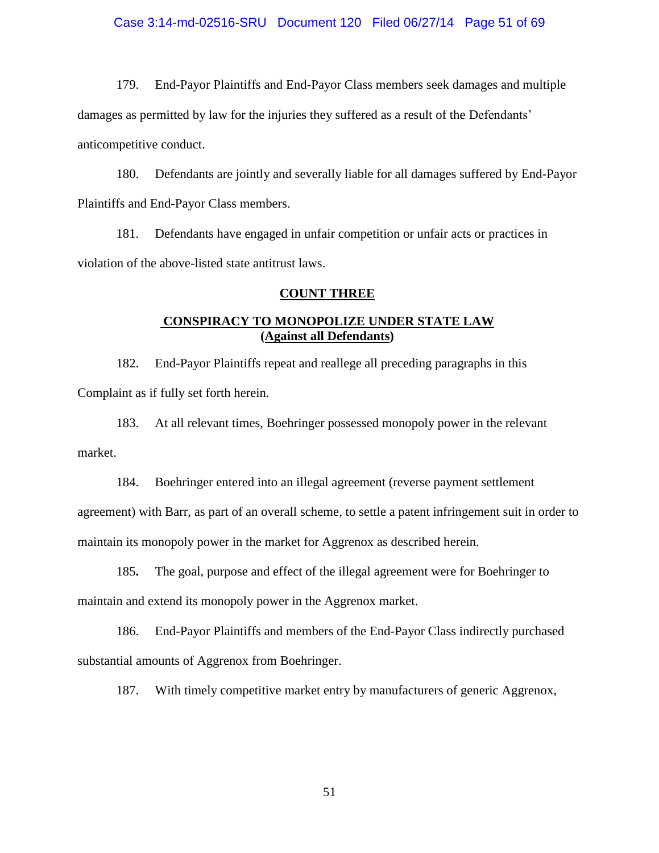## Case 3:14-md-02516-SRU Document 120 Filed 06/27/14 Page 51 of 69

179. End-Payor Plaintiffs and End-Payor Class members seek damages and multiple damages as permitted by law for the injuries they suffered as a result of the Defendants' anticompetitive conduct.

180. Defendants are jointly and severally liable for all damages suffered by End-Payor Plaintiffs and End-Payor Class members.

181. Defendants have engaged in unfair competition or unfair acts or practices in violation of the above-listed state antitrust laws.

# **COUNT THREE**

# **CONSPIRACY TO MONOPOLIZE UNDER STATE LAW (Against all Defendants)**

182. End-Payor Plaintiffs repeat and reallege all preceding paragraphs in this Complaint as if fully set forth herein.

183. At all relevant times, Boehringer possessed monopoly power in the relevant market.

184. Boehringer entered into an illegal agreement (reverse payment settlement agreement) with Barr, as part of an overall scheme, to settle a patent infringement suit in order to maintain its monopoly power in the market for Aggrenox as described herein.

185**.** The goal, purpose and effect of the illegal agreement were for Boehringer to maintain and extend its monopoly power in the Aggrenox market.

186. End-Payor Plaintiffs and members of the End-Payor Class indirectly purchased substantial amounts of Aggrenox from Boehringer.

187. With timely competitive market entry by manufacturers of generic Aggrenox,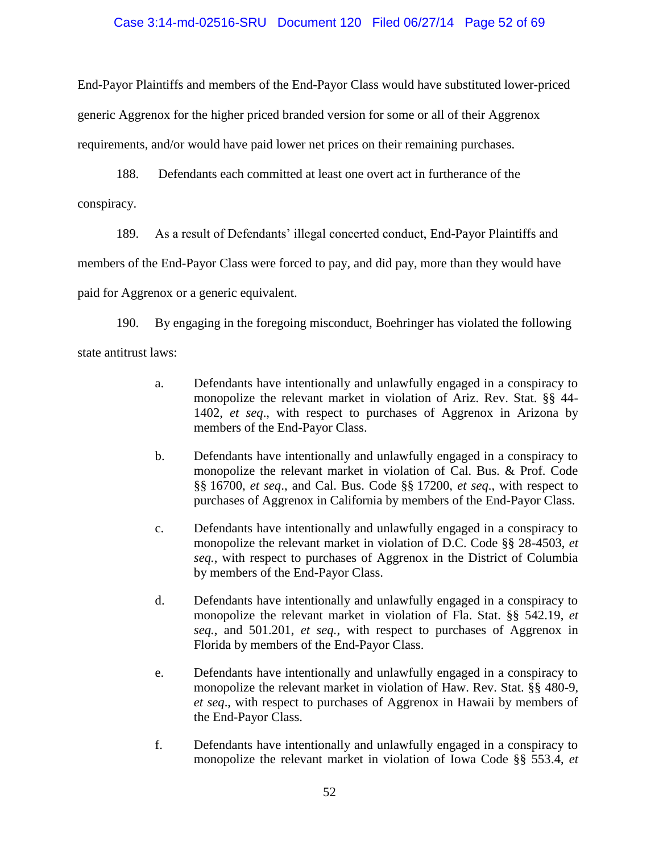# Case 3:14-md-02516-SRU Document 120 Filed 06/27/14 Page 52 of 69

End-Payor Plaintiffs and members of the End-Payor Class would have substituted lower-priced generic Aggrenox for the higher priced branded version for some or all of their Aggrenox requirements, and/or would have paid lower net prices on their remaining purchases.

188. Defendants each committed at least one overt act in furtherance of the conspiracy.

189. As a result of Defendants' illegal concerted conduct, End-Payor Plaintiffs and

members of the End-Payor Class were forced to pay, and did pay, more than they would have

paid for Aggrenox or a generic equivalent.

190. By engaging in the foregoing misconduct, Boehringer has violated the following state antitrust laws:

- a. Defendants have intentionally and unlawfully engaged in a conspiracy to monopolize the relevant market in violation of Ariz. Rev. Stat. §§ 44- 1402, *et seq*., with respect to purchases of Aggrenox in Arizona by members of the End-Payor Class.
- b. Defendants have intentionally and unlawfully engaged in a conspiracy to monopolize the relevant market in violation of Cal. Bus. & Prof. Code §§ 16700, *et seq*., and Cal. Bus. Code §§ 17200, *et seq*., with respect to purchases of Aggrenox in California by members of the End-Payor Class.
- c. Defendants have intentionally and unlawfully engaged in a conspiracy to monopolize the relevant market in violation of D.C. Code §§ 28-4503, *et seq.*, with respect to purchases of Aggrenox in the District of Columbia by members of the End-Payor Class.
- d. Defendants have intentionally and unlawfully engaged in a conspiracy to monopolize the relevant market in violation of Fla. Stat. §§ 542.19, *et seq.*, and 501.201, *et seq.*, with respect to purchases of Aggrenox in Florida by members of the End-Payor Class.
- e. Defendants have intentionally and unlawfully engaged in a conspiracy to monopolize the relevant market in violation of Haw. Rev. Stat. §§ 480-9, *et seq*., with respect to purchases of Aggrenox in Hawaii by members of the End-Payor Class.
- f. Defendants have intentionally and unlawfully engaged in a conspiracy to monopolize the relevant market in violation of Iowa Code §§ 553.4, *et*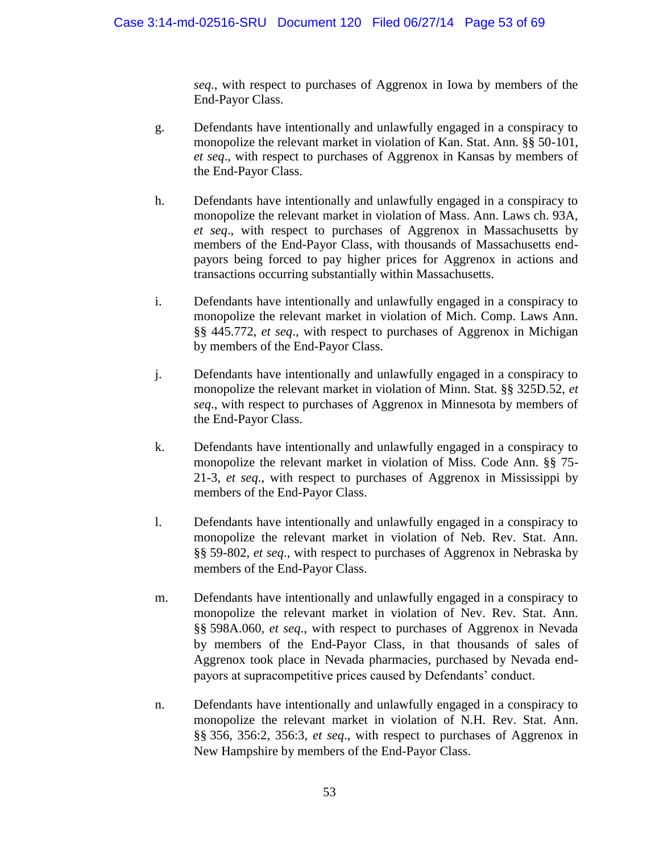*seq*., with respect to purchases of Aggrenox in Iowa by members of the End-Payor Class.

- g. Defendants have intentionally and unlawfully engaged in a conspiracy to monopolize the relevant market in violation of Kan. Stat. Ann. §§ 50-101, *et seq*., with respect to purchases of Aggrenox in Kansas by members of the End-Payor Class.
- h. Defendants have intentionally and unlawfully engaged in a conspiracy to monopolize the relevant market in violation of Mass. Ann. Laws ch. 93A, *et seq*., with respect to purchases of Aggrenox in Massachusetts by members of the End-Payor Class, with thousands of Massachusetts endpayors being forced to pay higher prices for Aggrenox in actions and transactions occurring substantially within Massachusetts.
- i. Defendants have intentionally and unlawfully engaged in a conspiracy to monopolize the relevant market in violation of Mich. Comp. Laws Ann. §§ 445.772, *et seq*., with respect to purchases of Aggrenox in Michigan by members of the End-Payor Class.
- j. Defendants have intentionally and unlawfully engaged in a conspiracy to monopolize the relevant market in violation of Minn. Stat. §§ 325D.52, *et seq*., with respect to purchases of Aggrenox in Minnesota by members of the End-Payor Class.
- k. Defendants have intentionally and unlawfully engaged in a conspiracy to monopolize the relevant market in violation of Miss. Code Ann. §§ 75- 21-3, *et seq*., with respect to purchases of Aggrenox in Mississippi by members of the End-Payor Class.
- l. Defendants have intentionally and unlawfully engaged in a conspiracy to monopolize the relevant market in violation of Neb. Rev. Stat. Ann. §§ 59-802, *et seq*., with respect to purchases of Aggrenox in Nebraska by members of the End-Payor Class.
- m. Defendants have intentionally and unlawfully engaged in a conspiracy to monopolize the relevant market in violation of Nev. Rev. Stat. Ann. §§ 598A.060, *et seq*., with respect to purchases of Aggrenox in Nevada by members of the End-Payor Class, in that thousands of sales of Aggrenox took place in Nevada pharmacies, purchased by Nevada endpayors at supracompetitive prices caused by Defendants' conduct.
- n. Defendants have intentionally and unlawfully engaged in a conspiracy to monopolize the relevant market in violation of N.H. Rev. Stat. Ann. §§ 356, 356:2, 356:3, *et seq*., with respect to purchases of Aggrenox in New Hampshire by members of the End-Payor Class.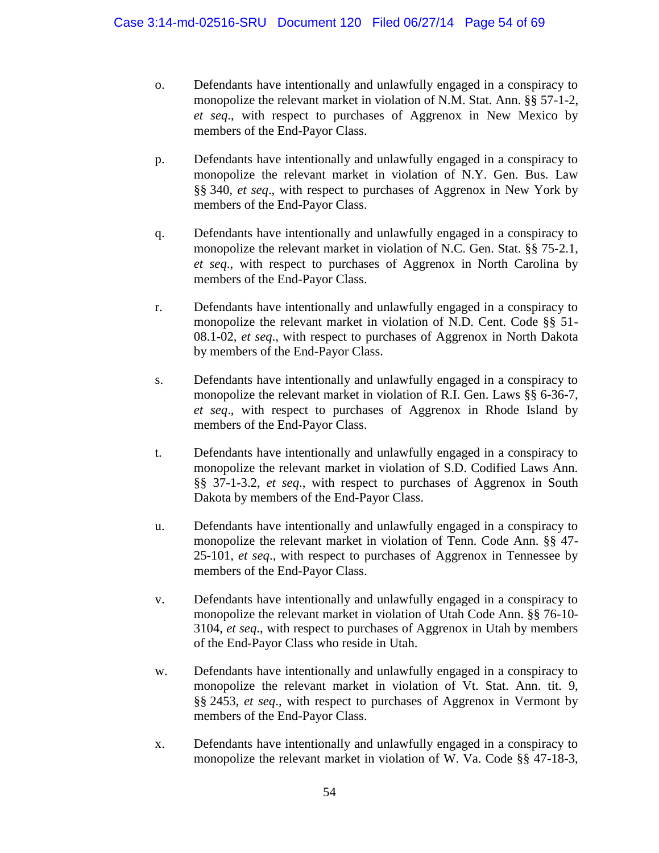- o. Defendants have intentionally and unlawfully engaged in a conspiracy to monopolize the relevant market in violation of N.M. Stat. Ann. §§ 57-1-2, *et seq*., with respect to purchases of Aggrenox in New Mexico by members of the End-Payor Class.
- p. Defendants have intentionally and unlawfully engaged in a conspiracy to monopolize the relevant market in violation of N.Y. Gen. Bus. Law §§ 340, *et seq*., with respect to purchases of Aggrenox in New York by members of the End-Payor Class.
- q. Defendants have intentionally and unlawfully engaged in a conspiracy to monopolize the relevant market in violation of N.C. Gen. Stat. §§ 75-2.1, *et seq*., with respect to purchases of Aggrenox in North Carolina by members of the End-Payor Class.
- r. Defendants have intentionally and unlawfully engaged in a conspiracy to monopolize the relevant market in violation of N.D. Cent. Code §§ 51- 08.1-02, *et seq*., with respect to purchases of Aggrenox in North Dakota by members of the End-Payor Class.
- s. Defendants have intentionally and unlawfully engaged in a conspiracy to monopolize the relevant market in violation of R.I. Gen. Laws §§ 6-36-7, *et seq*., with respect to purchases of Aggrenox in Rhode Island by members of the End-Payor Class.
- t. Defendants have intentionally and unlawfully engaged in a conspiracy to monopolize the relevant market in violation of S.D. Codified Laws Ann. §§ 37-1-3.2, *et seq*., with respect to purchases of Aggrenox in South Dakota by members of the End-Payor Class.
- u. Defendants have intentionally and unlawfully engaged in a conspiracy to monopolize the relevant market in violation of Tenn. Code Ann. §§ 47- 25-101, *et seq*., with respect to purchases of Aggrenox in Tennessee by members of the End-Payor Class.
- v. Defendants have intentionally and unlawfully engaged in a conspiracy to monopolize the relevant market in violation of Utah Code Ann. §§ 76-10- 3104, *et seq*., with respect to purchases of Aggrenox in Utah by members of the End-Payor Class who reside in Utah.
- w. Defendants have intentionally and unlawfully engaged in a conspiracy to monopolize the relevant market in violation of Vt. Stat. Ann. tit. 9, §§ 2453, *et seq*., with respect to purchases of Aggrenox in Vermont by members of the End-Payor Class.
- x. Defendants have intentionally and unlawfully engaged in a conspiracy to monopolize the relevant market in violation of W. Va. Code §§ 47-18-3,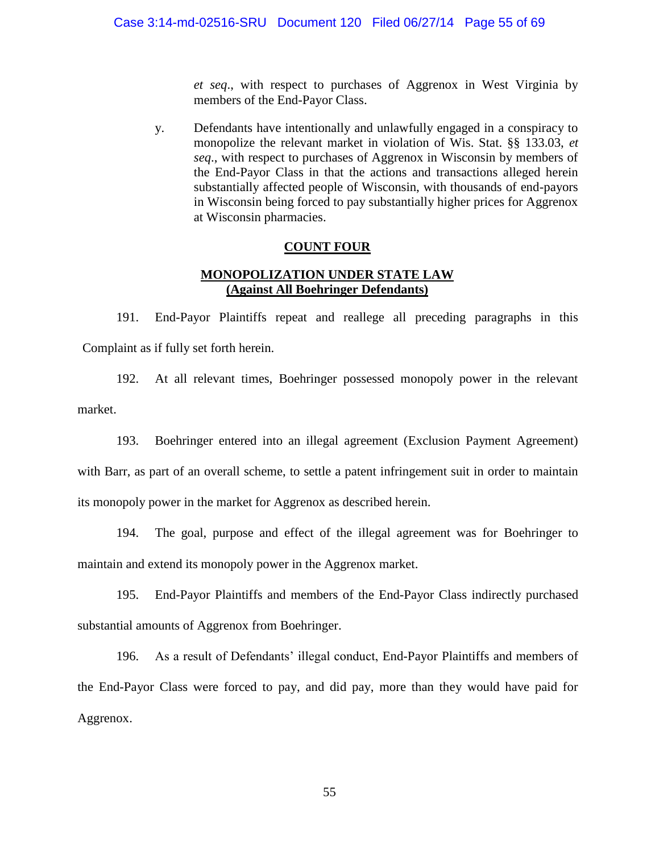*et seq*., with respect to purchases of Aggrenox in West Virginia by members of the End-Payor Class.

y. Defendants have intentionally and unlawfully engaged in a conspiracy to monopolize the relevant market in violation of Wis. Stat. §§ 133.03, *et seq*., with respect to purchases of Aggrenox in Wisconsin by members of the End-Payor Class in that the actions and transactions alleged herein substantially affected people of Wisconsin, with thousands of end-payors in Wisconsin being forced to pay substantially higher prices for Aggrenox at Wisconsin pharmacies.

# **COUNT FOUR**

# **MONOPOLIZATION UNDER STATE LAW (Against All Boehringer Defendants)**

191. End-Payor Plaintiffs repeat and reallege all preceding paragraphs in this Complaint as if fully set forth herein.

192. At all relevant times, Boehringer possessed monopoly power in the relevant market.

193. Boehringer entered into an illegal agreement (Exclusion Payment Agreement) with Barr, as part of an overall scheme, to settle a patent infringement suit in order to maintain its monopoly power in the market for Aggrenox as described herein.

194. The goal, purpose and effect of the illegal agreement was for Boehringer to maintain and extend its monopoly power in the Aggrenox market.

195. End-Payor Plaintiffs and members of the End-Payor Class indirectly purchased substantial amounts of Aggrenox from Boehringer.

196. As a result of Defendants' illegal conduct, End-Payor Plaintiffs and members of the End-Payor Class were forced to pay, and did pay, more than they would have paid for Aggrenox.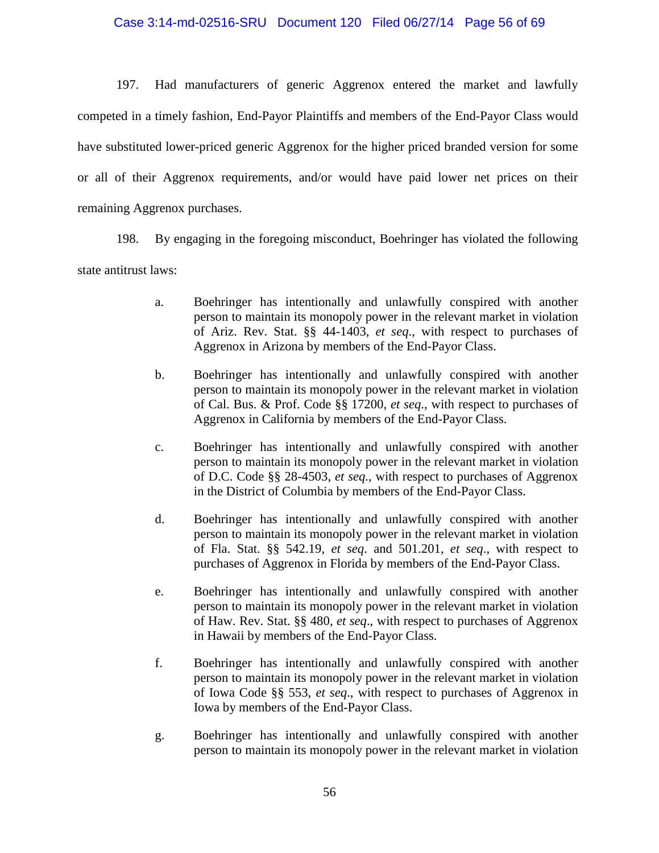# Case 3:14-md-02516-SRU Document 120 Filed 06/27/14 Page 56 of 69

197. Had manufacturers of generic Aggrenox entered the market and lawfully competed in a timely fashion, End-Payor Plaintiffs and members of the End-Payor Class would have substituted lower-priced generic Aggrenox for the higher priced branded version for some or all of their Aggrenox requirements, and/or would have paid lower net prices on their remaining Aggrenox purchases.

198. By engaging in the foregoing misconduct, Boehringer has violated the following state antitrust laws:

- a. Boehringer has intentionally and unlawfully conspired with another person to maintain its monopoly power in the relevant market in violation of Ariz. Rev. Stat. §§ 44-1403, *et seq*., with respect to purchases of Aggrenox in Arizona by members of the End-Payor Class.
- b. Boehringer has intentionally and unlawfully conspired with another person to maintain its monopoly power in the relevant market in violation of Cal. Bus. & Prof. Code §§ 17200, *et seq*., with respect to purchases of Aggrenox in California by members of the End-Payor Class.
- c. Boehringer has intentionally and unlawfully conspired with another person to maintain its monopoly power in the relevant market in violation of D.C. Code §§ 28-4503, *et seq.*, with respect to purchases of Aggrenox in the District of Columbia by members of the End-Payor Class.
- d. Boehringer has intentionally and unlawfully conspired with another person to maintain its monopoly power in the relevant market in violation of Fla. Stat. §§ 542.19, *et seq*. and 501.201, *et seq*., with respect to purchases of Aggrenox in Florida by members of the End-Payor Class.
- e. Boehringer has intentionally and unlawfully conspired with another person to maintain its monopoly power in the relevant market in violation of Haw. Rev. Stat. §§ 480, *et seq*., with respect to purchases of Aggrenox in Hawaii by members of the End-Payor Class.
- f. Boehringer has intentionally and unlawfully conspired with another person to maintain its monopoly power in the relevant market in violation of Iowa Code §§ 553, *et seq*., with respect to purchases of Aggrenox in Iowa by members of the End-Payor Class.
- g. Boehringer has intentionally and unlawfully conspired with another person to maintain its monopoly power in the relevant market in violation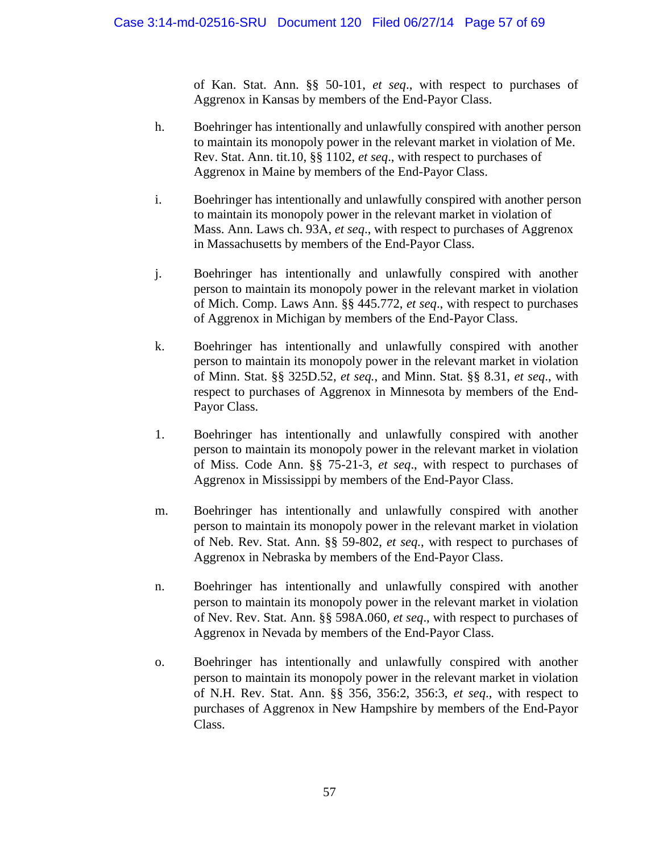of Kan. Stat. Ann. §§ 50-101, *et seq*., with respect to purchases of Aggrenox in Kansas by members of the End-Payor Class.

- h. Boehringer has intentionally and unlawfully conspired with another person to maintain its monopoly power in the relevant market in violation of Me. Rev. Stat. Ann. tit.10, §§ 1102, *et seq*., with respect to purchases of Aggrenox in Maine by members of the End-Payor Class.
- i. Boehringer has intentionally and unlawfully conspired with another person to maintain its monopoly power in the relevant market in violation of Mass. Ann. Laws ch. 93A, *et seq*., with respect to purchases of Aggrenox in Massachusetts by members of the End-Payor Class.
- j. Boehringer has intentionally and unlawfully conspired with another person to maintain its monopoly power in the relevant market in violation of Mich. Comp. Laws Ann. §§ 445.772, *et seq*., with respect to purchases of Aggrenox in Michigan by members of the End-Payor Class.
- k. Boehringer has intentionally and unlawfully conspired with another person to maintain its monopoly power in the relevant market in violation of Minn. Stat. §§ 325D.52, *et seq.*, and Minn. Stat. §§ 8.31, *et seq*., with respect to purchases of Aggrenox in Minnesota by members of the End-Payor Class.
- 1. Boehringer has intentionally and unlawfully conspired with another person to maintain its monopoly power in the relevant market in violation of Miss. Code Ann. §§ 75-21-3, *et seq*., with respect to purchases of Aggrenox in Mississippi by members of the End-Payor Class.
- m. Boehringer has intentionally and unlawfully conspired with another person to maintain its monopoly power in the relevant market in violation of Neb. Rev. Stat. Ann. §§ 59-802, *et seq.*, with respect to purchases of Aggrenox in Nebraska by members of the End-Payor Class.
- n. Boehringer has intentionally and unlawfully conspired with another person to maintain its monopoly power in the relevant market in violation of Nev. Rev. Stat. Ann. §§ 598A.060, *et seq*., with respect to purchases of Aggrenox in Nevada by members of the End-Payor Class.
- o. Boehringer has intentionally and unlawfully conspired with another person to maintain its monopoly power in the relevant market in violation of N.H. Rev. Stat. Ann. §§ 356, 356:2, 356:3, *et seq*., with respect to purchases of Aggrenox in New Hampshire by members of the End-Payor Class.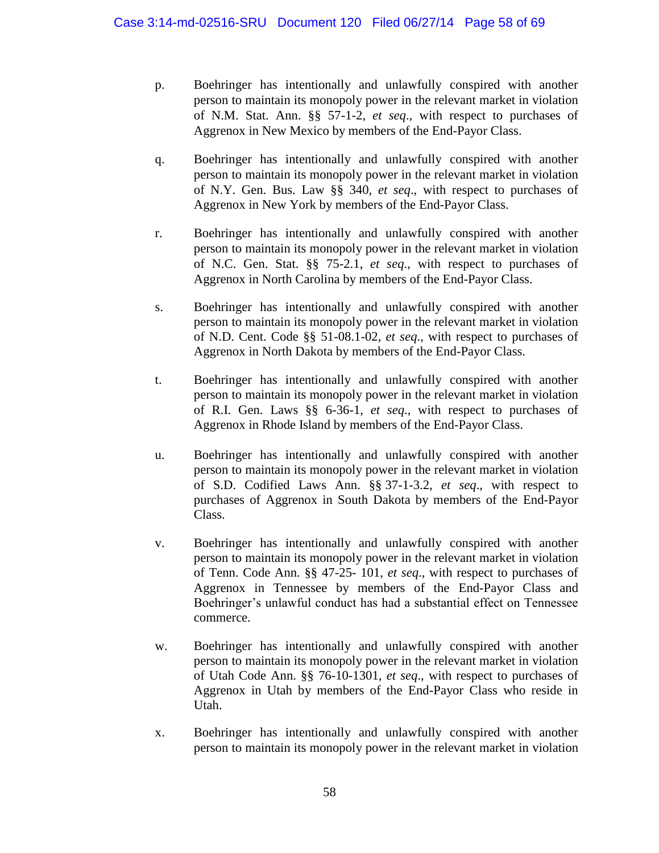- p. Boehringer has intentionally and unlawfully conspired with another person to maintain its monopoly power in the relevant market in violation of N.M. Stat. Ann. §§ 57-1-2, *et seq*., with respect to purchases of Aggrenox in New Mexico by members of the End-Payor Class.
- q. Boehringer has intentionally and unlawfully conspired with another person to maintain its monopoly power in the relevant market in violation of N.Y. Gen. Bus. Law §§ 340, *et seq*., with respect to purchases of Aggrenox in New York by members of the End-Payor Class.
- r. Boehringer has intentionally and unlawfully conspired with another person to maintain its monopoly power in the relevant market in violation of N.C. Gen. Stat. §§ 75-2.1, *et seq*., with respect to purchases of Aggrenox in North Carolina by members of the End-Payor Class.
- s. Boehringer has intentionally and unlawfully conspired with another person to maintain its monopoly power in the relevant market in violation of N.D. Cent. Code §§ 51-08.1-02, *et seq*., with respect to purchases of Aggrenox in North Dakota by members of the End-Payor Class.
- t. Boehringer has intentionally and unlawfully conspired with another person to maintain its monopoly power in the relevant market in violation of R.I. Gen. Laws §§ 6-36-1, *et seq*., with respect to purchases of Aggrenox in Rhode Island by members of the End-Payor Class.
- u. Boehringer has intentionally and unlawfully conspired with another person to maintain its monopoly power in the relevant market in violation of S.D. Codified Laws Ann. §§ 37-1-3.2, *et seq*., with respect to purchases of Aggrenox in South Dakota by members of the End-Payor Class.
- v. Boehringer has intentionally and unlawfully conspired with another person to maintain its monopoly power in the relevant market in violation of Tenn. Code Ann. §§ 47-25- 101, *et seq*., with respect to purchases of Aggrenox in Tennessee by members of the End-Payor Class and Boehringer's unlawful conduct has had a substantial effect on Tennessee commerce.
- w. Boehringer has intentionally and unlawfully conspired with another person to maintain its monopoly power in the relevant market in violation of Utah Code Ann. §§ 76-10-1301, *et seq*., with respect to purchases of Aggrenox in Utah by members of the End-Payor Class who reside in Utah.
- x. Boehringer has intentionally and unlawfully conspired with another person to maintain its monopoly power in the relevant market in violation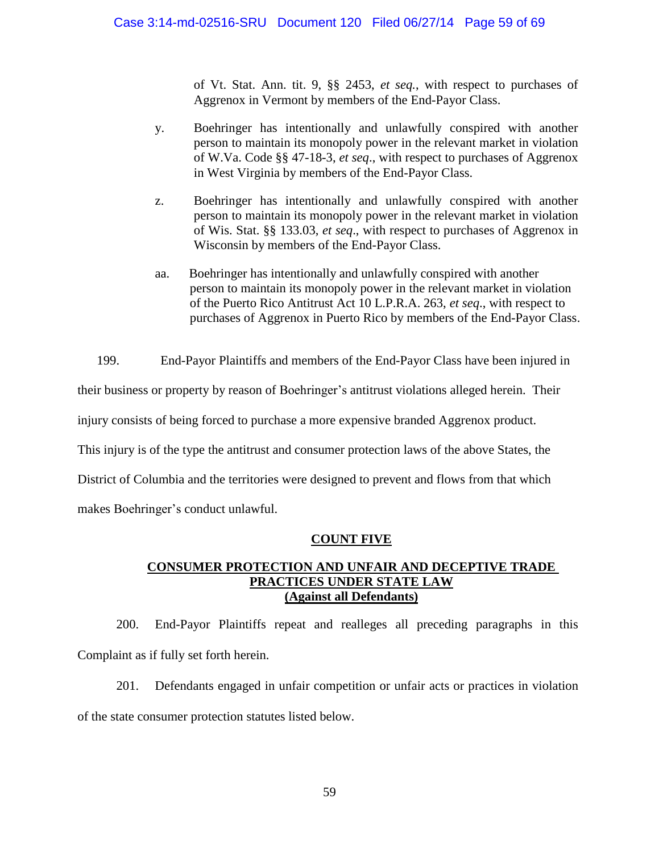of Vt. Stat. Ann. tit. 9, §§ 2453, *et seq.*, with respect to purchases of Aggrenox in Vermont by members of the End-Payor Class.

- y. Boehringer has intentionally and unlawfully conspired with another person to maintain its monopoly power in the relevant market in violation of W.Va. Code §§ 47-18-3, *et seq*., with respect to purchases of Aggrenox in West Virginia by members of the End-Payor Class.
- z. Boehringer has intentionally and unlawfully conspired with another person to maintain its monopoly power in the relevant market in violation of Wis. Stat. §§ 133.03, *et seq*., with respect to purchases of Aggrenox in Wisconsin by members of the End-Payor Class.
- aa. Boehringer has intentionally and unlawfully conspired with another person to maintain its monopoly power in the relevant market in violation of the Puerto Rico Antitrust Act 10 L.P.R.A. 263, *et seq*., with respect to purchases of Aggrenox in Puerto Rico by members of the End-Payor Class.

199. End-Payor Plaintiffs and members of the End-Payor Class have been injured in their business or property by reason of Boehringer's antitrust violations alleged herein. Their injury consists of being forced to purchase a more expensive branded Aggrenox product. This injury is of the type the antitrust and consumer protection laws of the above States, the District of Columbia and the territories were designed to prevent and flows from that which makes Boehringer's conduct unlawful.

# **COUNT FIVE**

# **CONSUMER PROTECTION AND UNFAIR AND DECEPTIVE TRADE PRACTICES UNDER STATE LAW (Against all Defendants)**

200. End-Payor Plaintiffs repeat and realleges all preceding paragraphs in this Complaint as if fully set forth herein.

201. Defendants engaged in unfair competition or unfair acts or practices in violation of the state consumer protection statutes listed below.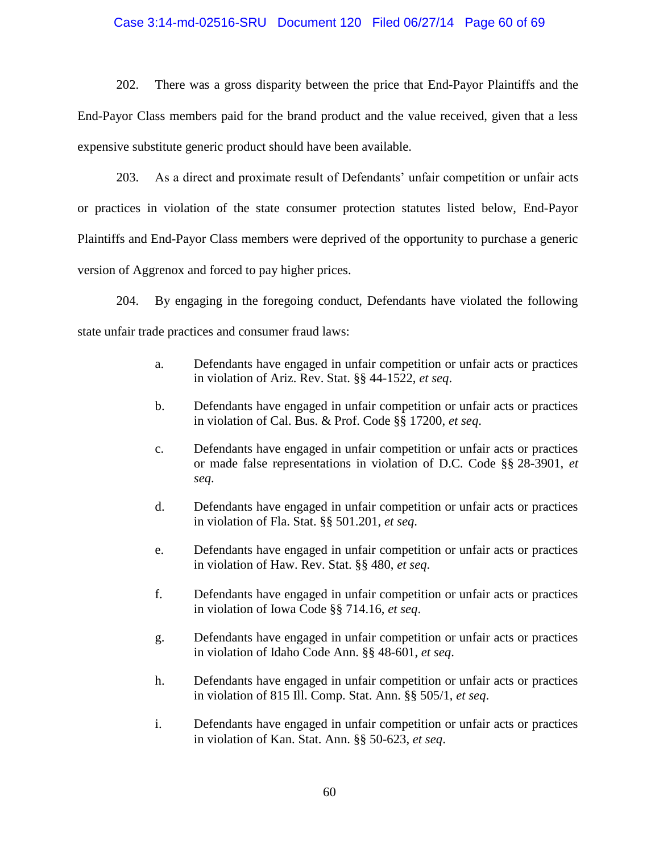# Case 3:14-md-02516-SRU Document 120 Filed 06/27/14 Page 60 of 69

202. There was a gross disparity between the price that End-Payor Plaintiffs and the End-Payor Class members paid for the brand product and the value received, given that a less expensive substitute generic product should have been available.

203. As a direct and proximate result of Defendants' unfair competition or unfair acts or practices in violation of the state consumer protection statutes listed below, End-Payor Plaintiffs and End-Payor Class members were deprived of the opportunity to purchase a generic version of Aggrenox and forced to pay higher prices.

204. By engaging in the foregoing conduct, Defendants have violated the following state unfair trade practices and consumer fraud laws:

- a. Defendants have engaged in unfair competition or unfair acts or practices in violation of Ariz. Rev. Stat. §§ 44-1522, *et seq*.
- b. Defendants have engaged in unfair competition or unfair acts or practices in violation of Cal. Bus. & Prof. Code §§ 17200, *et seq*.
- c. Defendants have engaged in unfair competition or unfair acts or practices or made false representations in violation of D.C. Code §§ 28-3901, *et seq*.
- d. Defendants have engaged in unfair competition or unfair acts or practices in violation of Fla. Stat. §§ 501.201, *et seq*.
- e. Defendants have engaged in unfair competition or unfair acts or practices in violation of Haw. Rev. Stat. §§ 480, *et seq*.
- f. Defendants have engaged in unfair competition or unfair acts or practices in violation of Iowa Code §§ 714.16, *et seq*.
- g. Defendants have engaged in unfair competition or unfair acts or practices in violation of Idaho Code Ann. §§ 48-601, *et seq*.
- h. Defendants have engaged in unfair competition or unfair acts or practices in violation of 815 Ill. Comp. Stat. Ann. §§ 505/1, *et seq*.
- i. Defendants have engaged in unfair competition or unfair acts or practices in violation of Kan. Stat. Ann. §§ 50-623, *et seq*.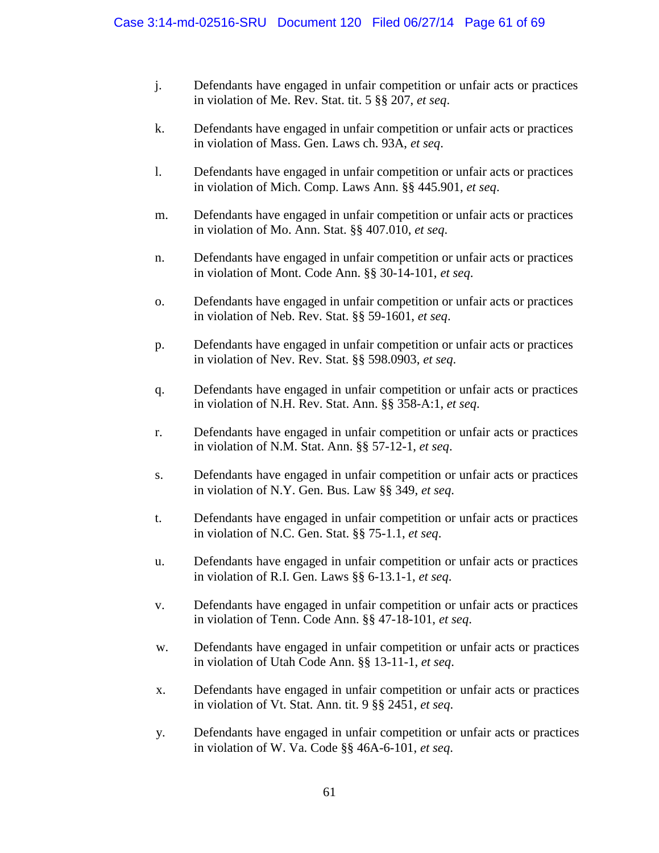- j. Defendants have engaged in unfair competition or unfair acts or practices in violation of Me. Rev. Stat. tit. 5 §§ 207, *et seq*.
- k. Defendants have engaged in unfair competition or unfair acts or practices in violation of Mass. Gen. Laws ch. 93A, *et seq*.
- l. Defendants have engaged in unfair competition or unfair acts or practices in violation of Mich. Comp. Laws Ann. §§ 445.901, *et seq*.
- m. Defendants have engaged in unfair competition or unfair acts or practices in violation of Mo. Ann. Stat. §§ 407.010, *et seq*.
- n. Defendants have engaged in unfair competition or unfair acts or practices in violation of Mont. Code Ann. §§ 30-14-101, *et seq*.
- o. Defendants have engaged in unfair competition or unfair acts or practices in violation of Neb. Rev. Stat. §§ 59-1601, *et seq*.
- p. Defendants have engaged in unfair competition or unfair acts or practices in violation of Nev. Rev. Stat. §§ 598.0903, *et seq*.
- q. Defendants have engaged in unfair competition or unfair acts or practices in violation of N.H. Rev. Stat. Ann. §§ 358-A:1, *et seq*.
- r. Defendants have engaged in unfair competition or unfair acts or practices in violation of N.M. Stat. Ann. §§ 57-12-1, *et seq*.
- s. Defendants have engaged in unfair competition or unfair acts or practices in violation of N.Y. Gen. Bus. Law §§ 349, *et seq*.
- t. Defendants have engaged in unfair competition or unfair acts or practices in violation of N.C. Gen. Stat. §§ 75-1.1, *et seq*.
- u. Defendants have engaged in unfair competition or unfair acts or practices in violation of R.I. Gen. Laws §§ 6-13.1-1, *et seq*.
- v. Defendants have engaged in unfair competition or unfair acts or practices in violation of Tenn. Code Ann. §§ 47-18-101, *et seq*.
- w. Defendants have engaged in unfair competition or unfair acts or practices in violation of Utah Code Ann. §§ 13-11-1, *et seq*.
- x. Defendants have engaged in unfair competition or unfair acts or practices in violation of Vt. Stat. Ann. tit. 9 §§ 2451, *et seq*.
- y. Defendants have engaged in unfair competition or unfair acts or practices in violation of W. Va. Code §§ 46A-6-101, *et seq*.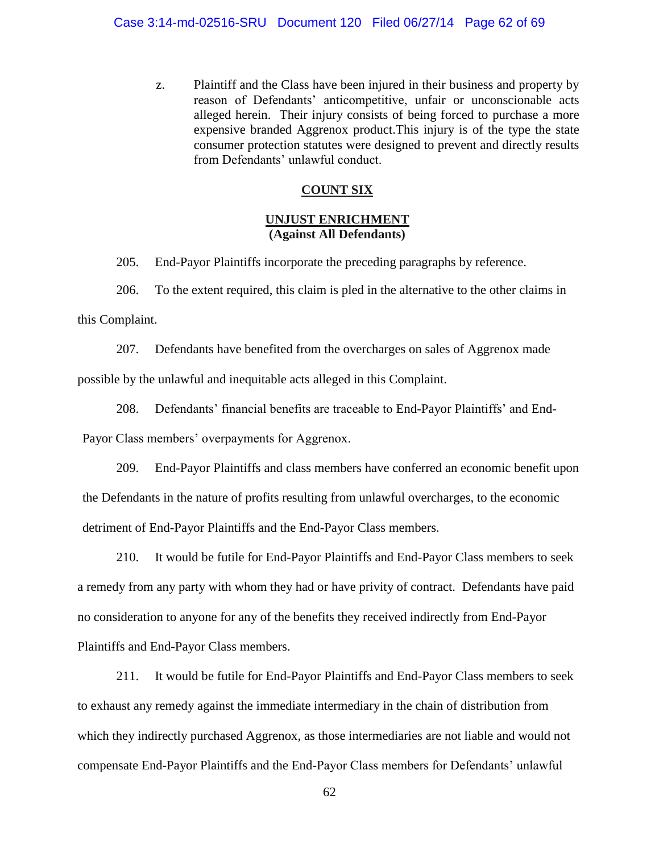z. Plaintiff and the Class have been injured in their business and property by reason of Defendants' anticompetitive, unfair or unconscionable acts alleged herein. Their injury consists of being forced to purchase a more expensive branded Aggrenox product.This injury is of the type the state consumer protection statutes were designed to prevent and directly results from Defendants' unlawful conduct.

# **COUNT SIX**

# **UNJUST ENRICHMENT (Against All Defendants)**

205. End-Payor Plaintiffs incorporate the preceding paragraphs by reference.

206. To the extent required, this claim is pled in the alternative to the other claims in this Complaint.

207. Defendants have benefited from the overcharges on sales of Aggrenox made possible by the unlawful and inequitable acts alleged in this Complaint.

208. Defendants' financial benefits are traceable to End-Payor Plaintiffs' and End-

Payor Class members' overpayments for Aggrenox.

209. End-Payor Plaintiffs and class members have conferred an economic benefit upon the Defendants in the nature of profits resulting from unlawful overcharges, to the economic detriment of End-Payor Plaintiffs and the End-Payor Class members.

210. It would be futile for End-Payor Plaintiffs and End-Payor Class members to seek a remedy from any party with whom they had or have privity of contract. Defendants have paid no consideration to anyone for any of the benefits they received indirectly from End-Payor Plaintiffs and End-Payor Class members.

211. It would be futile for End-Payor Plaintiffs and End-Payor Class members to seek to exhaust any remedy against the immediate intermediary in the chain of distribution from which they indirectly purchased Aggrenox, as those intermediaries are not liable and would not compensate End-Payor Plaintiffs and the End-Payor Class members for Defendants' unlawful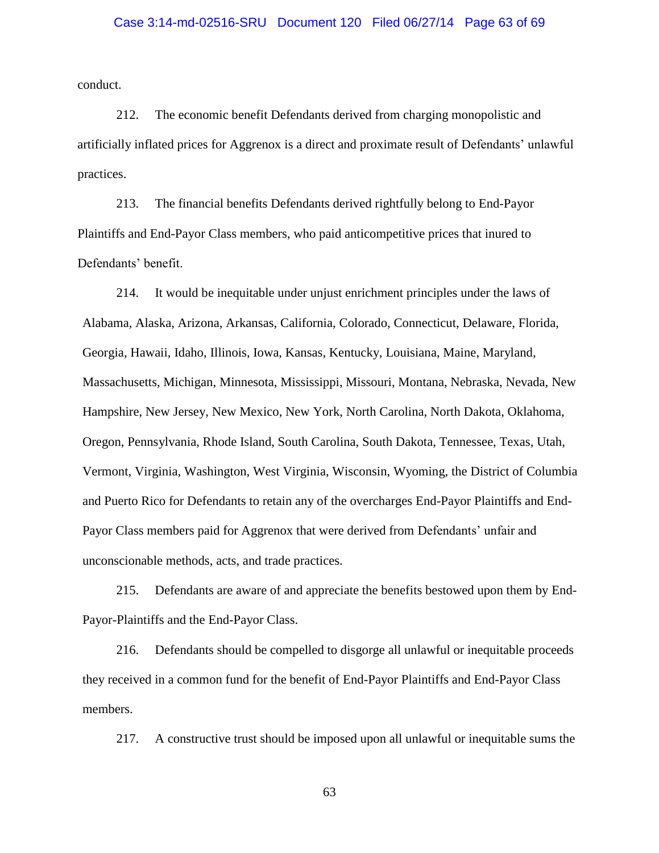## Case 3:14-md-02516-SRU Document 120 Filed 06/27/14 Page 63 of 69

conduct.

212. The economic benefit Defendants derived from charging monopolistic and artificially inflated prices for Aggrenox is a direct and proximate result of Defendants' unlawful practices.

213. The financial benefits Defendants derived rightfully belong to End-Payor Plaintiffs and End-Payor Class members, who paid anticompetitive prices that inured to Defendants' benefit.

214. It would be inequitable under unjust enrichment principles under the laws of Alabama, Alaska, Arizona, Arkansas, California, Colorado, Connecticut, Delaware, Florida, Georgia, Hawaii, Idaho, Illinois, Iowa, Kansas, Kentucky, Louisiana, Maine, Maryland, Massachusetts, Michigan, Minnesota, Mississippi, Missouri, Montana, Nebraska, Nevada, New Hampshire, New Jersey, New Mexico, New York, North Carolina, North Dakota, Oklahoma, Oregon, Pennsylvania, Rhode Island, South Carolina, South Dakota, Tennessee, Texas, Utah, Vermont, Virginia, Washington, West Virginia, Wisconsin, Wyoming, the District of Columbia and Puerto Rico for Defendants to retain any of the overcharges End-Payor Plaintiffs and End-Payor Class members paid for Aggrenox that were derived from Defendants' unfair and unconscionable methods, acts, and trade practices.

215. Defendants are aware of and appreciate the benefits bestowed upon them by End-Payor-Plaintiffs and the End-Payor Class.

216. Defendants should be compelled to disgorge all unlawful or inequitable proceeds they received in a common fund for the benefit of End-Payor Plaintiffs and End-Payor Class members.

217. A constructive trust should be imposed upon all unlawful or inequitable sums the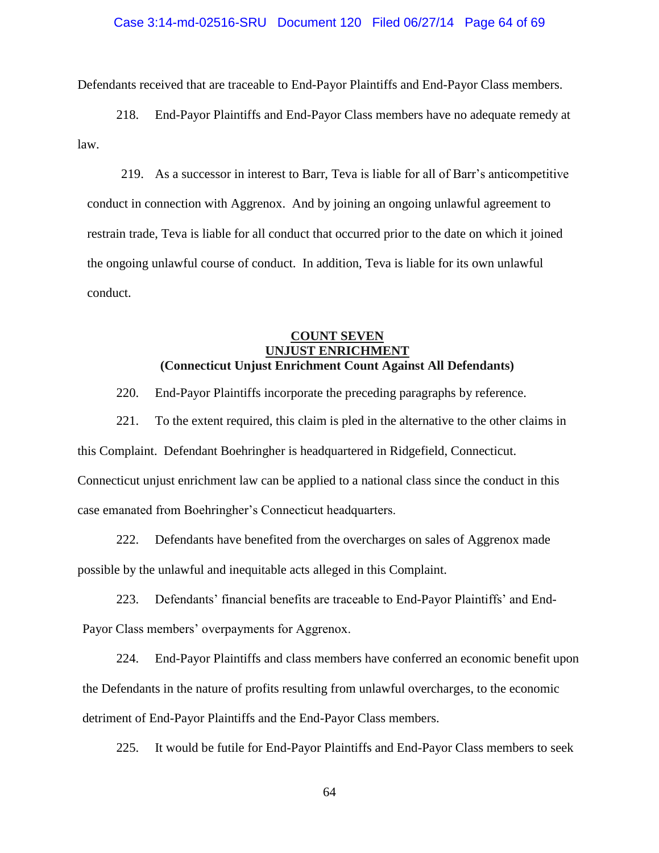Defendants received that are traceable to End-Payor Plaintiffs and End-Payor Class members.

218. End-Payor Plaintiffs and End-Payor Class members have no adequate remedy at law.

219. As a successor in interest to Barr, Teva is liable for all of Barr's anticompetitive conduct in connection with Aggrenox. And by joining an ongoing unlawful agreement to restrain trade, Teva is liable for all conduct that occurred prior to the date on which it joined the ongoing unlawful course of conduct. In addition, Teva is liable for its own unlawful conduct.

# **COUNT SEVEN UNJUST ENRICHMENT (Connecticut Unjust Enrichment Count Against All Defendants)**

220. End-Payor Plaintiffs incorporate the preceding paragraphs by reference.

221. To the extent required, this claim is pled in the alternative to the other claims in this Complaint. Defendant Boehringher is headquartered in Ridgefield, Connecticut. Connecticut unjust enrichment law can be applied to a national class since the conduct in this case emanated from Boehringher's Connecticut headquarters.

222. Defendants have benefited from the overcharges on sales of Aggrenox made possible by the unlawful and inequitable acts alleged in this Complaint.

223. Defendants' financial benefits are traceable to End-Payor Plaintiffs' and End-

Payor Class members' overpayments for Aggrenox.

224. End-Payor Plaintiffs and class members have conferred an economic benefit upon the Defendants in the nature of profits resulting from unlawful overcharges, to the economic detriment of End-Payor Plaintiffs and the End-Payor Class members.

225. It would be futile for End-Payor Plaintiffs and End-Payor Class members to seek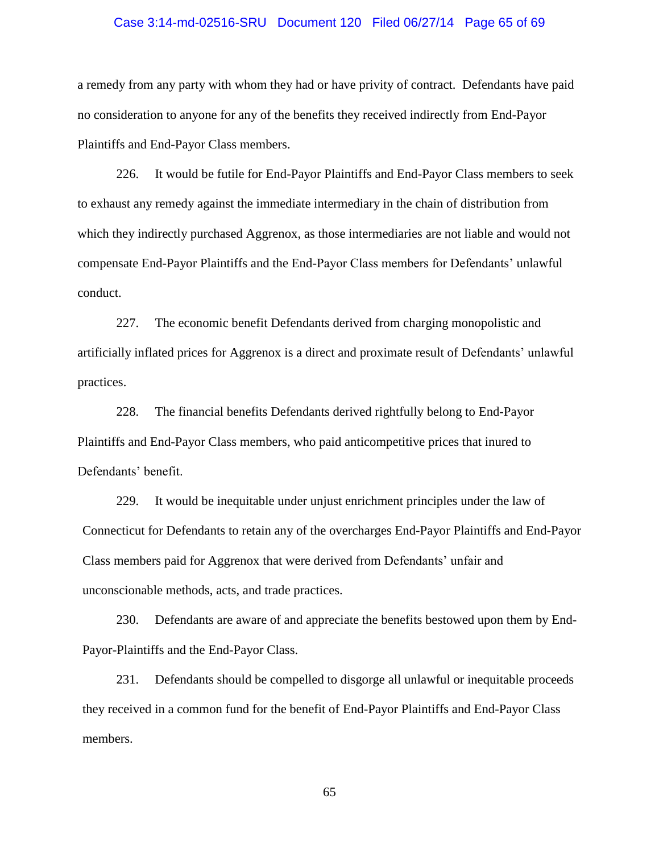## Case 3:14-md-02516-SRU Document 120 Filed 06/27/14 Page 65 of 69

a remedy from any party with whom they had or have privity of contract. Defendants have paid no consideration to anyone for any of the benefits they received indirectly from End-Payor Plaintiffs and End-Payor Class members.

226. It would be futile for End-Payor Plaintiffs and End-Payor Class members to seek to exhaust any remedy against the immediate intermediary in the chain of distribution from which they indirectly purchased Aggrenox, as those intermediaries are not liable and would not compensate End-Payor Plaintiffs and the End-Payor Class members for Defendants' unlawful conduct.

227. The economic benefit Defendants derived from charging monopolistic and artificially inflated prices for Aggrenox is a direct and proximate result of Defendants' unlawful practices.

228. The financial benefits Defendants derived rightfully belong to End-Payor Plaintiffs and End-Payor Class members, who paid anticompetitive prices that inured to Defendants' benefit.

229. It would be inequitable under unjust enrichment principles under the law of Connecticut for Defendants to retain any of the overcharges End-Payor Plaintiffs and End-Payor Class members paid for Aggrenox that were derived from Defendants' unfair and unconscionable methods, acts, and trade practices.

230. Defendants are aware of and appreciate the benefits bestowed upon them by End-Payor-Plaintiffs and the End-Payor Class.

231. Defendants should be compelled to disgorge all unlawful or inequitable proceeds they received in a common fund for the benefit of End-Payor Plaintiffs and End-Payor Class members.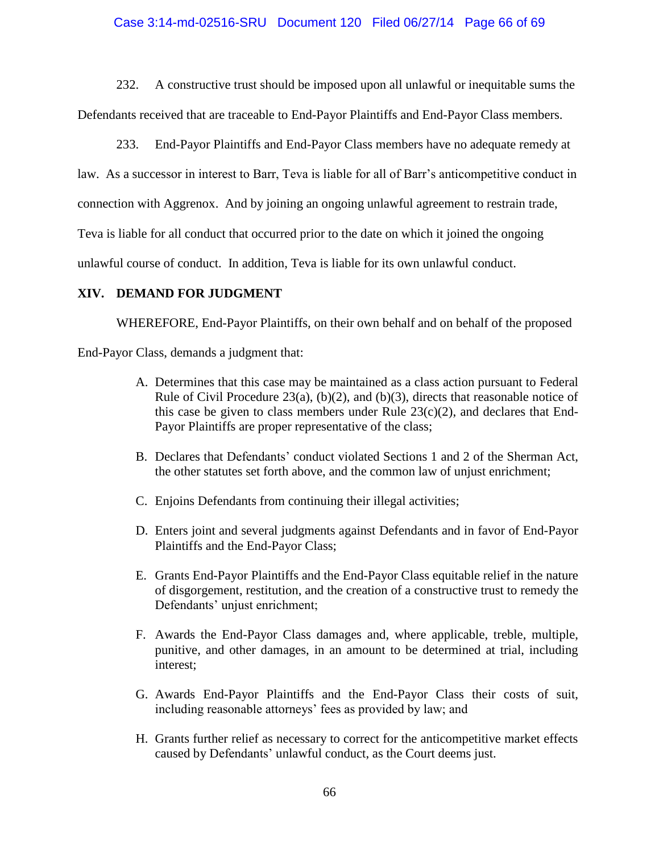# Case 3:14-md-02516-SRU Document 120 Filed 06/27/14 Page 66 of 69

232. A constructive trust should be imposed upon all unlawful or inequitable sums the Defendants received that are traceable to End-Payor Plaintiffs and End-Payor Class members.

233. End-Payor Plaintiffs and End-Payor Class members have no adequate remedy at law. As a successor in interest to Barr, Teva is liable for all of Barr's anticompetitive conduct in connection with Aggrenox. And by joining an ongoing unlawful agreement to restrain trade, Teva is liable for all conduct that occurred prior to the date on which it joined the ongoing unlawful course of conduct. In addition, Teva is liable for its own unlawful conduct.

# **XIV. DEMAND FOR JUDGMENT**

WHEREFORE, End-Payor Plaintiffs, on their own behalf and on behalf of the proposed

End-Payor Class, demands a judgment that:

- A. Determines that this case may be maintained as a class action pursuant to Federal Rule of Civil Procedure 23(a), (b)(2), and (b)(3), directs that reasonable notice of this case be given to class members under Rule  $23(c)(2)$ , and declares that End-Payor Plaintiffs are proper representative of the class;
- B. Declares that Defendants' conduct violated Sections 1 and 2 of the Sherman Act, the other statutes set forth above, and the common law of unjust enrichment;
- C. Enjoins Defendants from continuing their illegal activities;
- D. Enters joint and several judgments against Defendants and in favor of End-Payor Plaintiffs and the End-Payor Class;
- E. Grants End-Payor Plaintiffs and the End-Payor Class equitable relief in the nature of disgorgement, restitution, and the creation of a constructive trust to remedy the Defendants' unjust enrichment;
- F. Awards the End-Payor Class damages and, where applicable, treble, multiple, punitive, and other damages, in an amount to be determined at trial, including interest;
- G. Awards End-Payor Plaintiffs and the End-Payor Class their costs of suit, including reasonable attorneys' fees as provided by law; and
- H. Grants further relief as necessary to correct for the anticompetitive market effects caused by Defendants' unlawful conduct, as the Court deems just.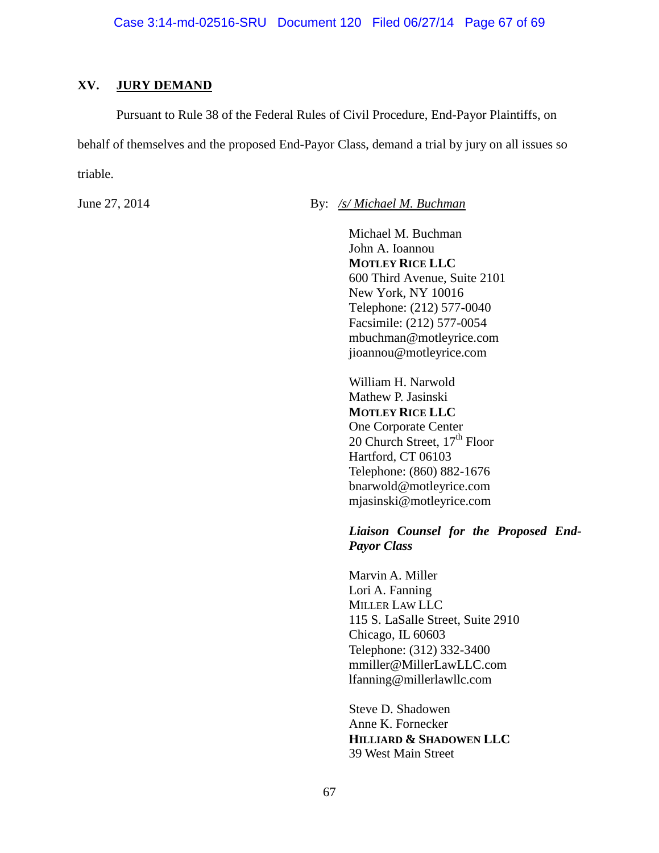# **XV. JURY DEMAND**

Pursuant to Rule 38 of the Federal Rules of Civil Procedure, End-Payor Plaintiffs, on behalf of themselves and the proposed End-Payor Class, demand a trial by jury on all issues so triable.

June 27, 2014 By: */s/ Michael M. Buchman*

Michael M. Buchman John A. Ioannou **MOTLEY RICE LLC** 600 Third Avenue, Suite 2101 New York, NY 10016 Telephone: (212) 577-0040 Facsimile: (212) 577-0054 mbuchman@motleyrice.com [jioannou@motleyrice.com](mailto:jioannou@motleyrice.com)

William H. Narwold Mathew P. Jasinski **MOTLEY RICE LLC** One Corporate Center 20 Church Street,  $17<sup>th</sup>$  Floor Hartford, CT 06103 Telephone: (860) 882-1676 bnarwold@motleyrice.com mjasinski@motleyrice.com

# *Liaison Counsel for the Proposed End-Payor Class*

Marvin A. Miller Lori A. Fanning MILLER LAW LLC 115 S. LaSalle Street, Suite 2910 Chicago, IL 60603 Telephone: (312) 332-3400 [mmiller@MillerLawLLC.com](mailto:mmiller@MillerLawLLC.com) [lfanning@millerlawllc.com](mailto:lfanning@millerlawllc.com)

Steve D. Shadowen Anne K. Fornecker **HILLIARD & SHADOWEN LLC** 39 West Main Street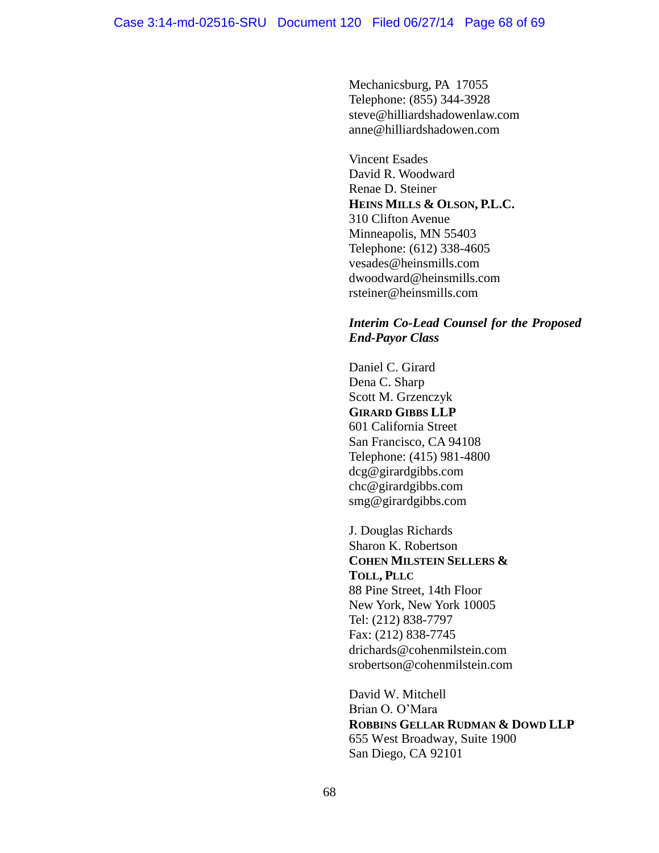Mechanicsburg, PA 17055 Telephone: (855) 344-3928 [steve@hilliardshadowenlaw.com](mailto:steve@hilliardshadowenlaw.com) anne@hilliardshadowen.com

Vincent Esades David R. Woodward Renae D. Steiner **HEINS MILLS & OLSON, P.L.C.** 310 Clifton Avenue Minneapolis, MN 55403 Telephone: (612) 338-4605 vesades@heinsmills.com dwoodward@heinsmills.com [rsteiner@heinsmills.com](mailto:rsteiner@heinsmills.com)

# *Interim Co-Lead Counsel for the Proposed End-Payor Class*

Daniel C. Girard Dena C. Sharp Scott M. Grzenczyk **GIRARD GIBBS LLP** 601 California Street San Francisco, CA 94108 Telephone: (415) 981-4800 [dcg@girardgibbs.com](mailto:dcg@girardgibbs.com) chc@girardgibbs.com [smg@girardgibbs.com](mailto:smg@girardgibbs.com)

J. Douglas Richards Sharon K. Robertson **COHEN MILSTEIN SELLERS & TOLL, PLLC** 88 Pine Street, 14th Floor New York, New York 10005 Tel: (212) 838-7797 Fax: (212) 838-7745 [drichards@cohenmilstein.com](mailto:drichards@cohenmilstein.com) srobertson@cohenmilstein.com

David W. Mitchell Brian O. O'Mara **ROBBINS GELLAR RUDMAN & DOWD LLP** 655 West Broadway, Suite 1900 San Diego, CA 92101